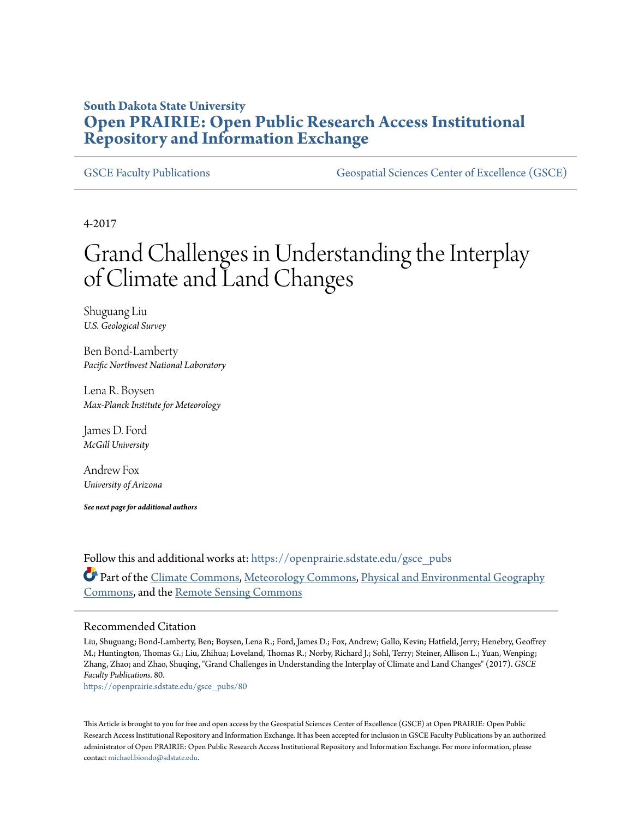# **South Dakota State University [Open PRAIRIE: Open Public Research Access Institutional](https://openprairie.sdstate.edu?utm_source=openprairie.sdstate.edu%2Fgsce_pubs%2F80&utm_medium=PDF&utm_campaign=PDFCoverPages) [Repository and Information Exchange](https://openprairie.sdstate.edu?utm_source=openprairie.sdstate.edu%2Fgsce_pubs%2F80&utm_medium=PDF&utm_campaign=PDFCoverPages)**

[GSCE Faculty Publications](https://openprairie.sdstate.edu/gsce_pubs?utm_source=openprairie.sdstate.edu%2Fgsce_pubs%2F80&utm_medium=PDF&utm_campaign=PDFCoverPages) [Geospatial Sciences Center of Excellence \(GSCE\)](https://openprairie.sdstate.edu/gsce?utm_source=openprairie.sdstate.edu%2Fgsce_pubs%2F80&utm_medium=PDF&utm_campaign=PDFCoverPages)

4-2017

# Grand Challenges in Understanding the Interplay of Climate and Land Changes

Shuguang Liu *U.S. Geological Survey*

Ben Bond-Lamberty *Pacific Northwest National Laboratory*

Lena R. Boysen *Max-Planck Institute for Meteorology*

James D. Ford *McGill University*

Andrew Fox *University of Arizona*

*See next page for additional authors*

Follow this and additional works at: [https://openprairie.sdstate.edu/gsce\\_pubs](https://openprairie.sdstate.edu/gsce_pubs?utm_source=openprairie.sdstate.edu%2Fgsce_pubs%2F80&utm_medium=PDF&utm_campaign=PDFCoverPages) Part of the [Climate Commons,](http://network.bepress.com/hgg/discipline/188?utm_source=openprairie.sdstate.edu%2Fgsce_pubs%2F80&utm_medium=PDF&utm_campaign=PDFCoverPages) [Meteorology Commons,](http://network.bepress.com/hgg/discipline/190?utm_source=openprairie.sdstate.edu%2Fgsce_pubs%2F80&utm_medium=PDF&utm_campaign=PDFCoverPages) [Physical and Environmental Geography](http://network.bepress.com/hgg/discipline/355?utm_source=openprairie.sdstate.edu%2Fgsce_pubs%2F80&utm_medium=PDF&utm_campaign=PDFCoverPages) [Commons,](http://network.bepress.com/hgg/discipline/355?utm_source=openprairie.sdstate.edu%2Fgsce_pubs%2F80&utm_medium=PDF&utm_campaign=PDFCoverPages) and the [Remote Sensing Commons](http://network.bepress.com/hgg/discipline/1192?utm_source=openprairie.sdstate.edu%2Fgsce_pubs%2F80&utm_medium=PDF&utm_campaign=PDFCoverPages)

#### Recommended Citation

Liu, Shuguang; Bond-Lamberty, Ben; Boysen, Lena R.; Ford, James D.; Fox, Andrew; Gallo, Kevin; Hatfield, Jerry; Henebry, Geoffrey M.; Huntington, Thomas G.; Liu, Zhihua; Loveland, Thomas R.; Norby, Richard J.; Sohl, Terry; Steiner, Allison L.; Yuan, Wenping; Zhang, Zhao; and Zhao, Shuqing, "Grand Challenges in Understanding the Interplay of Climate and Land Changes" (2017). *GSCE Faculty Publications*. 80.

[https://openprairie.sdstate.edu/gsce\\_pubs/80](https://openprairie.sdstate.edu/gsce_pubs/80?utm_source=openprairie.sdstate.edu%2Fgsce_pubs%2F80&utm_medium=PDF&utm_campaign=PDFCoverPages)

This Article is brought to you for free and open access by the Geospatial Sciences Center of Excellence (GSCE) at Open PRAIRIE: Open Public Research Access Institutional Repository and Information Exchange. It has been accepted for inclusion in GSCE Faculty Publications by an authorized administrator of Open PRAIRIE: Open Public Research Access Institutional Repository and Information Exchange. For more information, please contact [michael.biondo@sdstate.edu](mailto:michael.biondo@sdstate.edu).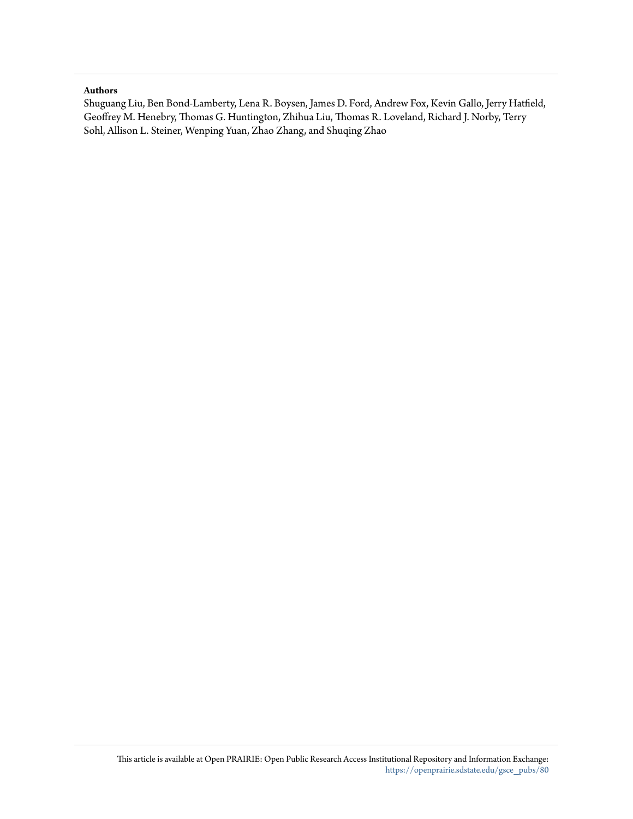#### **Authors**

Shuguang Liu, Ben Bond-Lamberty, Lena R. Boysen, James D. Ford, Andrew Fox, Kevin Gallo, Jerry Hatfield, Geoffrey M. Henebry, Thomas G. Huntington, Zhihua Liu, Thomas R. Loveland, Richard J. Norby, Terry Sohl, Allison L. Steiner, Wenping Yuan, Zhao Zhang, and Shuqing Zhao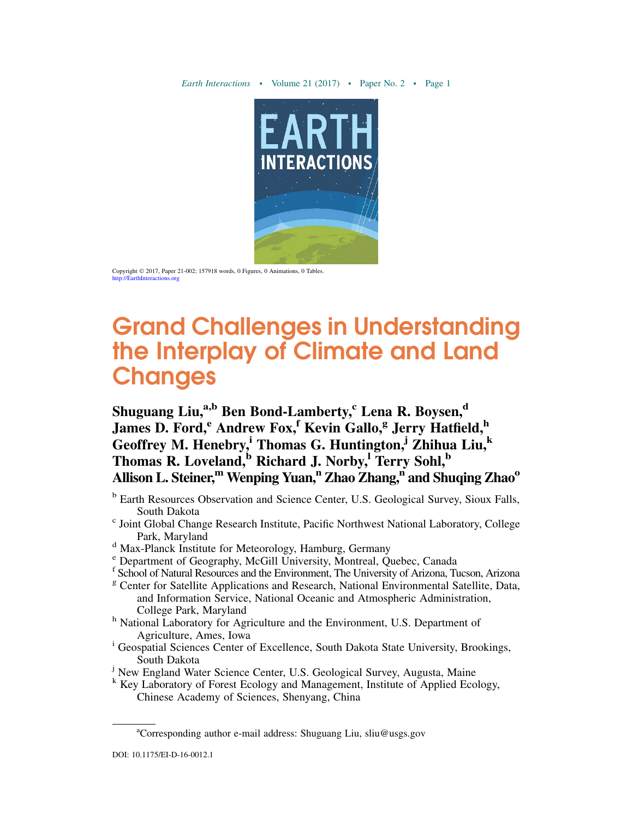

Copyright © 2017, Paper 21-002; 157918 words, 0 Figures, 0 Animations, 0 Tables. <http://EarthInteractions.org>

# Grand Challenges in Understanding the Interplay of Climate and Land **Changes**

# Shuguang Liu,<sup>a,b</sup> Ben Bond-Lamberty,<sup>c</sup> Lena R. Boysen,<sup>d</sup> James D. Ford,<sup>e</sup> Andrew Fox,<sup>f</sup> Kevin Gallo,<sup>g</sup> Jerry Hatfield,<sup>h</sup> Geoffrey M. Henebry,<sup>i</sup> Thomas G. Huntington,<sup>j</sup> Zhihua Liu,<sup>k</sup> Thomas R. Loveland, $\overline{b}$  Richard J. Norby, Terry Sohl, $\overline{b}$ Allison L. Steiner,<sup>m</sup> Wenping Yuan,<sup>n</sup> Zhao Zhang,<sup>n</sup> and Shuqing Zhao<sup>o</sup>

- <sup>b</sup> Earth Resources Observation and Science Center, U.S. Geological Survey, Sioux Falls, South Dakota
- $\degree$  Joint Global Change Research Institute, Pacific Northwest National Laboratory, College Park, Maryland<br>
<sup>d</sup> Max-Planck Institute for Meteorology, Hamburg, Germany<br>
<sup>e</sup> Department of Geography, McGill University, Montreal, Quebec, Canada
- 
- 
- f School of Natural Resources and the Environment, The University of Arizona, Tucson, Arizona
- <sup>g</sup> Center for Satellite Applications and Research, National Environmental Satellite, Data, and Information Service, National Oceanic and Atmospheric Administration,
- <sup>h</sup> National Laboratory for Agriculture and the Environment, U.S. Department of
- Agriculture, Ames, Iowa<br>i Geospatial Sciences Center of Excellence, South Dakota State University, Brookings, South Dakota
- <sup>j</sup> New England Water Science Center, U.S. Geological Survey, Augusta, Maine
- <sup>k</sup> Key Laboratory of Forest Ecology and Management, Institute of Applied Ecology, Chinese Academy of Sciences, Shenyang, China

<sup>&</sup>lt;sup>a</sup>Corresponding author e-mail address: Shuguang Liu, [sliu@usgs.gov](mailto:sliu@usgs.gov)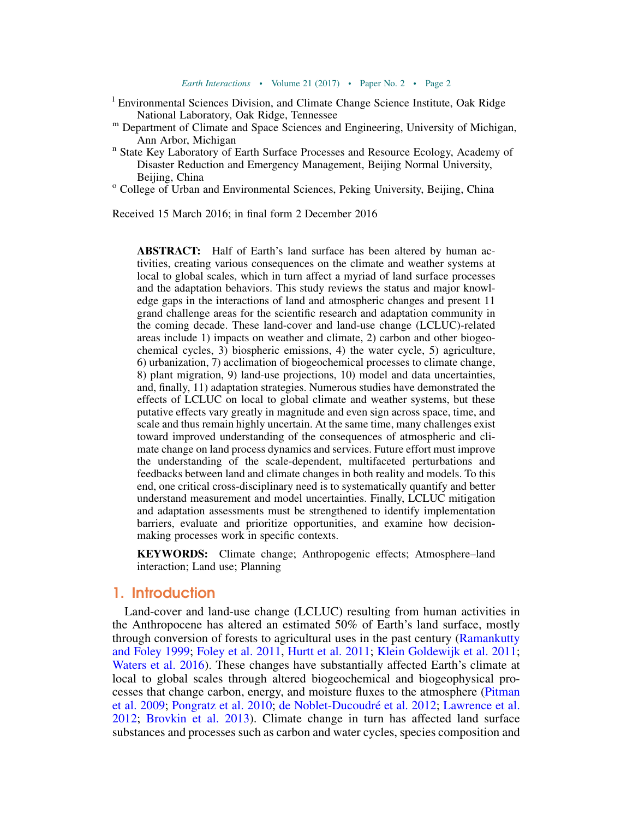- <sup>1</sup> Environmental Sciences Division, and Climate Change Science Institute, Oak Ridge National Laboratory, Oak Ridge, Tennessee
- <sup>m</sup> Department of Climate and Space Sciences and Engineering, University of Michigan, Ann Arbor, Michigan and State Key Laboratory of Earth Surface Processes and Resource Ecology, Academy of  $\overline{\phantom{a}}$
- Disaster Reduction and Emergency Management, Beijing Normal University, Beijing, China<br>
<sup>o</sup> College of Urban and Environmental Sciences, Peking University, Beijing, China
- 

Received 15 March 2016; in final form 2 December 2016

ABSTRACT: Half of Earth's land surface has been altered by human activities, creating various consequences on the climate and weather systems at local to global scales, which in turn affect a myriad of land surface processes and the adaptation behaviors. This study reviews the status and major knowledge gaps in the interactions of land and atmospheric changes and present 11 grand challenge areas for the scientific research and adaptation community in the coming decade. These land-cover and land-use change (LCLUC)-related areas include 1) impacts on weather and climate, 2) carbon and other biogeochemical cycles, 3) biospheric emissions, 4) the water cycle, 5) agriculture, 6) urbanization, 7) acclimation of biogeochemical processes to climate change, 8) plant migration, 9) land-use projections, 10) model and data uncertainties, and, finally, 11) adaptation strategies. Numerous studies have demonstrated the effects of LCLUC on local to global climate and weather systems, but these putative effects vary greatly in magnitude and even sign across space, time, and scale and thus remain highly uncertain. At the same time, many challenges exist toward improved understanding of the consequences of atmospheric and climate change on land process dynamics and services. Future effort must improve the understanding of the scale-dependent, multifaceted perturbations and feedbacks between land and climate changes in both reality and models. To this end, one critical cross-disciplinary need is to systematically quantify and better understand measurement and model uncertainties. Finally, LCLUC mitigation and adaptation assessments must be strengthened to identify implementation barriers, evaluate and prioritize opportunities, and examine how decisionmaking processes work in specific contexts.

KEYWORDS: Climate change; Anthropogenic effects; Atmosphere–land interaction; Land use; Planning

## 1. Introduction

Land-cover and land-use change (LCLUC) resulting from human activities in the Anthropocene has altered an estimated 50% of Earth's land surface, mostly through conversion of forests to agricultural uses in the past century ([Ramankutty](#page-38-0) [and Foley 1999;](#page-38-0) [Foley et al. 2011](#page-31-0), [Hurtt et al. 2011](#page-33-0); [Klein Goldewijk et al. 2011;](#page-34-0) [Waters et al. 2016\)](#page-42-0). These changes have substantially affected Earth's climate at local to global scales through altered biogeochemical and biogeophysical processes that change carbon, energy, and moisture fluxes to the atmosphere [\(Pitman](#page-38-1) [et al. 2009;](#page-38-1) [Pongratz et al. 2010](#page-38-2); [de Noblet-Ducoudr](#page-30-0)é et al. 2012; [Lawrence et al.](#page-35-0) [2012;](#page-35-0) [Brovkin et al. 2013\)](#page-28-0). Climate change in turn has affected land surface substances and processes such as carbon and water cycles, species composition and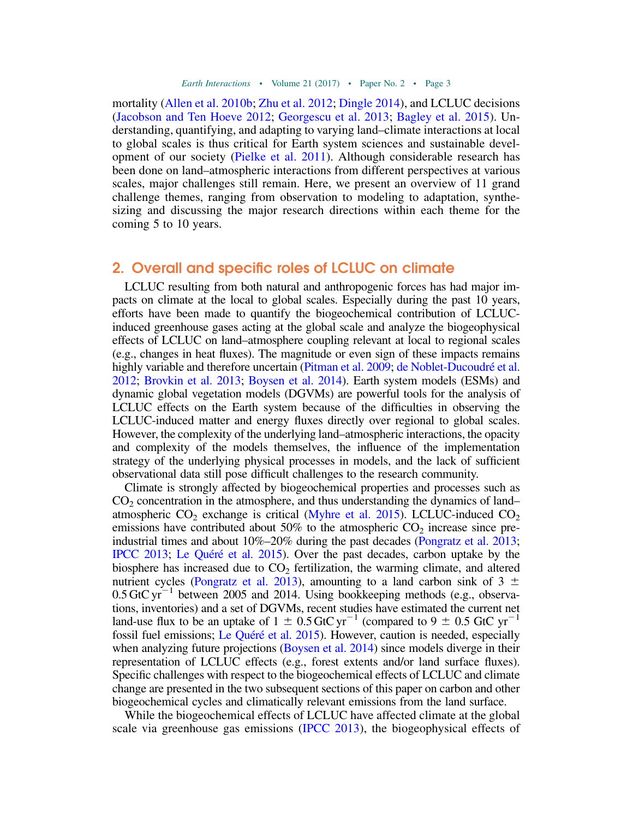mortality [\(Allen et al. 2010b](#page-26-0); [Zhu et al. 2012;](#page-44-0) [Dingle 2014](#page-30-1)), and LCLUC decisions ([Jacobson and Ten Hoeve 2012](#page-34-1); [Georgescu et al. 2013;](#page-31-1) [Bagley et al. 2015\)](#page-27-0). Understanding, quantifying, and adapting to varying land–climate interactions at local to global scales is thus critical for Earth system sciences and sustainable development of our society [\(Pielke et al. 2011\)](#page-38-3). Although considerable research has been done on land–atmospheric interactions from different perspectives at various scales, major challenges still remain. Here, we present an overview of 11 grand challenge themes, ranging from observation to modeling to adaptation, synthesizing and discussing the major research directions within each theme for the coming 5 to 10 years.

### 2. Overall and specific roles of LCLUC on climate

LCLUC resulting from both natural and anthropogenic forces has had major impacts on climate at the local to global scales. Especially during the past 10 years, efforts have been made to quantify the biogeochemical contribution of LCLUCinduced greenhouse gases acting at the global scale and analyze the biogeophysical effects of LCLUC on land–atmosphere coupling relevant at local to regional scales (e.g., changes in heat fluxes). The magnitude or even sign of these impacts remains highly variable and therefore uncertain [\(Pitman et al. 2009](#page-38-1); [de Noblet-Ducoudr](#page-30-0)é et al. [2012](#page-30-0); [Brovkin et al. 2013](#page-28-0); [Boysen et al. 2014](#page-28-1)). Earth system models (ESMs) and dynamic global vegetation models (DGVMs) are powerful tools for the analysis of LCLUC effects on the Earth system because of the difficulties in observing the LCLUC-induced matter and energy fluxes directly over regional to global scales. However, the complexity of the underlying land–atmospheric interactions, the opacity and complexity of the models themselves, the influence of the implementation strategy of the underlying physical processes in models, and the lack of sufficient observational data still pose difficult challenges to the research community.

Climate is strongly affected by biogeochemical properties and processes such as  $CO<sub>2</sub>$  concentration in the atmosphere, and thus understanding the dynamics of land– atmospheric  $CO_2$  exchange is critical [\(Myhre et al. 2015\)](#page-37-0). LCLUC-induced  $CO_2$ emissions have contributed about 50% to the atmospheric  $CO<sub>2</sub>$  increase since preindustrial times and about 10%–20% during the past decades [\(Pongratz et al. 2013;](#page-38-4) [IPCC 2013;](#page-33-1) Le Qu[éré et al. 2015](#page-35-1)). Over the past decades, carbon uptake by the biosphere has increased due to  $CO<sub>2</sub>$  fertilization, the warming climate, and altered nutrient cycles [\(Pongratz et al. 2013](#page-38-4)), amounting to a land carbon sink of 3  $\pm$  $0.5$  GtC yr<sup>-1</sup> between 2005 and 2014. Using bookkeeping methods (e.g., observations, inventories) and a set of DGVMs, recent studies have estimated the current net land-use flux to be an uptake of 1  $\pm$  0.5 GtC yr<sup>-1</sup> (compared to 9  $\pm$  0.5 GtC yr<sup>-1</sup> fossil fuel emissions; Le Qu[éré et al. 2015](#page-35-1)). However, caution is needed, especially when analyzing future projections ([Boysen et al. 2014\)](#page-28-1) since models diverge in their representation of LCLUC effects (e.g., forest extents and/or land surface fluxes). Specific challenges with respect to the biogeochemical effects of LCLUC and climate change are presented in the two subsequent sections of this paper on carbon and other biogeochemical cycles and climatically relevant emissions from the land surface.

While the biogeochemical effects of LCLUC have affected climate at the global scale via greenhouse gas emissions ([IPCC 2013\)](#page-33-1), the biogeophysical effects of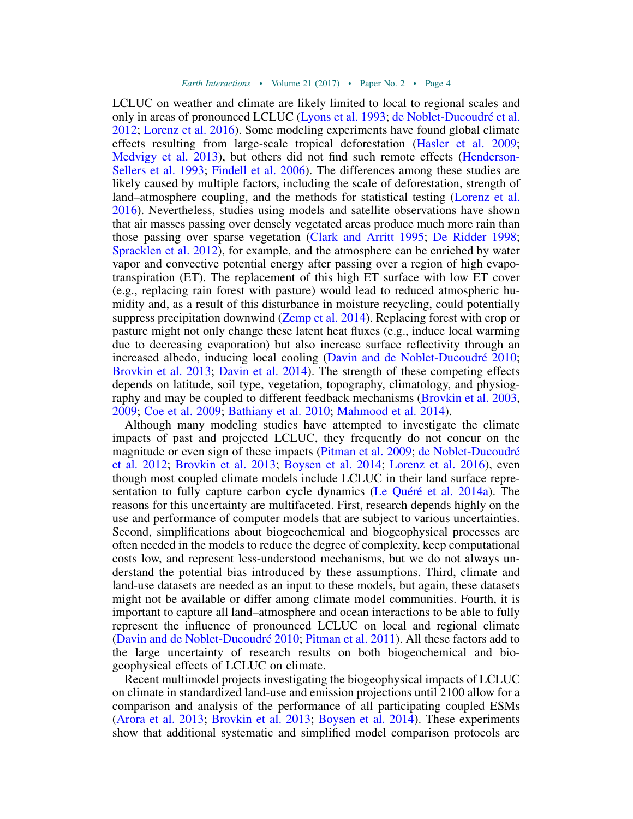LCLUC on weather and climate are likely limited to local to regional scales and only in areas of pronounced LCLUC [\(Lyons et al. 1993](#page-35-2); [de Noblet-Ducoudr](#page-30-0)é et al. [2012](#page-30-0); [Lorenz et al. 2016\)](#page-35-3). Some modeling experiments have found global climate effects resulting from large-scale tropical deforestation [\(Hasler et al. 2009;](#page-32-0) [Medvigy et al. 2013](#page-36-0)), but others did not find such remote effects [\(Henderson-](#page-33-2)[Sellers et al. 1993;](#page-33-2) [Findell et al. 2006](#page-31-2)). The differences among these studies are likely caused by multiple factors, including the scale of deforestation, strength of land–atmosphere coupling, and the methods for statistical testing ([Lorenz et al.](#page-35-3) [2016\)](#page-35-3). Nevertheless, studies using models and satellite observations have shown that air masses passing over densely vegetated areas produce much more rain than those passing over sparse vegetation [\(Clark and Arritt 1995](#page-29-0); [De Ridder 1998;](#page-30-2) [Spracklen et al. 2012\)](#page-40-0), for example, and the atmosphere can be enriched by water vapor and convective potential energy after passing over a region of high evapotranspiration (ET). The replacement of this high ET surface with low ET cover (e.g., replacing rain forest with pasture) would lead to reduced atmospheric humidity and, as a result of this disturbance in moisture recycling, could potentially suppress precipitation downwind [\(Zemp et al. 2014\)](#page-43-0). Replacing forest with crop or pasture might not only change these latent heat fluxes (e.g., induce local warming due to decreasing evaporation) but also increase surface reflectivity through an increased albedo, inducing local cooling ([Davin and de Noblet-Ducoudr](#page-30-3)é 2010; [Brovkin et al. 2013](#page-28-0); [Davin et al. 2014](#page-30-4)). The strength of these competing effects depends on latitude, soil type, vegetation, topography, climatology, and physiography and may be coupled to different feedback mechanisms ([Brovkin et al. 2003](#page-28-2), [2009;](#page-28-3) [Coe et al. 2009](#page-29-1); [Bathiany et al. 2010](#page-27-1); [Mahmood et al. 2014\)](#page-36-1).

Although many modeling studies have attempted to investigate the climate impacts of past and projected LCLUC, they frequently do not concur on the magnitude or even sign of these impacts [\(Pitman et al. 2009](#page-38-1); [de Noblet-Ducoudr](#page-30-0)é [et al. 2012](#page-30-0); [Brovkin et al. 2013](#page-28-0); [Boysen et al. 2014](#page-28-1); [Lorenz et al. 2016](#page-35-3)), even though most coupled climate models include LCLUC in their land surface representation to fully capture carbon cycle dynamics (Le Qu[éré et al. 2014a](#page-35-4)). The reasons for this uncertainty are multifaceted. First, research depends highly on the use and performance of computer models that are subject to various uncertainties. Second, simplifications about biogeochemical and biogeophysical processes are often needed in the models to reduce the degree of complexity, keep computational costs low, and represent less-understood mechanisms, but we do not always understand the potential bias introduced by these assumptions. Third, climate and land-use datasets are needed as an input to these models, but again, these datasets might not be available or differ among climate model communities. Fourth, it is important to capture all land–atmosphere and ocean interactions to be able to fully represent the influence of pronounced LCLUC on local and regional climate ([Davin and de Noblet-Ducoudr](#page-30-3)é 2010; [Pitman et al. 2011\)](#page-38-5). All these factors add to the large uncertainty of research results on both biogeochemical and biogeophysical effects of LCLUC on climate.

Recent multimodel projects investigating the biogeophysical impacts of LCLUC on climate in standardized land-use and emission projections until 2100 allow for a comparison and analysis of the performance of all participating coupled ESMs ([Arora et al. 2013](#page-26-1); [Brovkin et al. 2013;](#page-28-0) [Boysen et al. 2014\)](#page-28-1). These experiments show that additional systematic and simplified model comparison protocols are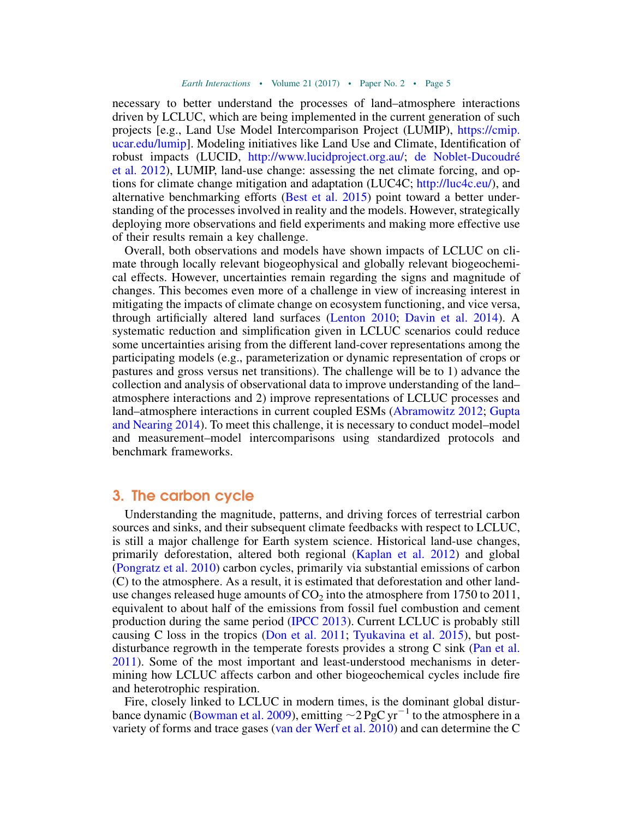necessary to better understand the processes of land–atmosphere interactions driven by LCLUC, which are being implemented in the current generation of such projects [e.g., Land Use Model Intercomparison Project (LUMIP), [https://cmip.](https://cmip.ucar.edu/lumip) [ucar.edu/lumip](https://cmip.ucar.edu/lumip)]. Modeling initiatives like Land Use and Climate, Identification of robust impacts (LUCID, [http://www.lucidproject.org.au/;](http://www.lucidproject.org.au/) [de Noblet-Ducoudr](#page-30-0)é [et al. 2012](#page-30-0)), LUMIP, land-use change: assessing the net climate forcing, and options for climate change mitigation and adaptation (LUC4C; [http://luc4c.eu/\)](http://luc4c.eu/), and alternative benchmarking efforts [\(Best et al. 2015](#page-27-2)) point toward a better understanding of the processes involved in reality and the models. However, strategically deploying more observations and field experiments and making more effective use of their results remain a key challenge.

Overall, both observations and models have shown impacts of LCLUC on climate through locally relevant biogeophysical and globally relevant biogeochemical effects. However, uncertainties remain regarding the signs and magnitude of changes. This becomes even more of a challenge in view of increasing interest in mitigating the impacts of climate change on ecosystem functioning, and vice versa, through artificially altered land surfaces ([Lenton 2010](#page-35-5); [Davin et al. 2014](#page-30-4)). A systematic reduction and simplification given in LCLUC scenarios could reduce some uncertainties arising from the different land-cover representations among the participating models (e.g., parameterization or dynamic representation of crops or pastures and gross versus net transitions). The challenge will be to 1) advance the collection and analysis of observational data to improve understanding of the land– atmosphere interactions and 2) improve representations of LCLUC processes and land–atmosphere interactions in current coupled ESMs ([Abramowitz 2012](#page-26-2); [Gupta](#page-32-1) [and Nearing 2014\)](#page-32-1). To meet this challenge, it is necessary to conduct model–model and measurement–model intercomparisons using standardized protocols and benchmark frameworks.

#### 3. The carbon cycle

Understanding the magnitude, patterns, and driving forces of terrestrial carbon sources and sinks, and their subsequent climate feedbacks with respect to LCLUC, is still a major challenge for Earth system science. Historical land-use changes, primarily deforestation, altered both regional ([Kaplan et al. 2012\)](#page-34-2) and global ([Pongratz et al. 2010\)](#page-38-2) carbon cycles, primarily via substantial emissions of carbon (C) to the atmosphere. As a result, it is estimated that deforestation and other landuse changes released huge amounts of  $CO<sub>2</sub>$  into the atmosphere from 1750 to 2011, equivalent to about half of the emissions from fossil fuel combustion and cement production during the same period [\(IPCC 2013\)](#page-33-1). Current LCLUC is probably still causing C loss in the tropics [\(Don et al. 2011](#page-30-5); [Tyukavina et al. 2015\)](#page-41-0), but post-disturbance regrowth in the temperate forests provides a strong C sink ([Pan et al.](#page-37-1) [2011\)](#page-37-1). Some of the most important and least-understood mechanisms in determining how LCLUC affects carbon and other biogeochemical cycles include fire and heterotrophic respiration.

Fire, closely linked to LCLUC in modern times, is the dominant global distur-bance dynamic [\(Bowman et al. 2009\)](#page-28-4), emitting  $\sim$  2 PgC yr<sup>-1</sup> to the atmosphere in a variety of forms and trace gases [\(van der Werf et al. 2010\)](#page-42-1) and can determine the C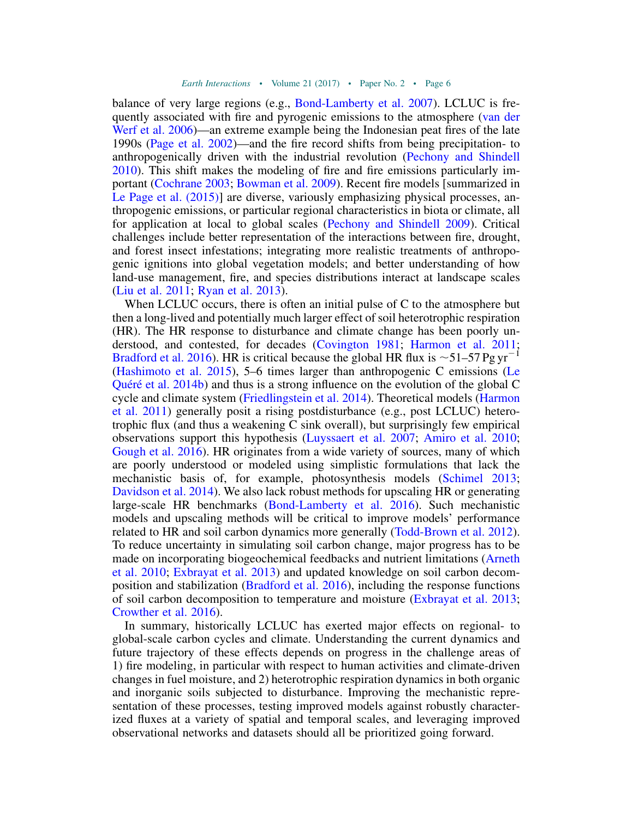balance of very large regions (e.g., [Bond-Lamberty et al. 2007](#page-28-5)). LCLUC is frequently associated with fire and pyrogenic emissions to the atmosphere ([van der](#page-42-2) [Werf et al. 2006\)](#page-42-2)—an extreme example being the Indonesian peat fires of the late 1990s [\(Page et al. 2002](#page-37-2))—and the fire record shifts from being precipitation- to anthropogenically driven with the industrial revolution ([Pechony and Shindell](#page-38-6) [2010\)](#page-38-6). This shift makes the modeling of fire and fire emissions particularly important ([Cochrane 2003;](#page-29-2) [Bowman et al. 2009](#page-28-4)). Recent fire models [summarized in [Le Page et al. \(2015\)\]](#page-35-6) are diverse, variously emphasizing physical processes, anthropogenic emissions, or particular regional characteristics in biota or climate, all for application at local to global scales ([Pechony and Shindell 2009\)](#page-38-7). Critical challenges include better representation of the interactions between fire, drought, and forest insect infestations; integrating more realistic treatments of anthropogenic ignitions into global vegetation models; and better understanding of how land-use management, fire, and species distributions interact at landscape scales ([Liu et al. 2011](#page-35-7); [Ryan et al. 2013\)](#page-39-0).

When LCLUC occurs, there is often an initial pulse of C to the atmosphere but then a long-lived and potentially much larger effect of soil heterotrophic respiration (HR). The HR response to disturbance and climate change has been poorly understood, and contested, for decades ([Covington 1981](#page-30-6); [Harmon et al. 2011;](#page-32-2) [Bradford et al. 2016](#page-28-6)). HR is critical because the global HR flux is  $\sim$ 51–57 Pg yr<sup>-1</sup> ([Hashimoto et al. 2015](#page-32-3)), 5–6 times larger than anthropogenic C emissions ([Le](#page-35-8) Qu[éré et al. 2014b](#page-35-8)) and thus is a strong influence on the evolution of the global C cycle and climate system [\(Friedlingstein et al. 2014](#page-31-3)). Theoretical models ([Harmon](#page-32-2) [et al. 2011\)](#page-32-2) generally posit a rising postdisturbance (e.g., post LCLUC) heterotrophic flux (and thus a weakening C sink overall), but surprisingly few empirical observations support this hypothesis ([Luyssaert et al. 2007;](#page-35-9) [Amiro et al. 2010;](#page-26-3) [Gough et al. 2016\)](#page-32-4). HR originates from a wide variety of sources, many of which are poorly understood or modeled using simplistic formulations that lack the mechanistic basis of, for example, photosynthesis models [\(Schimel 2013;](#page-39-1) [Davidson et al. 2014\)](#page-30-7). We also lack robust methods for upscaling HR or generating large-scale HR benchmarks ([Bond-Lamberty et al. 2016](#page-28-7)). Such mechanistic models and upscaling methods will be critical to improve models' performance related to HR and soil carbon dynamics more generally ([Todd-Brown et al. 2012](#page-41-1)). To reduce uncertainty in simulating soil carbon change, major progress has to be made on incorporating biogeochemical feedbacks and nutrient limitations ([Arneth](#page-26-4) [et al. 2010;](#page-26-4) [Exbrayat et al. 2013\)](#page-31-4) and updated knowledge on soil carbon decomposition and stabilization ([Bradford et al. 2016\)](#page-28-6), including the response functions of soil carbon decomposition to temperature and moisture [\(Exbrayat et al. 2013;](#page-31-4) [Crowther et al. 2016\)](#page-30-8).

In summary, historically LCLUC has exerted major effects on regional- to global-scale carbon cycles and climate. Understanding the current dynamics and future trajectory of these effects depends on progress in the challenge areas of 1) fire modeling, in particular with respect to human activities and climate-driven changes in fuel moisture, and 2) heterotrophic respiration dynamics in both organic and inorganic soils subjected to disturbance. Improving the mechanistic representation of these processes, testing improved models against robustly characterized fluxes at a variety of spatial and temporal scales, and leveraging improved observational networks and datasets should all be prioritized going forward.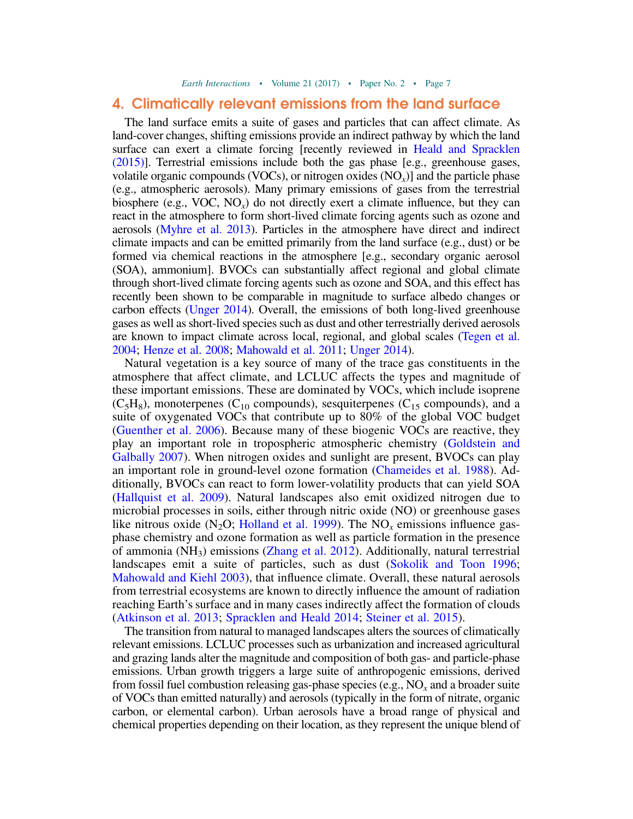#### <span id="page-8-0"></span>4. Climatically relevant emissions from the land surface

The land surface emits a suite of gases and particles that can affect climate. As land-cover changes, shifting emissions provide an indirect pathway by which the land surface can exert a climate forcing [recently reviewed in [Heald and Spracklen](#page-32-5) [\(2015\)\]](#page-32-5). Terrestrial emissions include both the gas phase [e.g., greenhouse gases, volatile organic compounds (VOCs), or nitrogen oxides  $(NO<sub>x</sub>)$ ] and the particle phase (e.g., atmospheric aerosols). Many primary emissions of gases from the terrestrial biosphere (e.g., VOC,  $NO_x$ ) do not directly exert a climate influence, but they can react in the atmosphere to form short-lived climate forcing agents such as ozone and aerosols [\(Myhre et al. 2013\)](#page-37-3). Particles in the atmosphere have direct and indirect climate impacts and can be emitted primarily from the land surface (e.g., dust) or be formed via chemical reactions in the atmosphere [e.g., secondary organic aerosol (SOA), ammonium]. BVOCs can substantially affect regional and global climate through short-lived climate forcing agents such as ozone and SOA, and this effect has recently been shown to be comparable in magnitude to surface albedo changes or carbon effects [\(Unger 2014](#page-41-2)). Overall, the emissions of both long-lived greenhouse gases as well as short-lived species such as dust and other terrestrially derived aerosols are known to impact climate across local, regional, and global scales [\(Tegen et al.](#page-41-3) [2004;](#page-41-3) [Henze et al. 2008;](#page-33-3) [Mahowald et al. 2011;](#page-36-2) [Unger 2014](#page-41-2)).

Natural vegetation is a key source of many of the trace gas constituents in the atmosphere that affect climate, and LCLUC affects the types and magnitude of these important emissions. These are dominated by VOCs, which include isoprene  $(C_5H_8)$ , monoterpenes (C<sub>10</sub> compounds), sesquiterpenes (C<sub>15</sub> compounds), and a suite of oxygenated VOCs that contribute up to 80% of the global VOC budget ([Guenther et al. 2006](#page-32-6)). Because many of these biogenic VOCs are reactive, they play an important role in tropospheric atmospheric chemistry [\(Goldstein and](#page-31-5) [Galbally 2007\)](#page-31-5). When nitrogen oxides and sunlight are present, BVOCs can play an important role in ground-level ozone formation ([Chameides et al. 1988\)](#page-29-3). Additionally, BVOCs can react to form lower-volatility products that can yield SOA ([Hallquist et al. 2009\)](#page-32-7). Natural landscapes also emit oxidized nitrogen due to microbial processes in soils, either through nitric oxide (NO) or greenhouse gases like nitrous oxide (N<sub>2</sub>O; [Holland et al. 1999\)](#page-33-4). The NO<sub>x</sub> emissions influence gasphase chemistry and ozone formation as well as particle formation in the presence of ammonia (NH3) emissions [\(Zhang et al. 2012](#page-43-1)). Additionally, natural terrestrial landscapes emit a suite of particles, such as dust ([Sokolik and Toon 1996;](#page-40-1) [Mahowald and Kiehl 2003](#page-36-3)), that influence climate. Overall, these natural aerosols from terrestrial ecosystems are known to directly influence the amount of radiation reaching Earth's surface and in many cases indirectly affect the formation of clouds ([Atkinson et al. 2013;](#page-26-5) [Spracklen and Heald 2014](#page-40-2); [Steiner et al. 2015](#page-40-3)).

The transition from natural to managed landscapes alters the sources of climatically relevant emissions. LCLUC processes such as urbanization and increased agricultural and grazing lands alter the magnitude and composition of both gas- and particle-phase emissions. Urban growth triggers a large suite of anthropogenic emissions, derived from fossil fuel combustion releasing gas-phase species (e.g.,  $NO<sub>x</sub>$  and a broader suite of VOCs than emitted naturally) and aerosols (typically in the form of nitrate, organic carbon, or elemental carbon). Urban aerosols have a broad range of physical and chemical properties depending on their location, as they represent the unique blend of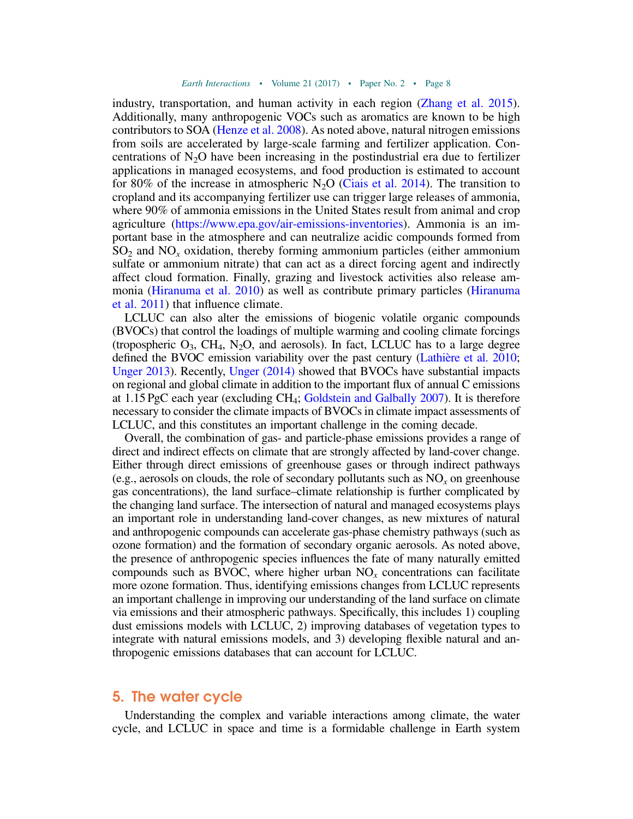industry, transportation, and human activity in each region [\(Zhang et al. 2015](#page-43-2)). Additionally, many anthropogenic VOCs such as aromatics are known to be high contributors to SOA ([Henze et al. 2008\)](#page-33-3). As noted above, natural nitrogen emissions from soils are accelerated by large-scale farming and fertilizer application. Concentrations of  $N_2O$  have been increasing in the postindustrial era due to fertilizer applications in managed ecosystems, and food production is estimated to account for 80% of the increase in atmospheric  $N_2O$  ([Ciais et al. 2014\)](#page-29-4). The transition to cropland and its accompanying fertilizer use can trigger large releases of ammonia, where 90% of ammonia emissions in the United States result from animal and crop agriculture (<https://www.epa.gov/air-emissions-inventories>). Ammonia is an important base in the atmosphere and can neutralize acidic compounds formed from  $SO<sub>2</sub>$  and  $NO<sub>x</sub>$  oxidation, thereby forming ammonium particles (either ammonium sulfate or ammonium nitrate) that can act as a direct forcing agent and indirectly affect cloud formation. Finally, grazing and livestock activities also release ammonia ([Hiranuma et al. 2010](#page-33-5)) as well as contribute primary particles ([Hiranuma](#page-33-6) [et al. 2011\)](#page-33-6) that influence climate.

LCLUC can also alter the emissions of biogenic volatile organic compounds (BVOCs) that control the loadings of multiple warming and cooling climate forcings (tropospheric  $O_3$ , CH<sub>4</sub>, N<sub>2</sub>O, and aerosols). In fact, LCLUC has to a large degree defined the BVOC emission variability over the past century (Lathi[ère et al. 2010](#page-35-10); [Unger 2013\)](#page-41-4). Recently, [Unger \(2014\)](#page-41-2) showed that BVOCs have substantial impacts on regional and global climate in addition to the important flux of annual C emissions at 1.15 PgC each year (excluding CH4; [Goldstein and Galbally 2007\)](#page-31-5). It is therefore necessary to consider the climate impacts of BVOCs in climate impact assessments of LCLUC, and this constitutes an important challenge in the coming decade.

Overall, the combination of gas- and particle-phase emissions provides a range of direct and indirect effects on climate that are strongly affected by land-cover change. Either through direct emissions of greenhouse gases or through indirect pathways (e.g., aerosols on clouds, the role of secondary pollutants such as  $NO<sub>x</sub>$  on greenhouse gas concentrations), the land surface–climate relationship is further complicated by the changing land surface. The intersection of natural and managed ecosystems plays an important role in understanding land-cover changes, as new mixtures of natural and anthropogenic compounds can accelerate gas-phase chemistry pathways (such as ozone formation) and the formation of secondary organic aerosols. As noted above, the presence of anthropogenic species influences the fate of many naturally emitted compounds such as BVOC, where higher urban  $NO<sub>x</sub>$  concentrations can facilitate more ozone formation. Thus, identifying emissions changes from LCLUC represents an important challenge in improving our understanding of the land surface on climate via emissions and their atmospheric pathways. Specifically, this includes 1) coupling dust emissions models with LCLUC, 2) improving databases of vegetation types to integrate with natural emissions models, and 3) developing flexible natural and anthropogenic emissions databases that can account for LCLUC.

#### 5. The water cycle

Understanding the complex and variable interactions among climate, the water cycle, and LCLUC in space and time is a formidable challenge in Earth system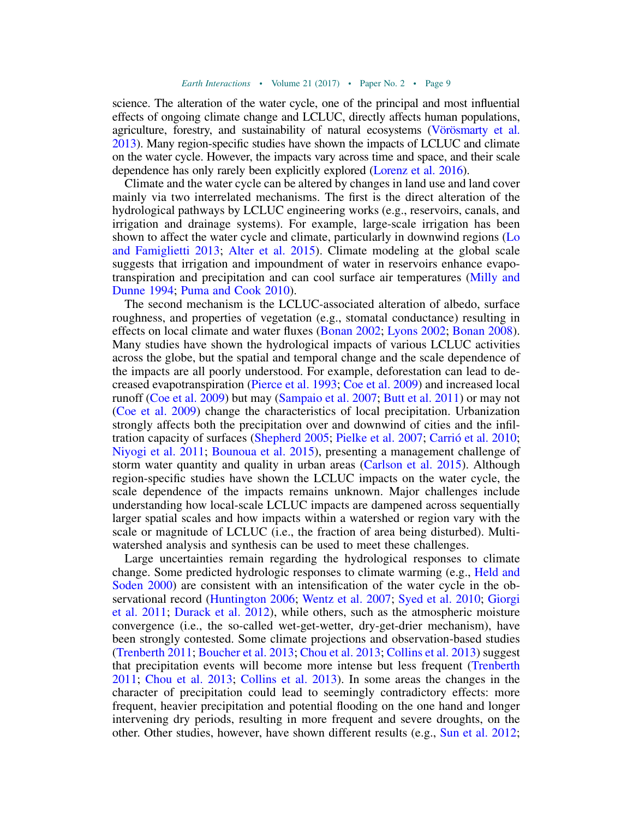science. The alteration of the water cycle, one of the principal and most influential effects of ongoing climate change and LCLUC, directly affects human populations, agriculture, forestry, and sustainability of natural ecosystems (V[örösmarty et al.](#page-42-3) [2013](#page-42-3)). Many region-specific studies have shown the impacts of LCLUC and climate on the water cycle. However, the impacts vary across time and space, and their scale dependence has only rarely been explicitly explored [\(Lorenz et al. 2016\)](#page-35-3).

Climate and the water cycle can be altered by changes in land use and land cover mainly via two interrelated mechanisms. The first is the direct alteration of the hydrological pathways by LCLUC engineering works (e.g., reservoirs, canals, and irrigation and drainage systems). For example, large-scale irrigation has been shown to affect the water cycle and climate, particularly in downwind regions ([Lo](#page-35-11) [and Famiglietti 2013;](#page-35-11) [Alter et al. 2015](#page-26-6)). Climate modeling at the global scale suggests that irrigation and impoundment of water in reservoirs enhance evapotranspiration and precipitation and can cool surface air temperatures ([Milly and](#page-36-4) [Dunne 1994](#page-36-4); [Puma and Cook 2010](#page-38-8)).

The second mechanism is the LCLUC-associated alteration of albedo, surface roughness, and properties of vegetation (e.g., stomatal conductance) resulting in effects on local climate and water fluxes [\(Bonan 2002](#page-28-8); [Lyons 2002](#page-35-12); [Bonan 2008](#page-28-9)). Many studies have shown the hydrological impacts of various LCLUC activities across the globe, but the spatial and temporal change and the scale dependence of the impacts are all poorly understood. For example, deforestation can lead to decreased evapotranspiration [\(Pierce et al. 1993](#page-38-9); [Coe et al. 2009\)](#page-29-1) and increased local runoff [\(Coe et al. 2009](#page-29-1)) but may ([Sampaio et al. 2007;](#page-39-2) [Butt et al. 2011\)](#page-29-5) or may not ([Coe et al. 2009\)](#page-29-1) change the characteristics of local precipitation. Urbanization strongly affects both the precipitation over and downwind of cities and the infiltration capacity of surfaces [\(Shepherd 2005;](#page-40-4) [Pielke et al. 2007](#page-38-10); Carri[ó et al. 2010](#page-29-6); [Niyogi et al. 2011;](#page-37-4) [Bounoua et al. 2015](#page-28-10)), presenting a management challenge of storm water quantity and quality in urban areas [\(Carlson et al. 2015\)](#page-29-7). Although region-specific studies have shown the LCLUC impacts on the water cycle, the scale dependence of the impacts remains unknown. Major challenges include understanding how local-scale LCLUC impacts are dampened across sequentially larger spatial scales and how impacts within a watershed or region vary with the scale or magnitude of LCLUC (i.e., the fraction of area being disturbed). Multiwatershed analysis and synthesis can be used to meet these challenges.

Large uncertainties remain regarding the hydrological responses to climate change. Some predicted hydrologic responses to climate warming (e.g., [Held and](#page-32-8) [Soden 2000\)](#page-32-8) are consistent with an intensification of the water cycle in the observational record [\(Huntington 2006](#page-33-7); [Wentz et al. 2007](#page-42-4); [Syed et al. 2010;](#page-41-5) [Giorgi](#page-31-6) [et al. 2011](#page-31-6); [Durack et al. 2012\)](#page-30-9), while others, such as the atmospheric moisture convergence (i.e., the so-called wet-get-wetter, dry-get-drier mechanism), have been strongly contested. Some climate projections and observation-based studies ([Trenberth 2011](#page-41-6); [Boucher et al. 2013;](#page-28-11) [Chou et al. 2013](#page-29-8); [Collins et al. 2013\)](#page-29-9) suggest that precipitation events will become more intense but less frequent [\(Trenberth](#page-41-6) [2011;](#page-41-6) [Chou et al. 2013](#page-29-8); [Collins et al. 2013](#page-29-9)). In some areas the changes in the character of precipitation could lead to seemingly contradictory effects: more frequent, heavier precipitation and potential flooding on the one hand and longer intervening dry periods, resulting in more frequent and severe droughts, on the other. Other studies, however, have shown different results (e.g., [Sun et al. 2012;](#page-41-7)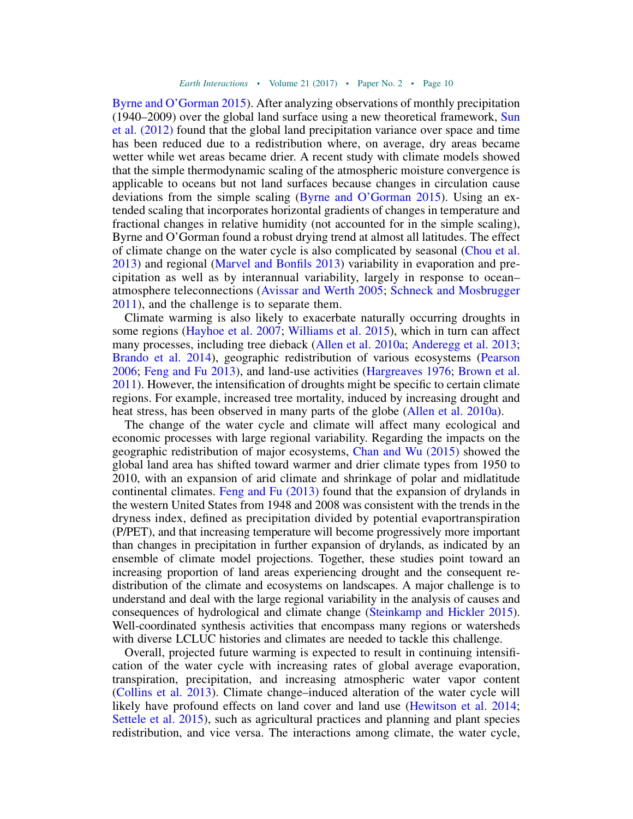[Byrne and O'Gorman 2015](#page-29-10)). After analyzing observations of monthly precipitation (1940–2009) over the global land surface using a new theoretical framework, [Sun](#page-41-7) [et al. \(2012\)](#page-41-7) found that the global land precipitation variance over space and time has been reduced due to a redistribution where, on average, dry areas became wetter while wet areas became drier. A recent study with climate models showed that the simple thermodynamic scaling of the atmospheric moisture convergence is applicable to oceans but not land surfaces because changes in circulation cause deviations from the simple scaling ([Byrne and O'Gorman 2015\)](#page-29-10). Using an extended scaling that incorporates horizontal gradients of changes in temperature and fractional changes in relative humidity (not accounted for in the simple scaling), Byrne and O'Gorman found a robust drying trend at almost all latitudes. The effect of climate change on the water cycle is also complicated by seasonal [\(Chou et al.](#page-29-8) [2013\)](#page-29-8) and regional [\(Marvel and Bonfils 2013](#page-36-5)) variability in evaporation and precipitation as well as by interannual variability, largely in response to ocean– atmosphere teleconnections ([Avissar and Werth 2005;](#page-27-3) [Schneck and Mosbrugger](#page-39-3) [2011](#page-39-3)), and the challenge is to separate them.

Climate warming is also likely to exacerbate naturally occurring droughts in some regions [\(Hayhoe et al. 2007;](#page-32-9) [Williams et al. 2015](#page-43-3)), which in turn can affect many processes, including tree dieback [\(Allen et al. 2010a;](#page-26-7) [Anderegg et al. 2013;](#page-26-8) [Brando et al. 2014\)](#page-28-12), geographic redistribution of various ecosystems [\(Pearson](#page-38-11) [2006;](#page-38-11) [Feng and Fu 2013](#page-31-7)), and land-use activities ([Hargreaves 1976](#page-32-10); [Brown et al.](#page-28-13) [2011\)](#page-28-13). However, the intensification of droughts might be specific to certain climate regions. For example, increased tree mortality, induced by increasing drought and heat stress, has been observed in many parts of the globe ([Allen et al. 2010a\)](#page-26-7).

The change of the water cycle and climate will affect many ecological and economic processes with large regional variability. Regarding the impacts on the geographic redistribution of major ecosystems, [Chan and Wu \(2015\)](#page-29-11) showed the global land area has shifted toward warmer and drier climate types from 1950 to 2010, with an expansion of arid climate and shrinkage of polar and midlatitude continental climates. [Feng and Fu \(2013\)](#page-31-7) found that the expansion of drylands in the western United States from 1948 and 2008 was consistent with the trends in the dryness index, defined as precipitation divided by potential evaportranspiration (P/PET), and that increasing temperature will become progressively more important than changes in precipitation in further expansion of drylands, as indicated by an ensemble of climate model projections. Together, these studies point toward an increasing proportion of land areas experiencing drought and the consequent redistribution of the climate and ecosystems on landscapes. A major challenge is to understand and deal with the large regional variability in the analysis of causes and consequences of hydrological and climate change [\(Steinkamp and Hickler 2015](#page-40-5)). Well-coordinated synthesis activities that encompass many regions or watersheds with diverse LCLUC histories and climates are needed to tackle this challenge.

Overall, projected future warming is expected to result in continuing intensification of the water cycle with increasing rates of global average evaporation, transpiration, precipitation, and increasing atmospheric water vapor content ([Collins et al. 2013\)](#page-29-9). Climate change–induced alteration of the water cycle will likely have profound effects on land cover and land use [\(Hewitson et al. 2014;](#page-33-8) [Settele et al. 2015](#page-40-6)), such as agricultural practices and planning and plant species redistribution, and vice versa. The interactions among climate, the water cycle,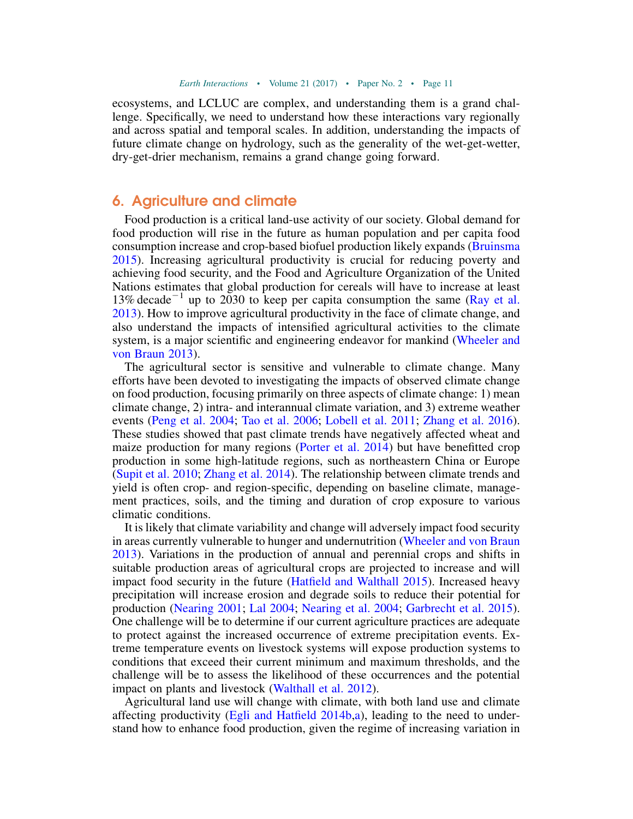ecosystems, and LCLUC are complex, and understanding them is a grand challenge. Specifically, we need to understand how these interactions vary regionally and across spatial and temporal scales. In addition, understanding the impacts of future climate change on hydrology, such as the generality of the wet-get-wetter, dry-get-drier mechanism, remains a grand change going forward.

### 6. Agriculture and climate

Food production is a critical land-use activity of our society. Global demand for food production will rise in the future as human population and per capita food consumption increase and crop-based biofuel production likely expands ([Bruinsma](#page-28-14) [2015\)](#page-28-14). Increasing agricultural productivity is crucial for reducing poverty and achieving food security, and the Food and Agriculture Organization of the United Nations estimates that global production for cereals will have to increase at least 13% decade<sup>-1</sup> up to 2030 to keep per capita consumption the same [\(Ray et al.](#page-38-12) [2013\)](#page-38-12). How to improve agricultural productivity in the face of climate change, and also understand the impacts of intensified agricultural activities to the climate system, is a major scientific and engineering endeavor for mankind ([Wheeler and](#page-43-4) [von Braun 2013\)](#page-43-4).

The agricultural sector is sensitive and vulnerable to climate change. Many efforts have been devoted to investigating the impacts of observed climate change on food production, focusing primarily on three aspects of climate change: 1) mean climate change, 2) intra- and interannual climate variation, and 3) extreme weather events ([Peng et al. 2004;](#page-38-13) [Tao et al. 2006;](#page-41-8) [Lobell et al. 2011](#page-35-13); [Zhang et al. 2016](#page-43-5)). These studies showed that past climate trends have negatively affected wheat and maize production for many regions [\(Porter et al. 2014](#page-38-14)) but have benefitted crop production in some high-latitude regions, such as northeastern China or Europe ([Supit et al. 2010](#page-41-9); [Zhang et al. 2014](#page-43-6)). The relationship between climate trends and yield is often crop- and region-specific, depending on baseline climate, management practices, soils, and the timing and duration of crop exposure to various climatic conditions.

It is likely that climate variability and change will adversely impact food security in areas currently vulnerable to hunger and undernutrition [\(Wheeler and von Braun](#page-43-4) [2013\)](#page-43-4). Variations in the production of annual and perennial crops and shifts in suitable production areas of agricultural crops are projected to increase and will impact food security in the future ([Hatfield and Walthall 2015\)](#page-32-11). Increased heavy precipitation will increase erosion and degrade soils to reduce their potential for production [\(Nearing 2001](#page-37-5); [Lal 2004](#page-34-3); [Nearing et al. 2004;](#page-37-6) [Garbrecht et al. 2015](#page-31-8)). One challenge will be to determine if our current agriculture practices are adequate to protect against the increased occurrence of extreme precipitation events. Extreme temperature events on livestock systems will expose production systems to conditions that exceed their current minimum and maximum thresholds, and the challenge will be to assess the likelihood of these occurrences and the potential impact on plants and livestock [\(Walthall et al. 2012](#page-42-5)).

Agricultural land use will change with climate, with both land use and climate affecting productivity (Egli and Hatfield  $2014b$ [,a\)](#page-30-10), leading to the need to understand how to enhance food production, given the regime of increasing variation in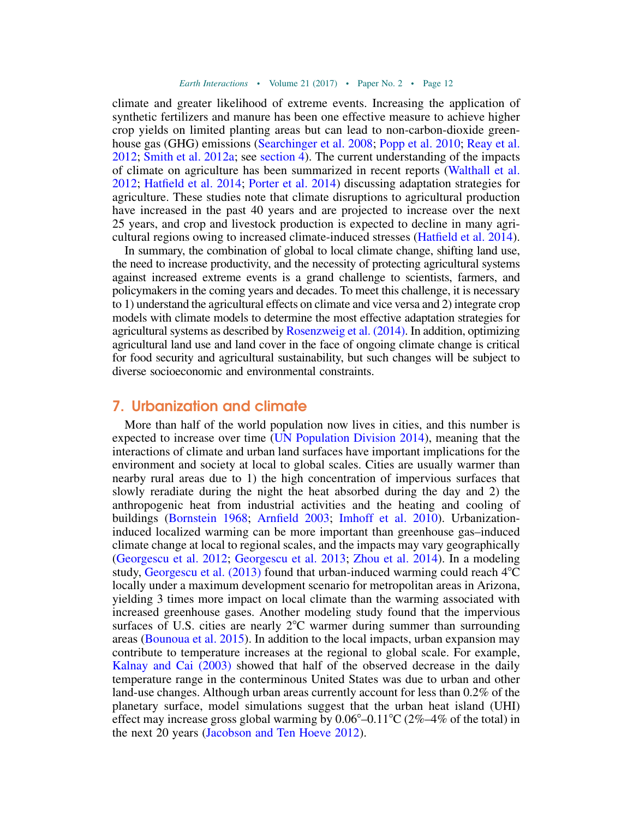climate and greater likelihood of extreme events. Increasing the application of synthetic fertilizers and manure has been one effective measure to achieve higher crop yields on limited planting areas but can lead to non-carbon-dioxide greenhouse gas (GHG) emissions ([Searchinger et al. 2008;](#page-39-4) [Popp et al. 2010](#page-38-15); [Reay et al.](#page-39-5) [2012;](#page-39-5) [Smith et al. 2012a;](#page-40-7) see [section 4\)](#page-8-0). The current understanding of the impacts of climate on agriculture has been summarized in recent reports ([Walthall et al.](#page-42-5) [2012;](#page-42-5) [Hatfield et al. 2014;](#page-32-12) [Porter et al. 2014](#page-38-14)) discussing adaptation strategies for agriculture. These studies note that climate disruptions to agricultural production have increased in the past 40 years and are projected to increase over the next 25 years, and crop and livestock production is expected to decline in many agricultural regions owing to increased climate-induced stresses [\(Hatfield et al. 2014](#page-32-12)).

In summary, the combination of global to local climate change, shifting land use, the need to increase productivity, and the necessity of protecting agricultural systems against increased extreme events is a grand challenge to scientists, farmers, and policymakers in the coming years and decades. To meet this challenge, it is necessary to 1) understand the agricultural effects on climate and vice versa and 2) integrate crop models with climate models to determine the most effective adaptation strategies for agricultural systems as described by [Rosenzweig et al. \(2014\).](#page-39-6) In addition, optimizing agricultural land use and land cover in the face of ongoing climate change is critical for food security and agricultural sustainability, but such changes will be subject to diverse socioeconomic and environmental constraints.

#### 7. Urbanization and climate

More than half of the world population now lives in cities, and this number is expected to increase over time [\(UN Population Division 2014\)](#page-41-10), meaning that the interactions of climate and urban land surfaces have important implications for the environment and society at local to global scales. Cities are usually warmer than nearby rural areas due to 1) the high concentration of impervious surfaces that slowly reradiate during the night the heat absorbed during the day and 2) the anthropogenic heat from industrial activities and the heating and cooling of buildings [\(Bornstein 1968;](#page-28-15) [Arnfield 2003;](#page-26-9) [Imhoff et al. 2010\)](#page-33-9). Urbanizationinduced localized warming can be more important than greenhouse gas–induced climate change at local to regional scales, and the impacts may vary geographically ([Georgescu et al. 2012](#page-31-10); [Georgescu et al. 2013;](#page-31-1) [Zhou et al. 2014\)](#page-43-7). In a modeling study, Georgescu et al.  $(2013)$  found that urban-induced warming could reach  $4^{\circ}$ C locally under a maximum development scenario for metropolitan areas in Arizona, yielding 3 times more impact on local climate than the warming associated with increased greenhouse gases. Another modeling study found that the impervious surfaces of U.S. cities are nearly  $2^{\circ}$ C warmer during summer than surrounding areas [\(Bounoua et al. 2015\)](#page-28-10). In addition to the local impacts, urban expansion may contribute to temperature increases at the regional to global scale. For example, [Kalnay and Cai \(2003\)](#page-34-4) showed that half of the observed decrease in the daily temperature range in the conterminous United States was due to urban and other land-use changes. Although urban areas currently account for less than 0.2% of the planetary surface, model simulations suggest that the urban heat island (UHI) effect may increase gross global warming by  $0.06^{\circ}$ – $0.11^{\circ}$ C (2%–4% of the total) in the next 20 years ([Jacobson and Ten Hoeve 2012\)](#page-34-1).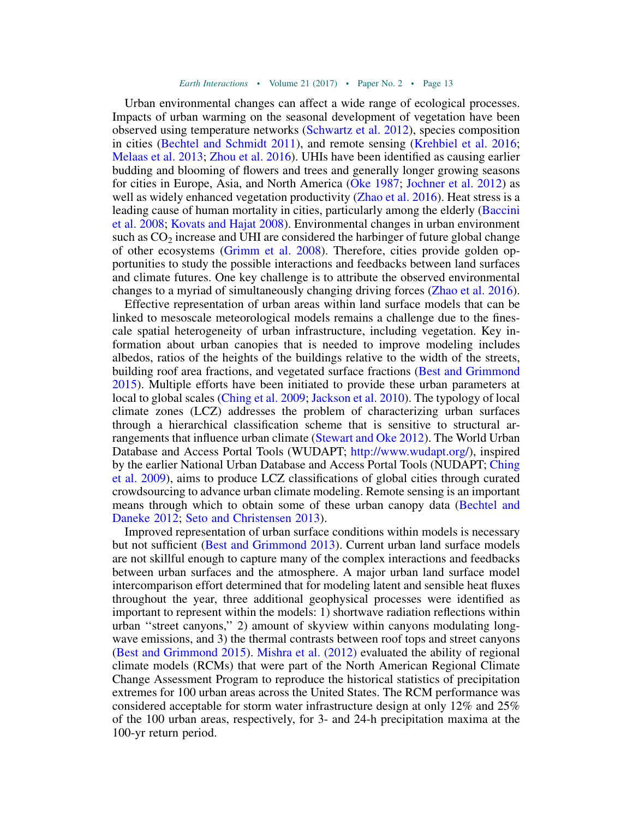Urban environmental changes can affect a wide range of ecological processes. Impacts of urban warming on the seasonal development of vegetation have been observed using temperature networks ([Schwartz et al. 2012\)](#page-39-7), species composition in cities ([Bechtel and Schmidt 2011](#page-27-4)), and remote sensing ([Krehbiel et al. 2016;](#page-34-5) [Melaas et al. 2013;](#page-36-6) [Zhou et al. 2016\)](#page-44-1). UHIs have been identified as causing earlier budding and blooming of flowers and trees and generally longer growing seasons for cities in Europe, Asia, and North America [\(Oke 1987](#page-37-7); [Jochner et al. 2012\)](#page-34-6) as well as widely enhanced vegetation productivity ([Zhao et al. 2016\)](#page-43-8). Heat stress is a leading cause of human mortality in cities, particularly among the elderly [\(Baccini](#page-27-5) [et al. 2008](#page-27-5); [Kovats and Hajat 2008\)](#page-34-7). Environmental changes in urban environment such as  $CO<sub>2</sub>$  increase and UHI are considered the harbinger of future global change of other ecosystems ([Grimm et al. 2008\)](#page-32-13). Therefore, cities provide golden opportunities to study the possible interactions and feedbacks between land surfaces and climate futures. One key challenge is to attribute the observed environmental changes to a myriad of simultaneously changing driving forces ([Zhao et al. 2016](#page-43-8)).

Effective representation of urban areas within land surface models that can be linked to mesoscale meteorological models remains a challenge due to the finescale spatial heterogeneity of urban infrastructure, including vegetation. Key information about urban canopies that is needed to improve modeling includes albedos, ratios of the heights of the buildings relative to the width of the streets, building roof area fractions, and vegetated surface fractions [\(Best and Grimmond](#page-27-6) [2015\)](#page-27-6). Multiple efforts have been initiated to provide these urban parameters at local to global scales [\(Ching et al. 2009;](#page-29-12) [Jackson et al. 2010](#page-33-10)). The typology of local climate zones (LCZ) addresses the problem of characterizing urban surfaces through a hierarchical classification scheme that is sensitive to structural arrangements that influence urban climate [\(Stewart and Oke 2012](#page-40-8)). The World Urban Database and Access Portal Tools (WUDAPT; [http://www.wudapt.org/\)](http://www.wudapt.org/), inspired by the earlier National Urban Database and Access Portal Tools (NUDAPT; [Ching](#page-29-12) [et al. 2009](#page-29-12)), aims to produce LCZ classifications of global cities through curated crowdsourcing to advance urban climate modeling. Remote sensing is an important means through which to obtain some of these urban canopy data [\(Bechtel and](#page-27-7) [Daneke 2012;](#page-27-7) [Seto and Christensen 2013\)](#page-40-9).

Improved representation of urban surface conditions within models is necessary but not sufficient ([Best and Grimmond 2013](#page-27-8)). Current urban land surface models are not skillful enough to capture many of the complex interactions and feedbacks between urban surfaces and the atmosphere. A major urban land surface model intercomparison effort determined that for modeling latent and sensible heat fluxes throughout the year, three additional geophysical processes were identified as important to represent within the models: 1) shortwave radiation reflections within urban ''street canyons,'' 2) amount of skyview within canyons modulating longwave emissions, and 3) the thermal contrasts between roof tops and street canyons ([Best and Grimmond 2015](#page-27-6)). [Mishra et al. \(2012\)](#page-36-7) evaluated the ability of regional climate models (RCMs) that were part of the North American Regional Climate Change Assessment Program to reproduce the historical statistics of precipitation extremes for 100 urban areas across the United States. The RCM performance was considered acceptable for storm water infrastructure design at only 12% and 25% of the 100 urban areas, respectively, for 3- and 24-h precipitation maxima at the 100-yr return period.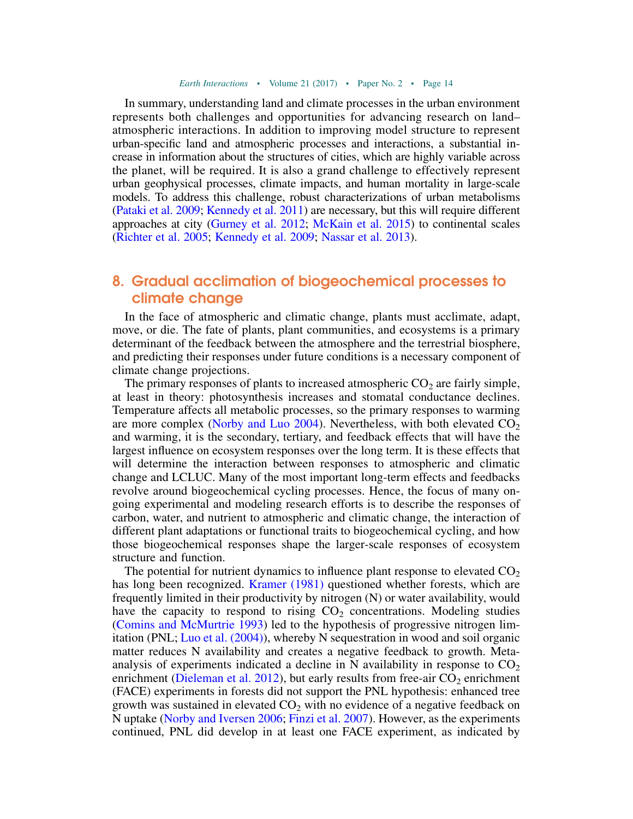In summary, understanding land and climate processes in the urban environment represents both challenges and opportunities for advancing research on land– atmospheric interactions. In addition to improving model structure to represent urban-specific land and atmospheric processes and interactions, a substantial increase in information about the structures of cities, which are highly variable across the planet, will be required. It is also a grand challenge to effectively represent urban geophysical processes, climate impacts, and human mortality in large-scale models. To address this challenge, robust characterizations of urban metabolisms ([Pataki et al. 2009;](#page-37-8) [Kennedy et al. 2011\)](#page-34-8) are necessary, but this will require different approaches at city [\(Gurney et al. 2012](#page-32-14); [McKain et al. 2015](#page-36-8)) to continental scales ([Richter et al. 2005](#page-39-8); [Kennedy et al. 2009](#page-34-9); [Nassar et al. 2013\)](#page-37-9).

## <span id="page-15-0"></span>8. Gradual acclimation of biogeochemical processes to climate change

In the face of atmospheric and climatic change, plants must acclimate, adapt, move, or die. The fate of plants, plant communities, and ecosystems is a primary determinant of the feedback between the atmosphere and the terrestrial biosphere, and predicting their responses under future conditions is a necessary component of climate change projections.

The primary responses of plants to increased atmospheric  $CO<sub>2</sub>$  are fairly simple, at least in theory: photosynthesis increases and stomatal conductance declines. Temperature affects all metabolic processes, so the primary responses to warming are more complex [\(Norby and Luo 2004](#page-37-10)). Nevertheless, with both elevated  $CO<sub>2</sub>$ and warming, it is the secondary, tertiary, and feedback effects that will have the largest influence on ecosystem responses over the long term. It is these effects that will determine the interaction between responses to atmospheric and climatic change and LCLUC. Many of the most important long-term effects and feedbacks revolve around biogeochemical cycling processes. Hence, the focus of many ongoing experimental and modeling research efforts is to describe the responses of carbon, water, and nutrient to atmospheric and climatic change, the interaction of different plant adaptations or functional traits to biogeochemical cycling, and how those biogeochemical responses shape the larger-scale responses of ecosystem structure and function.

The potential for nutrient dynamics to influence plant response to elevated  $CO<sub>2</sub>$ has long been recognized. [Kramer \(1981\)](#page-34-10) questioned whether forests, which are frequently limited in their productivity by nitrogen (N) or water availability, would have the capacity to respond to rising  $CO<sub>2</sub>$  concentrations. Modeling studies ([Comins and McMurtrie 1993\)](#page-29-13) led to the hypothesis of progressive nitrogen limitation (PNL; [Luo et al. \(2004\)\)](#page-35-14), whereby N sequestration in wood and soil organic matter reduces N availability and creates a negative feedback to growth. Metaanalysis of experiments indicated a decline in N availability in response to  $CO<sub>2</sub>$ enrichment ([Dieleman et al. 2012](#page-30-11)), but early results from free-air  $CO<sub>2</sub>$  enrichment (FACE) experiments in forests did not support the PNL hypothesis: enhanced tree growth was sustained in elevated  $CO<sub>2</sub>$  with no evidence of a negative feedback on N uptake ([Norby and Iversen 2006](#page-37-11); [Finzi et al. 2007\)](#page-31-11). However, as the experiments continued, PNL did develop in at least one FACE experiment, as indicated by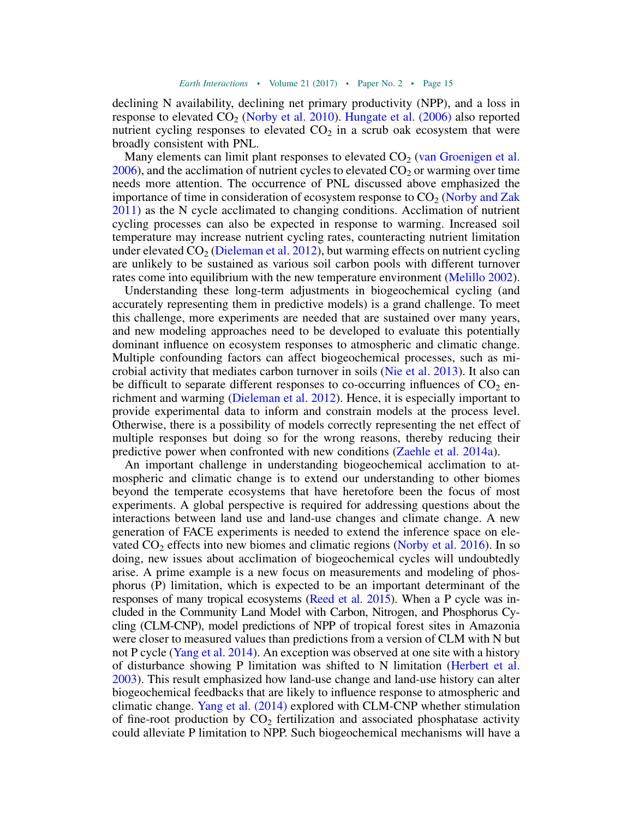declining N availability, declining net primary productivity (NPP), and a loss in response to elevated  $CO_2$  [\(Norby et al. 2010](#page-37-12)). [Hungate et al. \(2006\)](#page-33-11) also reported nutrient cycling responses to elevated  $CO<sub>2</sub>$  in a scrub oak ecosystem that were broadly consistent with PNL.

Many elements can limit plant responses to elevated  $CO<sub>2</sub>$  [\(van Groenigen et al.](#page-42-6)  $2006$ ), and the acclimation of nutrient cycles to elevated  $CO<sub>2</sub>$  or warming over time needs more attention. The occurrence of PNL discussed above emphasized the importance of time in consideration of ecosystem response to  $CO<sub>2</sub>$  [\(Norby and Zak](#page-37-13)) [2011\)](#page-37-13) as the N cycle acclimated to changing conditions. Acclimation of nutrient cycling processes can also be expected in response to warming. Increased soil temperature may increase nutrient cycling rates, counteracting nutrient limitation under elevated  $CO<sub>2</sub>$  [\(Dieleman et al. 2012\)](#page-30-11), but warming effects on nutrient cycling are unlikely to be sustained as various soil carbon pools with different turnover rates come into equilibrium with the new temperature environment [\(Melillo 2002](#page-36-9)).

Understanding these long-term adjustments in biogeochemical cycling (and accurately representing them in predictive models) is a grand challenge. To meet this challenge, more experiments are needed that are sustained over many years, and new modeling approaches need to be developed to evaluate this potentially dominant influence on ecosystem responses to atmospheric and climatic change. Multiple confounding factors can affect biogeochemical processes, such as microbial activity that mediates carbon turnover in soils [\(Nie et al. 2013](#page-37-14)). It also can be difficult to separate different responses to co-occurring influences of  $CO<sub>2</sub>$  enrichment and warming ([Dieleman et al. 2012](#page-30-11)). Hence, it is especially important to provide experimental data to inform and constrain models at the process level. Otherwise, there is a possibility of models correctly representing the net effect of multiple responses but doing so for the wrong reasons, thereby reducing their predictive power when confronted with new conditions ([Zaehle et al. 2014a](#page-43-9)).

An important challenge in understanding biogeochemical acclimation to atmospheric and climatic change is to extend our understanding to other biomes beyond the temperate ecosystems that have heretofore been the focus of most experiments. A global perspective is required for addressing questions about the interactions between land use and land-use changes and climate change. A new generation of FACE experiments is needed to extend the inference space on elevated  $CO<sub>2</sub>$  effects into new biomes and climatic regions ([Norby et al. 2016](#page-37-15)). In so doing, new issues about acclimation of biogeochemical cycles will undoubtedly arise. A prime example is a new focus on measurements and modeling of phosphorus (P) limitation, which is expected to be an important determinant of the responses of many tropical ecosystems ([Reed et al. 2015](#page-39-9)). When a P cycle was included in the Community Land Model with Carbon, Nitrogen, and Phosphorus Cycling (CLM-CNP), model predictions of NPP of tropical forest sites in Amazonia were closer to measured values than predictions from a version of CLM with N but not P cycle ([Yang et al. 2014\)](#page-43-10). An exception was observed at one site with a history of disturbance showing P limitation was shifted to N limitation [\(Herbert et al.](#page-33-12) [2003\)](#page-33-12). This result emphasized how land-use change and land-use history can alter biogeochemical feedbacks that are likely to influence response to atmospheric and climatic change. [Yang et al. \(2014\)](#page-43-10) explored with CLM-CNP whether stimulation of fine-root production by  $CO<sub>2</sub>$  fertilization and associated phosphatase activity could alleviate P limitation to NPP. Such biogeochemical mechanisms will have a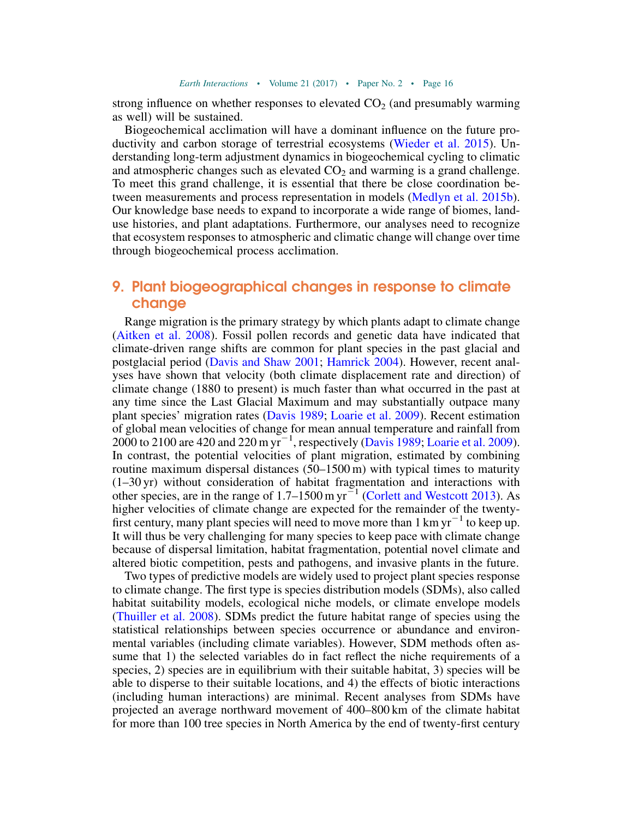strong influence on whether responses to elevated  $CO<sub>2</sub>$  (and presumably warming as well) will be sustained.

Biogeochemical acclimation will have a dominant influence on the future productivity and carbon storage of terrestrial ecosystems ([Wieder et al. 2015](#page-43-11)). Understanding long-term adjustment dynamics in biogeochemical cycling to climatic and atmospheric changes such as elevated  $CO<sub>2</sub>$  and warming is a grand challenge. To meet this grand challenge, it is essential that there be close coordination between measurements and process representation in models ([Medlyn et al. 2015b](#page-36-10)). Our knowledge base needs to expand to incorporate a wide range of biomes, landuse histories, and plant adaptations. Furthermore, our analyses need to recognize that ecosystem responses to atmospheric and climatic change will change over time through biogeochemical process acclimation.

## 9. Plant biogeographical changes in response to climate change

Range migration is the primary strategy by which plants adapt to climate change ([Aitken et al. 2008\)](#page-26-10). Fossil pollen records and genetic data have indicated that climate-driven range shifts are common for plant species in the past glacial and postglacial period ([Davis and Shaw 2001](#page-30-12); [Hamrick 2004\)](#page-32-15). However, recent analyses have shown that velocity (both climate displacement rate and direction) of climate change (1880 to present) is much faster than what occurred in the past at any time since the Last Glacial Maximum and may substantially outpace many plant species' migration rates [\(Davis 1989](#page-30-13); [Loarie et al. 2009\)](#page-35-15). Recent estimation of global mean velocities of change for mean annual temperature and rainfall from 2000 to 2100 are 420 and 220 m  $\mathrm{yr}^{-1}$ , respectively [\(Davis 1989](#page-30-13); [Loarie et al. 2009](#page-35-15)). In contrast, the potential velocities of plant migration, estimated by combining routine maximum dispersal distances (50–1500 m) with typical times to maturity (1–30 yr) without consideration of habitat fragmentation and interactions with other species, are in the range of  $1.7-1500$  m yr<sup>-1</sup> ([Corlett and Westcott 2013](#page-29-14)). As higher velocities of climate change are expected for the remainder of the twentyfirst century, many plant species will need to move more than  $1 \text{ km yr}^{-1}$  to keep up. It will thus be very challenging for many species to keep pace with climate change because of dispersal limitation, habitat fragmentation, potential novel climate and altered biotic competition, pests and pathogens, and invasive plants in the future.

Two types of predictive models are widely used to project plant species response to climate change. The first type is species distribution models (SDMs), also called habitat suitability models, ecological niche models, or climate envelope models ([Thuiller et al. 2008\)](#page-41-11). SDMs predict the future habitat range of species using the statistical relationships between species occurrence or abundance and environmental variables (including climate variables). However, SDM methods often assume that 1) the selected variables do in fact reflect the niche requirements of a species, 2) species are in equilibrium with their suitable habitat, 3) species will be able to disperse to their suitable locations, and 4) the effects of biotic interactions (including human interactions) are minimal. Recent analyses from SDMs have projected an average northward movement of 400–800 km of the climate habitat for more than 100 tree species in North America by the end of twenty-first century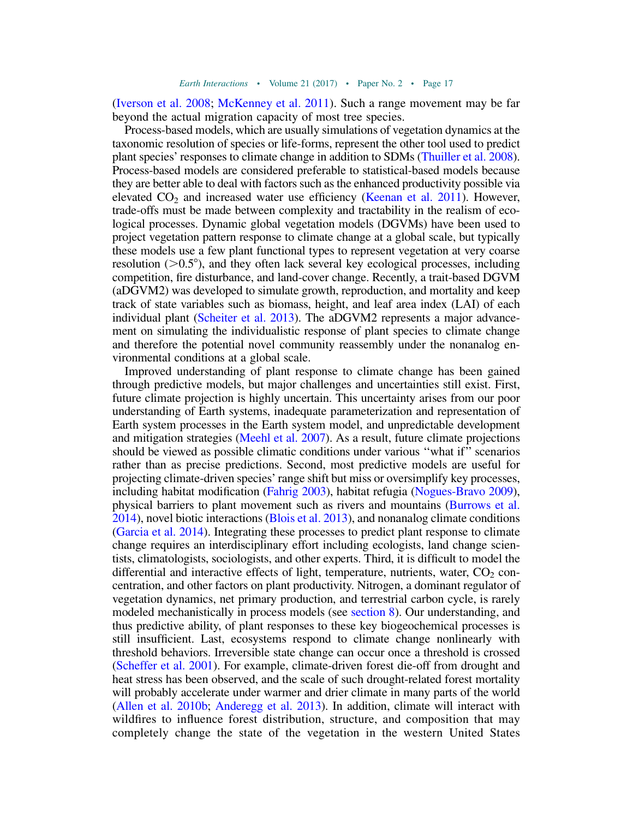([Iverson et al. 2008;](#page-33-13) [McKenney et al. 2011\)](#page-36-11). Such a range movement may be far beyond the actual migration capacity of most tree species.

Process-based models, which are usually simulations of vegetation dynamics at the taxonomic resolution of species or life-forms, represent the other tool used to predict plant species' responses to climate change in addition to SDMs ([Thuiller et al. 2008](#page-41-11)). Process-based models are considered preferable to statistical-based models because they are better able to deal with factors such as the enhanced productivity possible via elevated  $CO<sub>2</sub>$  and increased water use efficiency ([Keenan et al. 2011\)](#page-34-11). However, trade-offs must be made between complexity and tractability in the realism of ecological processes. Dynamic global vegetation models (DGVMs) have been used to project vegetation pattern response to climate change at a global scale, but typically these models use a few plant functional types to represent vegetation at very coarse resolution  $(0.5^{\circ})$ , and they often lack several key ecological processes, including competition, fire disturbance, and land-cover change. Recently, a trait-based DGVM (aDGVM2) was developed to simulate growth, reproduction, and mortality and keep track of state variables such as biomass, height, and leaf area index (LAI) of each individual plant [\(Scheiter et al. 2013\)](#page-39-10). The aDGVM2 represents a major advancement on simulating the individualistic response of plant species to climate change and therefore the potential novel community reassembly under the nonanalog environmental conditions at a global scale.

Improved understanding of plant response to climate change has been gained through predictive models, but major challenges and uncertainties still exist. First, future climate projection is highly uncertain. This uncertainty arises from our poor understanding of Earth systems, inadequate parameterization and representation of Earth system processes in the Earth system model, and unpredictable development and mitigation strategies ([Meehl et al. 2007\)](#page-36-12). As a result, future climate projections should be viewed as possible climatic conditions under various ''what if'' scenarios rather than as precise predictions. Second, most predictive models are useful for projecting climate-driven species' range shift but miss or oversimplify key processes, including habitat modification [\(Fahrig 2003\)](#page-31-12), habitat refugia [\(Nogues-Bravo 2009](#page-37-16)), physical barriers to plant movement such as rivers and mountains ([Burrows et al.](#page-29-15) [2014](#page-29-15)), novel biotic interactions ([Blois et al. 2013](#page-27-9)), and nonanalog climate conditions ([Garcia et al. 2014\)](#page-31-13). Integrating these processes to predict plant response to climate change requires an interdisciplinary effort including ecologists, land change scientists, climatologists, sociologists, and other experts. Third, it is difficult to model the differential and interactive effects of light, temperature, nutrients, water,  $CO<sub>2</sub>$  concentration, and other factors on plant productivity. Nitrogen, a dominant regulator of vegetation dynamics, net primary production, and terrestrial carbon cycle, is rarely modeled mechanistically in process models (see [section 8](#page-15-0)). Our understanding, and thus predictive ability, of plant responses to these key biogeochemical processes is still insufficient. Last, ecosystems respond to climate change nonlinearly with threshold behaviors. Irreversible state change can occur once a threshold is crossed ([Scheffer et al. 2001](#page-39-11)). For example, climate-driven forest die-off from drought and heat stress has been observed, and the scale of such drought-related forest mortality will probably accelerate under warmer and drier climate in many parts of the world ([Allen et al. 2010b;](#page-26-0) [Anderegg et al. 2013\)](#page-26-8). In addition, climate will interact with wildfires to influence forest distribution, structure, and composition that may completely change the state of the vegetation in the western United States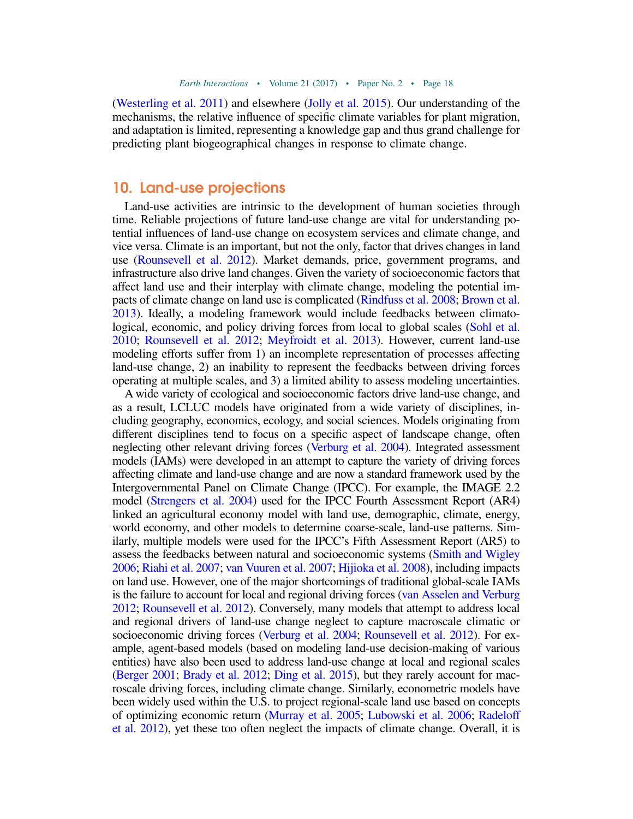([Westerling et al. 2011\)](#page-43-12) and elsewhere [\(Jolly et al. 2015](#page-34-12)). Our understanding of the mechanisms, the relative influence of specific climate variables for plant migration, and adaptation is limited, representing a knowledge gap and thus grand challenge for predicting plant biogeographical changes in response to climate change.

## 10. Land-use projections

Land-use activities are intrinsic to the development of human societies through time. Reliable projections of future land-use change are vital for understanding potential influences of land-use change on ecosystem services and climate change, and vice versa. Climate is an important, but not the only, factor that drives changes in land use [\(Rounsevell et al. 2012](#page-39-12)). Market demands, price, government programs, and infrastructure also drive land changes. Given the variety of socioeconomic factors that affect land use and their interplay with climate change, modeling the potential impacts of climate change on land use is complicated [\(Rindfuss et al. 2008;](#page-39-13) [Brown et al.](#page-28-16) [2013\)](#page-28-16). Ideally, a modeling framework would include feedbacks between climatological, economic, and policy driving forces from local to global scales ([Sohl et al.](#page-40-10) [2010;](#page-40-10) [Rounsevell et al. 2012;](#page-39-12) [Meyfroidt et al. 2013](#page-36-13)). However, current land-use modeling efforts suffer from 1) an incomplete representation of processes affecting land-use change, 2) an inability to represent the feedbacks between driving forces operating at multiple scales, and 3) a limited ability to assess modeling uncertainties.

A wide variety of ecological and socioeconomic factors drive land-use change, and as a result, LCLUC models have originated from a wide variety of disciplines, including geography, economics, ecology, and social sciences. Models originating from different disciplines tend to focus on a specific aspect of landscape change, often neglecting other relevant driving forces [\(Verburg et al. 2004](#page-42-7)). Integrated assessment models (IAMs) were developed in an attempt to capture the variety of driving forces affecting climate and land-use change and are now a standard framework used by the Intergovernmental Panel on Climate Change (IPCC). For example, the IMAGE 2.2 model ([Strengers et al. 2004\)](#page-41-12) used for the IPCC Fourth Assessment Report (AR4) linked an agricultural economy model with land use, demographic, climate, energy, world economy, and other models to determine coarse-scale, land-use patterns. Similarly, multiple models were used for the IPCC's Fifth Assessment Report (AR5) to assess the feedbacks between natural and socioeconomic systems ([Smith and Wigley](#page-40-11) [2006;](#page-40-11) [Riahi et al. 2007;](#page-39-14) [van Vuuren et al. 2007;](#page-42-8) [Hijioka et al. 2008](#page-33-14)), including impacts on land use. However, one of the major shortcomings of traditional global-scale IAMs is the failure to account for local and regional driving forces ([van Asselen and Verburg](#page-41-13) [2012;](#page-41-13) [Rounsevell et al. 2012](#page-39-12)). Conversely, many models that attempt to address local and regional drivers of land-use change neglect to capture macroscale climatic or socioeconomic driving forces [\(Verburg et al. 2004](#page-42-7); [Rounsevell et al. 2012](#page-39-12)). For example, agent-based models (based on modeling land-use decision-making of various entities) have also been used to address land-use change at local and regional scales [\(Berger 2001](#page-27-10); [Brady et al. 2012](#page-28-17); [Ding et al. 2015\)](#page-30-14), but they rarely account for macroscale driving forces, including climate change. Similarly, econometric models have been widely used within the U.S. to project regional-scale land use based on concepts of optimizing economic return [\(Murray et al. 2005;](#page-37-17) [Lubowski et al. 2006;](#page-35-16) [Radeloff](#page-38-16) [et al. 2012\)](#page-38-16), yet these too often neglect the impacts of climate change. Overall, it is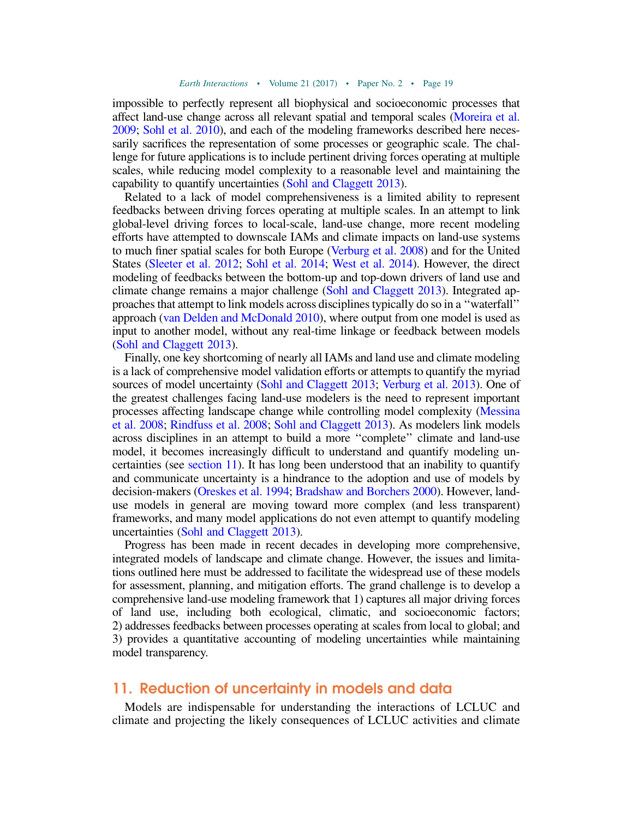impossible to perfectly represent all biophysical and socioeconomic processes that affect land-use change across all relevant spatial and temporal scales [\(Moreira et al.](#page-36-14) [2009;](#page-36-14) [Sohl et al. 2010](#page-40-10)), and each of the modeling frameworks described here necessarily sacrifices the representation of some processes or geographic scale. The challenge for future applications is to include pertinent driving forces operating at multiple scales, while reducing model complexity to a reasonable level and maintaining the capability to quantify uncertainties [\(Sohl and Claggett 2013](#page-40-12)).

Related to a lack of model comprehensiveness is a limited ability to represent feedbacks between driving forces operating at multiple scales. In an attempt to link global-level driving forces to local-scale, land-use change, more recent modeling efforts have attempted to downscale IAMs and climate impacts on land-use systems to much finer spatial scales for both Europe [\(Verburg et al. 2008](#page-42-9)) and for the United States [\(Sleeter et al. 2012](#page-40-13); [Sohl et al. 2014](#page-40-14); [West et al. 2014](#page-42-10)). However, the direct modeling of feedbacks between the bottom-up and top-down drivers of land use and climate change remains a major challenge ([Sohl and Claggett 2013](#page-40-12)). Integrated approaches that attempt to link models across disciplines typically do so in a ''waterfall'' approach [\(van Delden and McDonald 2010\)](#page-42-11), where output from one model is used as input to another model, without any real-time linkage or feedback between models [\(Sohl and Claggett 2013\)](#page-40-12).

Finally, one key shortcoming of nearly all IAMs and land use and climate modeling is a lack of comprehensive model validation efforts or attempts to quantify the myriad sources of model uncertainty [\(Sohl and Claggett 2013](#page-40-12); [Verburg et al. 2013](#page-42-12)). One of the greatest challenges facing land-use modelers is the need to represent important processes affecting landscape change while controlling model complexity [\(Messina](#page-36-15) [et al. 2008](#page-36-15); [Rindfuss et al. 2008;](#page-39-13) [Sohl and Claggett 2013\)](#page-40-12). As modelers link models across disciplines in an attempt to build a more ''complete'' climate and land-use model, it becomes increasingly difficult to understand and quantify modeling uncertainties (see [section 11\)](#page-20-0). It has long been understood that an inability to quantify and communicate uncertainty is a hindrance to the adoption and use of models by decision-makers [\(Oreskes et al. 1994;](#page-37-18) [Bradshaw and Borchers 2000\)](#page-28-18). However, landuse models in general are moving toward more complex (and less transparent) frameworks, and many model applications do not even attempt to quantify modeling uncertainties [\(Sohl and Claggett 2013](#page-40-12)).

Progress has been made in recent decades in developing more comprehensive, integrated models of landscape and climate change. However, the issues and limitations outlined here must be addressed to facilitate the widespread use of these models for assessment, planning, and mitigation efforts. The grand challenge is to develop a comprehensive land-use modeling framework that 1) captures all major driving forces of land use, including both ecological, climatic, and socioeconomic factors; 2) addresses feedbacks between processes operating at scales from local to global; and 3) provides a quantitative accounting of modeling uncertainties while maintaining model transparency.

#### <span id="page-20-0"></span>11. Reduction of uncertainty in models and data

Models are indispensable for understanding the interactions of LCLUC and climate and projecting the likely consequences of LCLUC activities and climate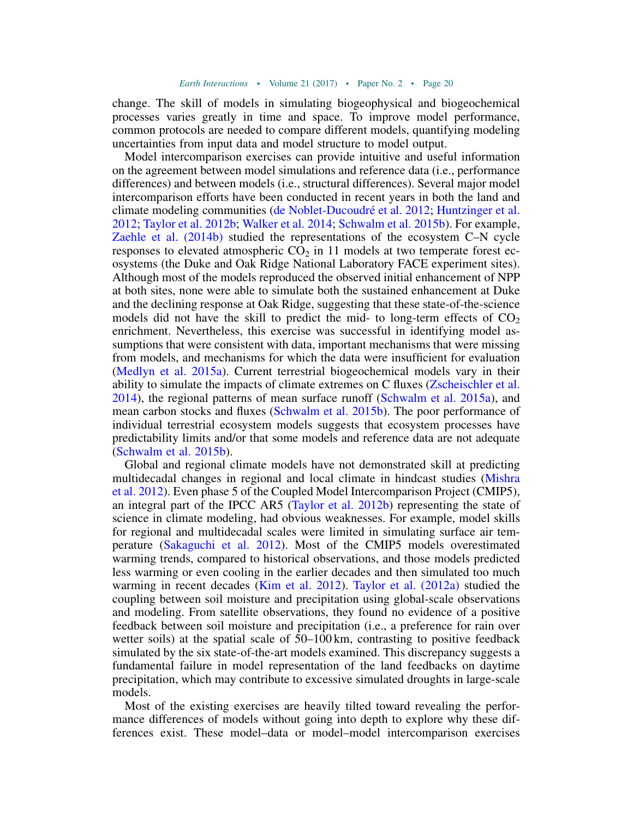change. The skill of models in simulating biogeophysical and biogeochemical processes varies greatly in time and space. To improve model performance, common protocols are needed to compare different models, quantifying modeling uncertainties from input data and model structure to model output.

Model intercomparison exercises can provide intuitive and useful information on the agreement between model simulations and reference data (i.e., performance differences) and between models (i.e., structural differences). Several major model intercomparison efforts have been conducted in recent years in both the land and climate modeling communities ([de Noblet-Ducoudr](#page-30-0)é et al. 2012; [Huntzinger et al.](#page-33-15) [2012;](#page-33-15) [Taylor et al. 2012b](#page-41-14); [Walker et al. 2014;](#page-42-13) [Schwalm et al. 2015b\)](#page-39-15). For example, [Zaehle et al. \(2014b\)](#page-43-13) studied the representations of the ecosystem C–N cycle responses to elevated atmospheric  $CO<sub>2</sub>$  in 11 models at two temperate forest ecosystems (the Duke and Oak Ridge National Laboratory FACE experiment sites). Although most of the models reproduced the observed initial enhancement of NPP at both sites, none were able to simulate both the sustained enhancement at Duke and the declining response at Oak Ridge, suggesting that these state-of-the-science models did not have the skill to predict the mid- to long-term effects of  $CO<sub>2</sub>$ enrichment. Nevertheless, this exercise was successful in identifying model assumptions that were consistent with data, important mechanisms that were missing from models, and mechanisms for which the data were insufficient for evaluation ([Medlyn et al. 2015a\)](#page-36-16). Current terrestrial biogeochemical models vary in their ability to simulate the impacts of climate extremes on C fluxes [\(Zscheischler et al.](#page-44-2) [2014\)](#page-44-2), the regional patterns of mean surface runoff [\(Schwalm et al. 2015a\)](#page-39-16), and mean carbon stocks and fluxes ([Schwalm et al. 2015b\)](#page-39-15). The poor performance of individual terrestrial ecosystem models suggests that ecosystem processes have predictability limits and/or that some models and reference data are not adequate ([Schwalm et al. 2015b](#page-39-15)).

Global and regional climate models have not demonstrated skill at predicting multidecadal changes in regional and local climate in hindcast studies [\(Mishra](#page-36-7) [et al. 2012](#page-36-7)). Even phase 5 of the Coupled Model Intercomparison Project (CMIP5), an integral part of the IPCC AR5 [\(Taylor et al. 2012b](#page-41-14)) representing the state of science in climate modeling, had obvious weaknesses. For example, model skills for regional and multidecadal scales were limited in simulating surface air temperature [\(Sakaguchi et al. 2012\)](#page-39-17). Most of the CMIP5 models overestimated warming trends, compared to historical observations, and those models predicted less warming or even cooling in the earlier decades and then simulated too much warming in recent decades ([Kim et al. 2012](#page-34-13)). [Taylor et al. \(2012a\)](#page-41-15) studied the coupling between soil moisture and precipitation using global-scale observations and modeling. From satellite observations, they found no evidence of a positive feedback between soil moisture and precipitation (i.e., a preference for rain over wetter soils) at the spatial scale of 50–100 km, contrasting to positive feedback simulated by the six state-of-the-art models examined. This discrepancy suggests a fundamental failure in model representation of the land feedbacks on daytime precipitation, which may contribute to excessive simulated droughts in large-scale models.

Most of the existing exercises are heavily tilted toward revealing the performance differences of models without going into depth to explore why these differences exist. These model–data or model–model intercomparison exercises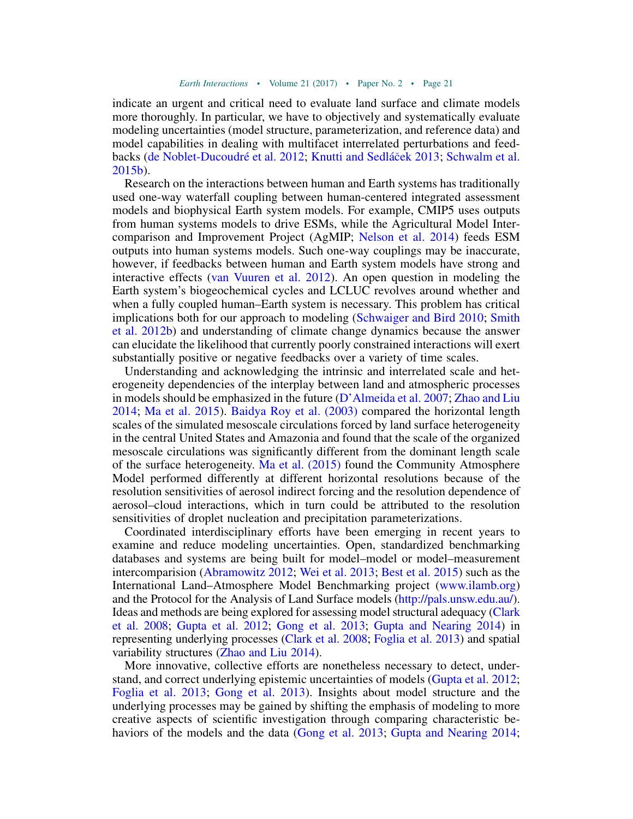indicate an urgent and critical need to evaluate land surface and climate models more thoroughly. In particular, we have to objectively and systematically evaluate modeling uncertainties (model structure, parameterization, and reference data) and model capabilities in dealing with multifacet interrelated perturbations and feedbacks [\(de Noblet-Ducoudr](#page-30-0)é et al. 2012; [Knutti and Sedl](#page-34-14)á[cek 2013](#page-34-14); [Schwalm et al.](#page-39-15) [2015b\)](#page-39-15).

Research on the interactions between human and Earth systems has traditionally used one-way waterfall coupling between human-centered integrated assessment models and biophysical Earth system models. For example, CMIP5 uses outputs from human systems models to drive ESMs, while the Agricultural Model Intercomparison and Improvement Project (AgMIP; [Nelson et al. 2014\)](#page-37-19) feeds ESM outputs into human systems models. Such one-way couplings may be inaccurate, however, if feedbacks between human and Earth system models have strong and interactive effects [\(van Vuuren et al. 2012\)](#page-42-14). An open question in modeling the Earth system's biogeochemical cycles and LCLUC revolves around whether and when a fully coupled human–Earth system is necessary. This problem has critical implications both for our approach to modeling ([Schwaiger and Bird 2010;](#page-39-18) [Smith](#page-40-15) [et al. 2012b\)](#page-40-15) and understanding of climate change dynamics because the answer can elucidate the likelihood that currently poorly constrained interactions will exert substantially positive or negative feedbacks over a variety of time scales.

Understanding and acknowledging the intrinsic and interrelated scale and heterogeneity dependencies of the interplay between land and atmospheric processes in models should be emphasized in the future [\(D'Almeida et al. 2007;](#page-30-15) [Zhao and Liu](#page-43-14) [2014;](#page-43-14) [Ma et al. 2015\)](#page-36-17). [Baidya Roy et al. \(2003\)](#page-27-11) compared the horizontal length scales of the simulated mesoscale circulations forced by land surface heterogeneity in the central United States and Amazonia and found that the scale of the organized mesoscale circulations was significantly different from the dominant length scale of the surface heterogeneity. [Ma et al. \(2015\)](#page-36-17) found the Community Atmosphere Model performed differently at different horizontal resolutions because of the resolution sensitivities of aerosol indirect forcing and the resolution dependence of aerosol–cloud interactions, which in turn could be attributed to the resolution sensitivities of droplet nucleation and precipitation parameterizations.

Coordinated interdisciplinary efforts have been emerging in recent years to examine and reduce modeling uncertainties. Open, standardized benchmarking databases and systems are being built for model–model or model–measurement intercomparision [\(Abramowitz 2012;](#page-26-2) [Wei et al. 2013;](#page-42-15) [Best et al. 2015\)](#page-27-2) such as the International Land–Atmosphere Model Benchmarking project [\(www.ilamb.org](http://www.ilamb.org)) and the Protocol for the Analysis of Land Surface models (<http://pals.unsw.edu.au/>). Ideas and methods are being explored for assessing model structural adequacy [\(Clark](#page-29-16) [et al. 2008;](#page-29-16) [Gupta et al. 2012](#page-32-16); [Gong et al. 2013](#page-32-17); [Gupta and Nearing 2014\)](#page-32-1) in representing underlying processes [\(Clark et al. 2008](#page-29-16); [Foglia et al. 2013](#page-31-14)) and spatial variability structures [\(Zhao and Liu 2014\)](#page-43-14).

More innovative, collective efforts are nonetheless necessary to detect, understand, and correct underlying epistemic uncertainties of models ([Gupta et al. 2012;](#page-32-16) [Foglia et al. 2013;](#page-31-14) [Gong et al. 2013](#page-32-17)). Insights about model structure and the underlying processes may be gained by shifting the emphasis of modeling to more creative aspects of scientific investigation through comparing characteristic be-haviors of the models and the data ([Gong et al. 2013;](#page-32-17) [Gupta and Nearing 2014;](#page-32-1)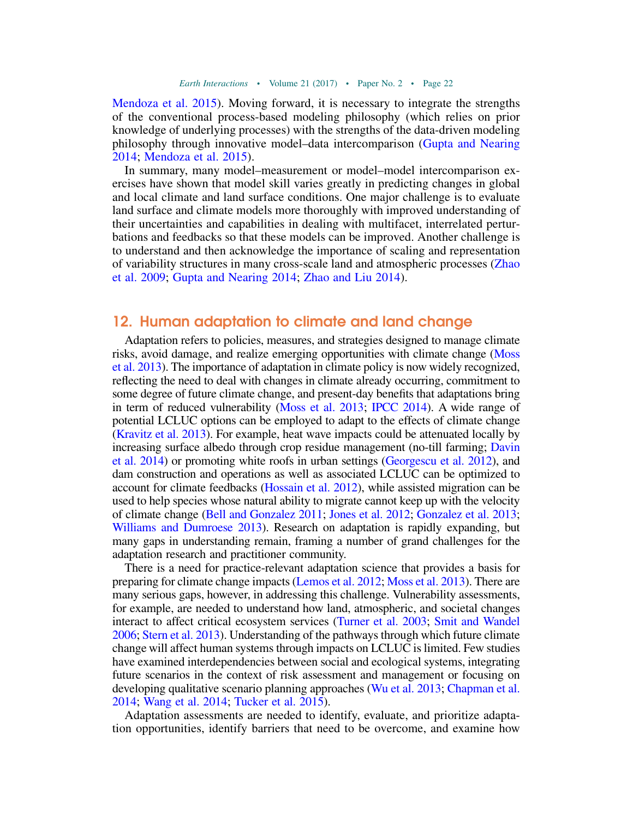[Mendoza et al. 2015\)](#page-36-18). Moving forward, it is necessary to integrate the strengths of the conventional process-based modeling philosophy (which relies on prior knowledge of underlying processes) with the strengths of the data-driven modeling philosophy through innovative model–data intercomparison [\(Gupta and Nearing](#page-32-1) [2014;](#page-32-1) [Mendoza et al. 2015](#page-36-18)).

In summary, many model–measurement or model–model intercomparison exercises have shown that model skill varies greatly in predicting changes in global and local climate and land surface conditions. One major challenge is to evaluate land surface and climate models more thoroughly with improved understanding of their uncertainties and capabilities in dealing with multifacet, interrelated perturbations and feedbacks so that these models can be improved. Another challenge is to understand and then acknowledge the importance of scaling and representation of variability structures in many cross-scale land and atmospheric processes ([Zhao](#page-43-15) [et al. 2009](#page-43-15); [Gupta and Nearing 2014](#page-32-1); [Zhao and Liu 2014](#page-43-14)).

### 12. Human adaptation to climate and land change

Adaptation refers to policies, measures, and strategies designed to manage climate risks, avoid damage, and realize emerging opportunities with climate change [\(Moss](#page-37-20) [et al. 2013](#page-37-20)). The importance of adaptation in climate policy is now widely recognized, reflecting the need to deal with changes in climate already occurring, commitment to some degree of future climate change, and present-day benefits that adaptations bring in term of reduced vulnerability ([Moss et al. 2013;](#page-37-20) [IPCC 2014](#page-33-16)). A wide range of potential LCLUC options can be employed to adapt to the effects of climate change [\(Kravitz et al. 2013](#page-34-15)). For example, heat wave impacts could be attenuated locally by increasing surface albedo through crop residue management (no-till farming; [Davin](#page-30-4) [et al. 2014\)](#page-30-4) or promoting white roofs in urban settings [\(Georgescu et al. 2012](#page-31-10)), and dam construction and operations as well as associated LCLUC can be optimized to account for climate feedbacks [\(Hossain et al. 2012\)](#page-33-17), while assisted migration can be used to help species whose natural ability to migrate cannot keep up with the velocity of climate change [\(Bell and Gonzalez 2011](#page-27-12); [Jones et al. 2012;](#page-34-16) [Gonzalez et al. 2013;](#page-32-18) [Williams and Dumroese 2013](#page-43-16)). Research on adaptation is rapidly expanding, but many gaps in understanding remain, framing a number of grand challenges for the adaptation research and practitioner community.

There is a need for practice-relevant adaptation science that provides a basis for preparing for climate change impacts ([Lemos et al. 2012;](#page-35-17) [Moss et al. 2013](#page-37-20)). There are many serious gaps, however, in addressing this challenge. Vulnerability assessments, for example, are needed to understand how land, atmospheric, and societal changes interact to affect critical ecosystem services [\(Turner et al. 2003;](#page-41-16) [Smit and Wandel](#page-40-16) [2006](#page-40-16); [Stern et al. 2013\)](#page-40-17). Understanding of the pathways through which future climate change will affect human systems through impacts on LCLUC is limited. Few studies have examined interdependencies between social and ecological systems, integrating future scenarios in the context of risk assessment and management or focusing on developing qualitative scenario planning approaches [\(Wu et al. 2013;](#page-43-17) [Chapman et al.](#page-29-17) [2014](#page-29-17); [Wang et al. 2014;](#page-42-16) [Tucker et al. 2015](#page-41-17)).

Adaptation assessments are needed to identify, evaluate, and prioritize adaptation opportunities, identify barriers that need to be overcome, and examine how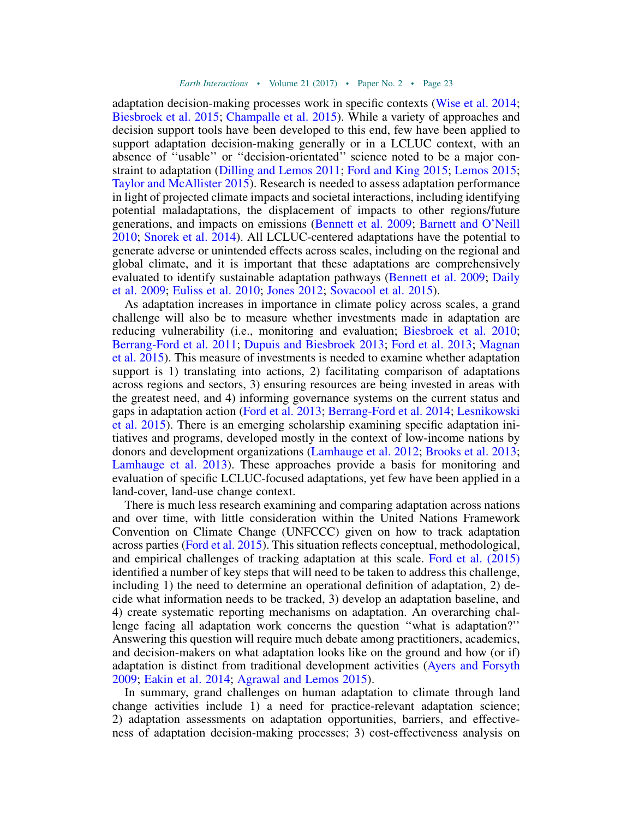adaptation decision-making processes work in specific contexts ([Wise et al. 2014;](#page-43-18) [Biesbroek et al. 2015](#page-27-13); [Champalle et al. 2015](#page-29-18)). While a variety of approaches and decision support tools have been developed to this end, few have been applied to support adaptation decision-making generally or in a LCLUC context, with an absence of ''usable'' or ''decision-orientated'' science noted to be a major constraint to adaptation ([Dilling and Lemos 2011](#page-30-16); [Ford and King 2015](#page-31-15); [Lemos 2015;](#page-35-18) [Taylor and McAllister 2015](#page-41-18)). Research is needed to assess adaptation performance in light of projected climate impacts and societal interactions, including identifying potential maladaptations, the displacement of impacts to other regions/future generations, and impacts on emissions ([Bennett et al. 2009;](#page-27-14) [Barnett and O'Neill](#page-27-15) [2010;](#page-27-15) [Snorek et al. 2014\)](#page-40-18). All LCLUC-centered adaptations have the potential to generate adverse or unintended effects across scales, including on the regional and global climate, and it is important that these adaptations are comprehensively evaluated to identify sustainable adaptation pathways [\(Bennett et al. 2009](#page-27-14); [Daily](#page-30-17) [et al. 2009](#page-30-17); [Euliss et al. 2010;](#page-31-16) [Jones 2012;](#page-34-17) [Sovacool et al. 2015\)](#page-40-19).

As adaptation increases in importance in climate policy across scales, a grand challenge will also be to measure whether investments made in adaptation are reducing vulnerability (i.e., monitoring and evaluation; [Biesbroek et al. 2010;](#page-27-16) [Berrang-Ford et al. 2011](#page-27-17); [Dupuis and Biesbroek 2013;](#page-30-18) [Ford et al. 2013;](#page-31-17) [Magnan](#page-36-19) [et al. 2015\)](#page-36-19). This measure of investments is needed to examine whether adaptation support is 1) translating into actions, 2) facilitating comparison of adaptations across regions and sectors, 3) ensuring resources are being invested in areas with the greatest need, and 4) informing governance systems on the current status and gaps in adaptation action [\(Ford et al. 2013](#page-31-17); [Berrang-Ford et al. 2014;](#page-27-18) [Lesnikowski](#page-35-19) [et al. 2015\)](#page-35-19). There is an emerging scholarship examining specific adaptation initiatives and programs, developed mostly in the context of low-income nations by donors and development organizations [\(Lamhauge et al. 2012](#page-34-18); [Brooks et al. 2013;](#page-28-19) [Lamhauge et al. 2013\)](#page-34-19). These approaches provide a basis for monitoring and evaluation of specific LCLUC-focused adaptations, yet few have been applied in a land-cover, land-use change context.

There is much less research examining and comparing adaptation across nations and over time, with little consideration within the United Nations Framework Convention on Climate Change (UNFCCC) given on how to track adaptation across parties ([Ford et al. 2015\)](#page-31-18). This situation reflects conceptual, methodological, and empirical challenges of tracking adaptation at this scale. [Ford et al. \(2015\)](#page-31-18) identified a number of key steps that will need to be taken to address this challenge, including 1) the need to determine an operational definition of adaptation, 2) decide what information needs to be tracked, 3) develop an adaptation baseline, and 4) create systematic reporting mechanisms on adaptation. An overarching challenge facing all adaptation work concerns the question ''what is adaptation?'' Answering this question will require much debate among practitioners, academics, and decision-makers on what adaptation looks like on the ground and how (or if) adaptation is distinct from traditional development activities ([Ayers and Forsyth](#page-27-19) [2009;](#page-27-19) [Eakin et al. 2014;](#page-30-19) [Agrawal and Lemos 2015](#page-26-11)).

In summary, grand challenges on human adaptation to climate through land change activities include 1) a need for practice-relevant adaptation science; 2) adaptation assessments on adaptation opportunities, barriers, and effectiveness of adaptation decision-making processes; 3) cost-effectiveness analysis on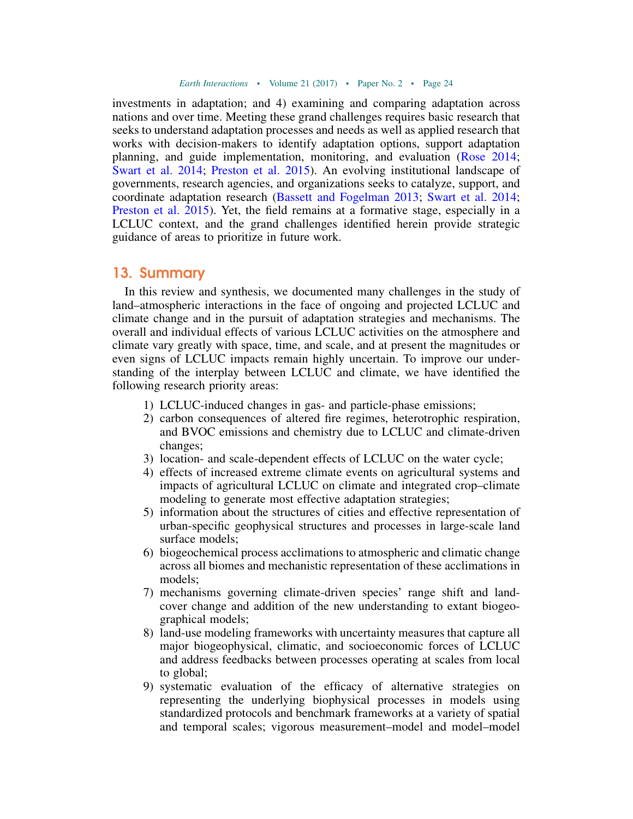investments in adaptation; and 4) examining and comparing adaptation across nations and over time. Meeting these grand challenges requires basic research that seeks to understand adaptation processes and needs as well as applied research that works with decision-makers to identify adaptation options, support adaptation planning, and guide implementation, monitoring, and evaluation ([Rose 2014;](#page-39-19) [Swart et al. 2014](#page-41-19); [Preston et al. 2015\)](#page-38-17). An evolving institutional landscape of governments, research agencies, and organizations seeks to catalyze, support, and coordinate adaptation research ([Bassett and Fogelman 2013](#page-27-20); [Swart et al. 2014;](#page-41-19) [Preston et al. 2015\)](#page-38-17). Yet, the field remains at a formative stage, especially in a LCLUC context, and the grand challenges identified herein provide strategic guidance of areas to prioritize in future work.

#### 13. Summary

In this review and synthesis, we documented many challenges in the study of land–atmospheric interactions in the face of ongoing and projected LCLUC and climate change and in the pursuit of adaptation strategies and mechanisms. The overall and individual effects of various LCLUC activities on the atmosphere and climate vary greatly with space, time, and scale, and at present the magnitudes or even signs of LCLUC impacts remain highly uncertain. To improve our understanding of the interplay between LCLUC and climate, we have identified the following research priority areas:

- 1) LCLUC-induced changes in gas- and particle-phase emissions;
- 2) carbon consequences of altered fire regimes, heterotrophic respiration, and BVOC emissions and chemistry due to LCLUC and climate-driven changes;
- 3) location- and scale-dependent effects of LCLUC on the water cycle;
- 4) effects of increased extreme climate events on agricultural systems and impacts of agricultural LCLUC on climate and integrated crop–climate modeling to generate most effective adaptation strategies;
- 5) information about the structures of cities and effective representation of urban-specific geophysical structures and processes in large-scale land surface models;
- 6) biogeochemical process acclimations to atmospheric and climatic change across all biomes and mechanistic representation of these acclimations in models;
- 7) mechanisms governing climate-driven species' range shift and landcover change and addition of the new understanding to extant biogeographical models;
- 8) land-use modeling frameworks with uncertainty measures that capture all major biogeophysical, climatic, and socioeconomic forces of LCLUC and address feedbacks between processes operating at scales from local to global;
- 9) systematic evaluation of the efficacy of alternative strategies on representing the underlying biophysical processes in models using standardized protocols and benchmark frameworks at a variety of spatial and temporal scales; vigorous measurement–model and model–model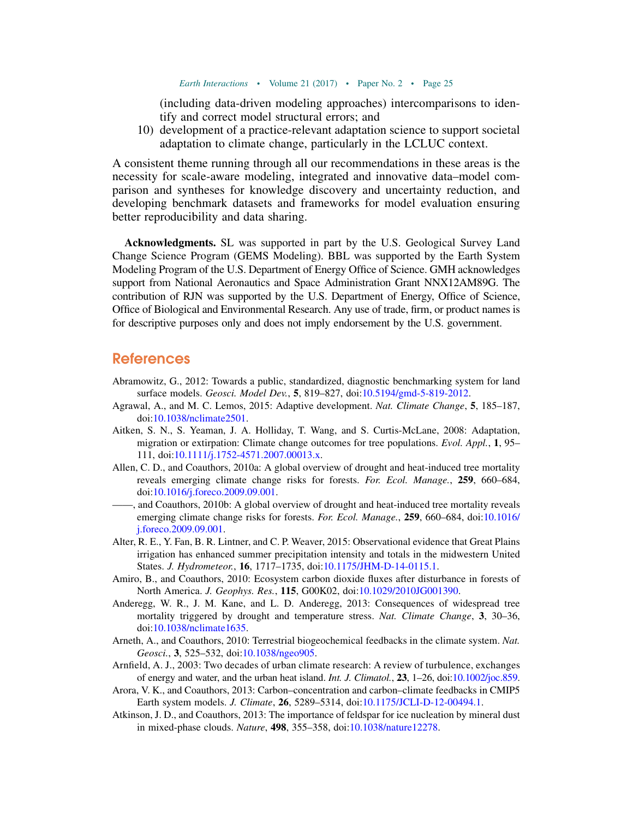(including data-driven modeling approaches) intercomparisons to identify and correct model structural errors; and

10) development of a practice-relevant adaptation science to support societal adaptation to climate change, particularly in the LCLUC context.

A consistent theme running through all our recommendations in these areas is the necessity for scale-aware modeling, integrated and innovative data–model comparison and syntheses for knowledge discovery and uncertainty reduction, and developing benchmark datasets and frameworks for model evaluation ensuring better reproducibility and data sharing.

Acknowledgments. SL was supported in part by the U.S. Geological Survey Land Change Science Program (GEMS Modeling). BBL was supported by the Earth System Modeling Program of the U.S. Department of Energy Office of Science. GMH acknowledges support from National Aeronautics and Space Administration Grant NNX12AM89G. The contribution of RJN was supported by the U.S. Department of Energy, Office of Science, Office of Biological and Environmental Research. Any use of trade, firm, or product names is for descriptive purposes only and does not imply endorsement by the U.S. government.

#### References

- <span id="page-26-2"></span>Abramowitz, G., 2012: Towards a public, standardized, diagnostic benchmarking system for land surface models. Geosci. Model Dev., 5, 819-827, doi[:10.5194/gmd-5-819-2012](http://dx.doi.org/10.5194/gmd-5-819-2012).
- <span id="page-26-11"></span>Agrawal, A., and M. C. Lemos, 2015: Adaptive development. Nat. Climate Change, 5, 185–187, doi[:10.1038/nclimate2501](http://dx.doi.org/10.1038/nclimate2501).
- <span id="page-26-10"></span>Aitken, S. N., S. Yeaman, J. A. Holliday, T. Wang, and S. Curtis-McLane, 2008: Adaptation, migration or extirpation: Climate change outcomes for tree populations. Evol. Appl., 1, 95– 111, doi:[10.1111/j.1752-4571.2007.00013.x.](http://dx.doi.org/10.1111/j.1752-4571.2007.00013.x)
- <span id="page-26-7"></span>Allen, C. D., and Coauthors, 2010a: A global overview of drought and heat-induced tree mortality reveals emerging climate change risks for forests. For. Ecol. Manage., 259, 660–684, doi[:10.1016/j.foreco.2009.09.001.](http://dx.doi.org/10.1016/j.foreco.2009.09.001)
- <span id="page-26-0"></span> $\frac{1}{2}$ , and Coauthors, 2010b: A global overview of drought and heat-induced tree mortality reveals emerging climate change risks for forests. For. Ecol. Manage., 259, 660-684, doi:[10.1016/](http://dx.doi.org/10.1016/j.foreco.2009.09.001) [j.foreco.2009.09.001.](http://dx.doi.org/10.1016/j.foreco.2009.09.001)
- <span id="page-26-6"></span>Alter, R. E., Y. Fan, B. R. Lintner, and C. P. Weaver, 2015: Observational evidence that Great Plains irrigation has enhanced summer precipitation intensity and totals in the midwestern United States. J. Hydrometeor., 16, 1717-1735, doi:[10.1175/JHM-D-14-0115.1.](http://dx.doi.org/10.1175/JHM-D-14-0115.1)
- <span id="page-26-3"></span>Amiro, B., and Coauthors, 2010: Ecosystem carbon dioxide fluxes after disturbance in forests of North America. J. Geophys. Res., 115, G00K02, doi[:10.1029/2010JG001390.](http://dx.doi.org/10.1029/2010JG001390)
- <span id="page-26-8"></span>Anderegg, W. R., J. M. Kane, and L. D. Anderegg, 2013: Consequences of widespread tree mortality triggered by drought and temperature stress. Nat. Climate Change, 3, 30–36, doi[:10.1038/nclimate1635](http://dx.doi.org/10.1038/nclimate1635).
- <span id="page-26-4"></span>Arneth, A., and Coauthors, 2010: Terrestrial biogeochemical feedbacks in the climate system. Nat. Geosci., 3, 525–532, doi:[10.1038/ngeo905](http://dx.doi.org/10.1038/ngeo905).
- <span id="page-26-9"></span>Arnfield, A. J., 2003: Two decades of urban climate research: A review of turbulence, exchanges of energy and water, and the urban heat island. Int. J. Climatol., 23, 1–26, doi[:10.1002/joc.859.](http://dx.doi.org/10.1002/joc.859)
- <span id="page-26-1"></span>Arora, V. K., and Coauthors, 2013: Carbon–concentration and carbon–climate feedbacks in CMIP5 Earth system models. J. Climate, 26, 5289-5314, doi:[10.1175/JCLI-D-12-00494.1.](http://dx.doi.org/10.1175/JCLI-D-12-00494.1)
- <span id="page-26-5"></span>Atkinson, J. D., and Coauthors, 2013: The importance of feldspar for ice nucleation by mineral dust in mixed-phase clouds. Nature, 498, 355–358, doi[:10.1038/nature12278.](http://dx.doi.org/10.1038/nature12278)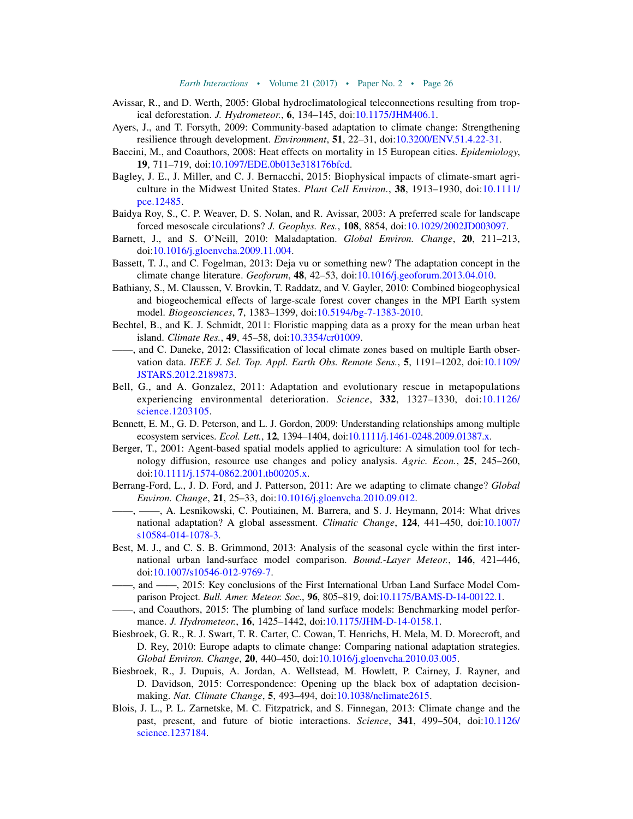- <span id="page-27-3"></span>Avissar, R., and D. Werth, 2005: Global hydroclimatological teleconnections resulting from tropical deforestation. J. Hydrometeor., 6, 134–145, doi:[10.1175/JHM406.1.](http://dx.doi.org/10.1175/JHM406.1)
- <span id="page-27-19"></span>Ayers, J., and T. Forsyth, 2009: Community-based adaptation to climate change: Strengthening resilience through development. Environment, 51, 22–31, doi:[10.3200/ENV.51.4.22-31](http://dx.doi.org/10.3200/ENV.51.4.22-31).
- <span id="page-27-5"></span>Baccini, M., and Coauthors, 2008: Heat effects on mortality in 15 European cities. Epidemiology, 19, 711–719, doi[:10.1097/EDE.0b013e318176bfcd](http://dx.doi.org/10.1097/EDE.0b013e318176bfcd).
- <span id="page-27-0"></span>Bagley, J. E., J. Miller, and C. J. Bernacchi, 2015: Biophysical impacts of climate-smart agriculture in the Midwest United States. Plant Cell Environ., 38, 1913–1930, doi:[10.1111/](http://dx.doi.org/10.1111/pce.12485) [pce.12485](http://dx.doi.org/10.1111/pce.12485).
- <span id="page-27-11"></span>Baidya Roy, S., C. P. Weaver, D. S. Nolan, and R. Avissar, 2003: A preferred scale for landscape forced mesoscale circulations? J. Geophys. Res., 108, 8854, doi:[10.1029/2002JD003097.](http://dx.doi.org/10.1029/2002JD003097)
- <span id="page-27-15"></span>Barnett, J., and S. O'Neill, 2010: Maladaptation. Global Environ. Change, 20, 211–213, doi[:10.1016/j.gloenvcha.2009.11.004](http://dx.doi.org/10.1016/j.gloenvcha.2009.11.004).
- <span id="page-27-20"></span>Bassett, T. J., and C. Fogelman, 2013: Deja vu or something new? The adaptation concept in the climate change literature. Geoforum,  $48$ ,  $42-53$ , doi: $10.1016$ /j.geoforum.2013.04.010.
- <span id="page-27-1"></span>Bathiany, S., M. Claussen, V. Brovkin, T. Raddatz, and V. Gayler, 2010: Combined biogeophysical and biogeochemical effects of large-scale forest cover changes in the MPI Earth system model. Biogeosciences, 7, 1383–1399, doi:[10.5194/bg-7-1383-2010.](http://dx.doi.org/10.5194/bg-7-1383-2010)
- <span id="page-27-4"></span>Bechtel, B., and K. J. Schmidt, 2011: Floristic mapping data as a proxy for the mean urban heat island. Climate Res., 49, 45–58, doi:[10.3354/cr01009.](http://dx.doi.org/10.3354/cr01009)
- <span id="page-27-7"></span>——, and C. Daneke, 2012: Classification of local climate zones based on multiple Earth observation data. IEEE J. Sel. Top. Appl. Earth Obs. Remote Sens., 5, 1191–1202, doi:[10.1109/](http://dx.doi.org/10.1109/JSTARS.2012.2189873) [JSTARS.2012.2189873](http://dx.doi.org/10.1109/JSTARS.2012.2189873).
- <span id="page-27-12"></span>Bell, G., and A. Gonzalez, 2011: Adaptation and evolutionary rescue in metapopulations experiencing environmental deterioration. Science,  $332$ ,  $1327-1330$ , doi:[10.1126/](http://dx.doi.org/10.1126/science.1203105) [science.1203105.](http://dx.doi.org/10.1126/science.1203105)
- <span id="page-27-14"></span>Bennett, E. M., G. D. Peterson, and L. J. Gordon, 2009: Understanding relationships among multiple ecosystem services. Ecol. Lett., 12, 1394–1404, doi[:10.1111/j.1461-0248.2009.01387.x](http://dx.doi.org/10.1111/j.1461-0248.2009.01387.x).
- <span id="page-27-10"></span>Berger, T., 2001: Agent-based spatial models applied to agriculture: A simulation tool for technology diffusion, resource use changes and policy analysis. Agric. Econ., 25, 245–260, doi[:10.1111/j.1574-0862.2001.tb00205.x](http://dx.doi.org/10.1111/j.1574-0862.2001.tb00205.x).
- <span id="page-27-17"></span>Berrang-Ford, L., J. D. Ford, and J. Patterson, 2011: Are we adapting to climate change? Global Environ. Change, 21, 25–33, doi:[10.1016/j.gloenvcha.2010.09.012](http://dx.doi.org/10.1016/j.gloenvcha.2010.09.012).
- <span id="page-27-18"></span>——, ——, A. Lesnikowski, C. Poutiainen, M. Barrera, and S. J. Heymann, 2014: What drives national adaptation? A global assessment. Climatic Change, 124, 441-450, doi:[10.1007/](http://dx.doi.org/10.1007/s10584-014-1078-3) [s10584-014-1078-3](http://dx.doi.org/10.1007/s10584-014-1078-3).
- <span id="page-27-8"></span>Best, M. J., and C. S. B. Grimmond, 2013: Analysis of the seasonal cycle within the first international urban land-surface model comparison. Bound.-Layer Meteor., 146, 421–446, doi[:10.1007/s10546-012-9769-7](http://dx.doi.org/10.1007/s10546-012-9769-7).
- <span id="page-27-6"></span>——, and ——, 2015: Key conclusions of the First International Urban Land Surface Model Comparison Project. Bull. Amer. Meteor. Soc., 96, 805–819, doi:[10.1175/BAMS-D-14-00122.1.](http://dx.doi.org/10.1175/BAMS-D-14-00122.1)
- <span id="page-27-2"></span>——, and Coauthors, 2015: The plumbing of land surface models: Benchmarking model performance. J. Hydrometeor., 16, 1425–1442, doi[:10.1175/JHM-D-14-0158.1.](http://dx.doi.org/10.1175/JHM-D-14-0158.1)
- <span id="page-27-16"></span>Biesbroek, G. R., R. J. Swart, T. R. Carter, C. Cowan, T. Henrichs, H. Mela, M. D. Morecroft, and D. Rey, 2010: Europe adapts to climate change: Comparing national adaptation strategies. Global Environ. Change, 20, 440–450, doi[:10.1016/j.gloenvcha.2010.03.005](http://dx.doi.org/10.1016/j.gloenvcha.2010.03.005).
- <span id="page-27-13"></span>Biesbroek, R., J. Dupuis, A. Jordan, A. Wellstead, M. Howlett, P. Cairney, J. Rayner, and D. Davidson, 2015: Correspondence: Opening up the black box of adaptation decisionmaking. Nat. Climate Change, 5, 493–494, doi:[10.1038/nclimate2615.](http://dx.doi.org/10.1038/nclimate2615)
- <span id="page-27-9"></span>Blois, J. L., P. L. Zarnetske, M. C. Fitzpatrick, and S. Finnegan, 2013: Climate change and the past, present, and future of biotic interactions. Science, 341, 499–504, doi:[10.1126/](http://dx.doi.org/10.1126/science.1237184) [science.1237184.](http://dx.doi.org/10.1126/science.1237184)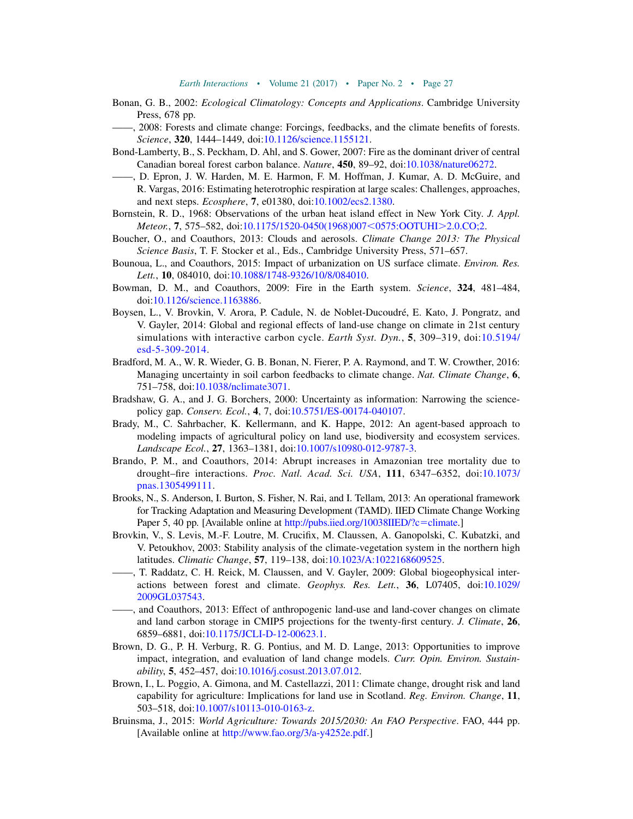- <span id="page-28-8"></span>Bonan, G. B., 2002: Ecological Climatology: Concepts and Applications. Cambridge University Press, 678 pp.
- <span id="page-28-9"></span>——, 2008: Forests and climate change: Forcings, feedbacks, and the climate benefits of forests. Science, 320, 1444–1449, doi[:10.1126/science.1155121](http://dx.doi.org/10.1126/science.1155121).
- <span id="page-28-5"></span>Bond-Lamberty, B., S. Peckham, D. Ahl, and S. Gower, 2007: Fire as the dominant driver of central Canadian boreal forest carbon balance. Nature, 450, 89–92, doi[:10.1038/nature06272](http://dx.doi.org/10.1038/nature06272).
- <span id="page-28-7"></span>——, D. Epron, J. W. Harden, M. E. Harmon, F. M. Hoffman, J. Kumar, A. D. McGuire, and R. Vargas, 2016: Estimating heterotrophic respiration at large scales: Challenges, approaches, and next steps. Ecosphere, 7, e01380, doi:[10.1002/ecs2.1380.](http://dx.doi.org/10.1002/ecs2.1380)
- <span id="page-28-15"></span>Bornstein, R. D., 1968: Observations of the urban heat island effect in New York City. J. Appl.  $$
- <span id="page-28-11"></span>Boucher, O., and Coauthors, 2013: Clouds and aerosols. Climate Change 2013: The Physical Science Basis, T. F. Stocker et al., Eds., Cambridge University Press, 571-657.
- <span id="page-28-10"></span>Bounoua, L., and Coauthors, 2015: Impact of urbanization on US surface climate. Environ. Res. Lett., **10**, 084010, doi:[10.1088/1748-9326/10/8/084010.](http://dx.doi.org/10.1088/1748-9326/10/8/084010)
- <span id="page-28-4"></span>Bowman, D. M., and Coauthors, 2009: Fire in the Earth system. Science, 324, 481–484, doi[:10.1126/science.1163886](http://dx.doi.org/10.1126/science.1163886).
- <span id="page-28-1"></span>Boysen, L., V. Brovkin, V. Arora, P. Cadule, N. de Noblet-Ducoudré, E. Kato, J. Pongratz, and V. Gayler, 2014: Global and regional effects of land-use change on climate in 21st century simulations with interactive carbon cycle. Earth Syst. Dyn., 5, 309-319, doi:[10.5194/](http://dx.doi.org/10.5194/esd-5-309-2014) [esd-5-309-2014](http://dx.doi.org/10.5194/esd-5-309-2014).
- <span id="page-28-6"></span>Bradford, M. A., W. R. Wieder, G. B. Bonan, N. Fierer, P. A. Raymond, and T. W. Crowther, 2016: Managing uncertainty in soil carbon feedbacks to climate change. Nat. Climate Change, 6, 751–758, doi:[10.1038/nclimate3071](http://dx.doi.org/10.1038/nclimate3071).
- <span id="page-28-18"></span>Bradshaw, G. A., and J. G. Borchers, 2000: Uncertainty as information: Narrowing the sciencepolicy gap. Conserv. Ecol., 4, 7, doi[:10.5751/ES-00174-040107.](http://dx.doi.org/10.5751/ES-00174-040107)
- <span id="page-28-17"></span>Brady, M., C. Sahrbacher, K. Kellermann, and K. Happe, 2012: An agent-based approach to modeling impacts of agricultural policy on land use, biodiversity and ecosystem services. Landscape Ecol., 27, 1363–1381, doi:[10.1007/s10980-012-9787-3.](http://dx.doi.org/10.1007/s10980-012-9787-3)
- <span id="page-28-12"></span>Brando, P. M., and Coauthors, 2014: Abrupt increases in Amazonian tree mortality due to drought–fire interactions. Proc. Natl. Acad. Sci. USA, 111, 6347–6352, doi:[10.1073/](http://dx.doi.org/10.1073/pnas.1305499111) [pnas.1305499111.](http://dx.doi.org/10.1073/pnas.1305499111)
- <span id="page-28-19"></span>Brooks, N., S. Anderson, I. Burton, S. Fisher, N. Rai, and I. Tellam, 2013: An operational framework for Tracking Adaptation and Measuring Development (TAMD). IIED Climate Change Working Paper 5, 40 pp. [Available online at [http://pubs.iied.org/10038IIED/?c](http://pubs.iied.org/10038IIED/?c=climate)=climate.]
- <span id="page-28-2"></span>Brovkin, V., S. Levis, M.-F. Loutre, M. Crucifix, M. Claussen, A. Ganopolski, C. Kubatzki, and V. Petoukhov, 2003: Stability analysis of the climate-vegetation system in the northern high latitudes. Climatic Change, 57, 119–138, doi:[10.1023/A:1022168609525.](http://dx.doi.org/10.1023/A:1022168609525)
- <span id="page-28-3"></span>——, T. Raddatz, C. H. Reick, M. Claussen, and V. Gayler, 2009: Global biogeophysical interactions between forest and climate. Geophys. Res. Lett., 36, L07405, doi:[10.1029/](http://dx.doi.org/10.1029/2009GL037543) [2009GL037543.](http://dx.doi.org/10.1029/2009GL037543)
- <span id="page-28-0"></span>——, and Coauthors, 2013: Effect of anthropogenic land-use and land-cover changes on climate and land carbon storage in CMIP5 projections for the twenty-first century. J. Climate, 26, 6859–6881, doi:[10.1175/JCLI-D-12-00623.1](http://dx.doi.org/10.1175/JCLI-D-12-00623.1).
- <span id="page-28-16"></span>Brown, D. G., P. H. Verburg, R. G. Pontius, and M. D. Lange, 2013: Opportunities to improve impact, integration, and evaluation of land change models. Curr. Opin. Environ. Sustainability, 5, 452–457, doi:[10.1016/j.cosust.2013.07.012.](http://dx.doi.org/10.1016/j.cosust.2013.07.012)
- <span id="page-28-13"></span>Brown, I., L. Poggio, A. Gimona, and M. Castellazzi, 2011: Climate change, drought risk and land capability for agriculture: Implications for land use in Scotland. Reg. Environ. Change, 11, 503–518, doi:[10.1007/s10113-010-0163-z](http://dx.doi.org/10.1007/s10113-010-0163-z).
- <span id="page-28-14"></span>Bruinsma, J., 2015: World Agriculture: Towards 2015/2030: An FAO Perspective. FAO, 444 pp. [Available online at [http://www.fao.org/3/a-y4252e.pdf.](http://www.fao.org/3/a-y4252e.pdf)]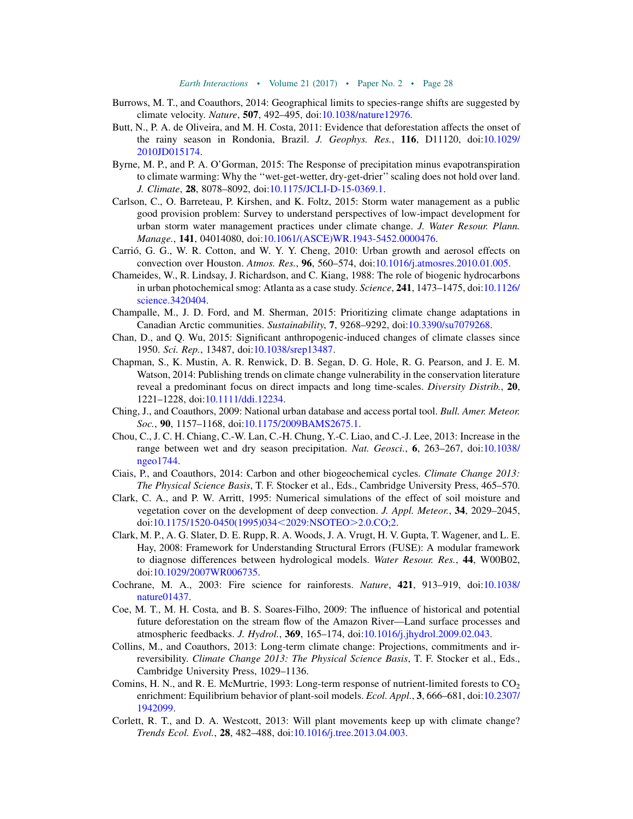- <span id="page-29-15"></span>Burrows, M. T., and Coauthors, 2014: Geographical limits to species-range shifts are suggested by climate velocity. Nature, 507, 492–495, doi:[10.1038/nature12976.](http://dx.doi.org/10.1038/nature12976)
- <span id="page-29-5"></span>Butt, N., P. A. de Oliveira, and M. H. Costa, 2011: Evidence that deforestation affects the onset of the rainy season in Rondonia, Brazil. J. Geophys. Res., 116, D11120, doi:[10.1029/](http://dx.doi.org/10.1029/2010JD015174) [2010JD015174.](http://dx.doi.org/10.1029/2010JD015174)
- <span id="page-29-10"></span>Byrne, M. P., and P. A. O'Gorman, 2015: The Response of precipitation minus evapotranspiration to climate warming: Why the ''wet-get-wetter, dry-get-drier'' scaling does not hold over land. J. Climate, 28, 8078–8092, doi:[10.1175/JCLI-D-15-0369.1.](http://dx.doi.org/10.1175/JCLI-D-15-0369.1)
- <span id="page-29-7"></span>Carlson, C., O. Barreteau, P. Kirshen, and K. Foltz, 2015: Storm water management as a public good provision problem: Survey to understand perspectives of low-impact development for urban storm water management practices under climate change. J. Water Resour. Plann. Manage., 141, 04014080, doi:[10.1061/\(ASCE\)WR.1943-5452.0000476](http://dx.doi.org/10.1061/(ASCE)WR.1943-5452.0000476).
- <span id="page-29-6"></span>Carrió, G. G., W. R. Cotton, and W. Y. Y. Cheng, 2010: Urban growth and aerosol effects on convection over Houston. Atmos. Res., 96, 560–574, doi[:10.1016/j.atmosres.2010.01.005.](http://dx.doi.org/10.1016/j.atmosres.2010.01.005)
- <span id="page-29-3"></span>Chameides, W., R. Lindsay, J. Richardson, and C. Kiang, 1988: The role of biogenic hydrocarbons in urban photochemical smog: Atlanta as a case study. Science, 241, 1473-1475, doi:[10.1126/](http://dx.doi.org/10.1126/science.3420404) [science.3420404.](http://dx.doi.org/10.1126/science.3420404)
- <span id="page-29-18"></span>Champalle, M., J. D. Ford, and M. Sherman, 2015: Prioritizing climate change adaptations in Canadian Arctic communities. Sustainability, 7, 9268–9292, doi[:10.3390/su7079268](http://dx.doi.org/10.3390/su7079268).
- <span id="page-29-11"></span>Chan, D., and Q. Wu, 2015: Significant anthropogenic-induced changes of climate classes since 1950. Sci. Rep., 13487, doi[:10.1038/srep13487](http://dx.doi.org/10.1038/srep13487).
- <span id="page-29-17"></span>Chapman, S., K. Mustin, A. R. Renwick, D. B. Segan, D. G. Hole, R. G. Pearson, and J. E. M. Watson, 2014: Publishing trends on climate change vulnerability in the conservation literature reveal a predominant focus on direct impacts and long time-scales. Diversity Distrib., 20, 1221–1228, doi:[10.1111/ddi.12234](http://dx.doi.org/10.1111/ddi.12234).
- <span id="page-29-12"></span>Ching, J., and Coauthors, 2009: National urban database and access portal tool. Bull. Amer. Meteor. Soc., 90, 1157-1168, doi:[10.1175/2009BAMS2675.1](http://dx.doi.org/10.1175/2009BAMS2675.1).
- <span id="page-29-8"></span>Chou, C., J. C. H. Chiang, C.-W. Lan, C.-H. Chung, Y.-C. Liao, and C.-J. Lee, 2013: Increase in the range between wet and dry season precipitation. Nat. Geosci., 6, 263–267, doi:[10.1038/](http://dx.doi.org/10.1038/ngeo1744) [ngeo1744](http://dx.doi.org/10.1038/ngeo1744).
- <span id="page-29-4"></span>Ciais, P., and Coauthors, 2014: Carbon and other biogeochemical cycles. Climate Change 2013: The Physical Science Basis, T. F. Stocker et al., Eds., Cambridge University Press, 465–570.
- <span id="page-29-0"></span>Clark, C. A., and P. W. Arritt, 1995: Numerical simulations of the effect of soil moisture and vegetation cover on the development of deep convection. J. Appl. Meteor., 34, 2029-2045, doi[:10.1175/1520-0450\(1995\)034](http://dx.doi.org/10.1175/1520-0450(1995)034<2029:NSOTEO>2.0.CO;2)<2029:NSOTEO>2.0.CO;2.
- <span id="page-29-16"></span>Clark, M. P., A. G. Slater, D. E. Rupp, R. A. Woods, J. A. Vrugt, H. V. Gupta, T. Wagener, and L. E. Hay, 2008: Framework for Understanding Structural Errors (FUSE): A modular framework to diagnose differences between hydrological models. Water Resour. Res., 44, W00B02, doi[:10.1029/2007WR006735](http://dx.doi.org/10.1029/2007WR006735).
- <span id="page-29-2"></span>Cochrane, M. A., 2003: Fire science for rainforests. Nature, 421, 913–919, doi:[10.1038/](http://dx.doi.org/10.1038/nature01437) [nature01437.](http://dx.doi.org/10.1038/nature01437)
- <span id="page-29-1"></span>Coe, M. T., M. H. Costa, and B. S. Soares-Filho, 2009: The influence of historical and potential future deforestation on the stream flow of the Amazon River—Land surface processes and atmospheric feedbacks. J. Hydrol., 369, 165–174, doi[:10.1016/j.jhydrol.2009.02.043](http://dx.doi.org/10.1016/j.jhydrol.2009.02.043).
- <span id="page-29-9"></span>Collins, M., and Coauthors, 2013: Long-term climate change: Projections, commitments and irreversibility. Climate Change 2013: The Physical Science Basis, T. F. Stocker et al., Eds., Cambridge University Press, 1029–1136.
- <span id="page-29-13"></span>Comins, H. N., and R. E. McMurtrie, 1993: Long-term response of nutrient-limited forests to  $CO<sub>2</sub>$ enrichment: Equilibrium behavior of plant-soil models. Ecol. Appl., 3, 666–681, doi:[10.2307/](http://dx.doi.org/10.2307/1942099) [1942099.](http://dx.doi.org/10.2307/1942099)
- <span id="page-29-14"></span>Corlett, R. T., and D. A. Westcott, 2013: Will plant movements keep up with climate change? Trends Ecol. Evol., 28, 482–488, doi[:10.1016/j.tree.2013.04.003](http://dx.doi.org/10.1016/j.tree.2013.04.003).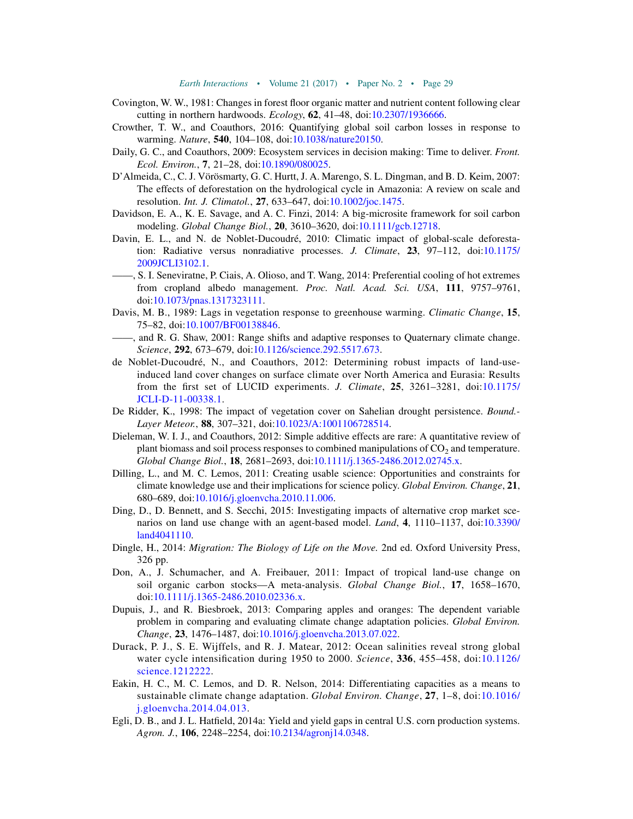- <span id="page-30-6"></span>Covington, W. W., 1981: Changes in forest floor organic matter and nutrient content following clear cutting in northern hardwoods.  $Ecology$ ,  $62$ ,  $41-48$ ,  $doi:10.2307/1936666$ .
- <span id="page-30-8"></span>Crowther, T. W., and Coauthors, 2016: Quantifying global soil carbon losses in response to warming. Nature, 540, 104–108, doi[:10.1038/nature20150](http://dx.doi.org/10.1038/nature20150).
- <span id="page-30-17"></span>Daily, G. C., and Coauthors, 2009: Ecosystem services in decision making: Time to deliver. Front. Ecol. Environ., 7, 21–28, doi:[10.1890/080025.](http://dx.doi.org/10.1890/080025)
- <span id="page-30-15"></span>D'Almeida, C., C. J. Vörösmarty, G. C. Hurtt, J. A. Marengo, S. L. Dingman, and B. D. Keim, 2007: The effects of deforestation on the hydrological cycle in Amazonia: A review on scale and resolution. *Int. J. Climatol.*, 27, 633–647, doi:[10.1002/joc.1475.](http://dx.doi.org/10.1002/joc.1475)
- <span id="page-30-7"></span>Davidson, E. A., K. E. Savage, and A. C. Finzi, 2014: A big-microsite framework for soil carbon modeling. Global Change Biol., 20, 3610–3620, doi:[10.1111/gcb.12718.](http://dx.doi.org/10.1111/gcb.12718)
- <span id="page-30-3"></span>Davin, E. L., and N. de Noblet-Ducoudré, 2010: Climatic impact of global-scale deforestation: Radiative versus nonradiative processes. J. Climate, 23, 97–112, doi:[10.1175/](http://dx.doi.org/10.1175/2009JCLI3102.1) [2009JCLI3102.1.](http://dx.doi.org/10.1175/2009JCLI3102.1)
- <span id="page-30-4"></span>——, S. I. Seneviratne, P. Ciais, A. Olioso, and T. Wang, 2014: Preferential cooling of hot extremes from cropland albedo management. Proc. Natl. Acad. Sci. USA, 111, 9757-9761, doi[:10.1073/pnas.1317323111](http://dx.doi.org/10.1073/pnas.1317323111).
- <span id="page-30-13"></span>Davis, M. B., 1989: Lags in vegetation response to greenhouse warming. Climatic Change, 15, 75–82, doi:[10.1007/BF00138846.](http://dx.doi.org/10.1007/BF00138846)
- <span id="page-30-12"></span>——, and R. G. Shaw, 2001: Range shifts and adaptive responses to Quaternary climate change. Science, 292, 673-679, doi[:10.1126/science.292.5517.673](http://dx.doi.org/10.1126/science.292.5517.673).
- <span id="page-30-0"></span>de Noblet-Ducoudré, N., and Coauthors, 2012: Determining robust impacts of land-useinduced land cover changes on surface climate over North America and Eurasia: Results from the first set of LUCID experiments. J. Climate, 25, 3261–3281, doi:[10.1175/](http://dx.doi.org/10.1175/JCLI-D-11-00338.1) [JCLI-D-11-00338.1.](http://dx.doi.org/10.1175/JCLI-D-11-00338.1)
- <span id="page-30-2"></span>De Ridder, K., 1998: The impact of vegetation cover on Sahelian drought persistence. *Bound.*-Layer Meteor., 88, 307–321, doi[:10.1023/A:1001106728514](http://dx.doi.org/10.1023/A:1001106728514).
- <span id="page-30-11"></span>Dieleman, W. I. J., and Coauthors, 2012: Simple additive effects are rare: A quantitative review of plant biomass and soil process responses to combined manipulations of  $CO<sub>2</sub>$  and temperature. Global Change Biol., 18, 2681–2693, doi:[10.1111/j.1365-2486.2012.02745.x.](http://dx.doi.org/10.1111/j.1365-2486.2012.02745.x)
- <span id="page-30-16"></span>Dilling, L., and M. C. Lemos, 2011: Creating usable science: Opportunities and constraints for climate knowledge use and their implications for science policy. *Global Environ. Change*, 21, 680–689, doi:[10.1016/j.gloenvcha.2010.11.006](http://dx.doi.org/10.1016/j.gloenvcha.2010.11.006).
- <span id="page-30-14"></span>Ding, D., D. Bennett, and S. Secchi, 2015: Investigating impacts of alternative crop market sce-narios on land use change with an agent-based model. Land, 4, 1110-1137, doi:[10.3390/](http://dx.doi.org/10.3390/land4041110) [land4041110.](http://dx.doi.org/10.3390/land4041110)
- <span id="page-30-1"></span>Dingle, H., 2014: Migration: The Biology of Life on the Move. 2nd ed. Oxford University Press, 326 pp.
- <span id="page-30-5"></span>Don, A., J. Schumacher, and A. Freibauer, 2011: Impact of tropical land-use change on soil organic carbon stocks—A meta-analysis. Global Change Biol., 17, 1658–1670, doi:[10.1111/j.1365-2486.2010.02336.x.](http://dx.doi.org/10.1111/j.1365-2486.2010.02336.x)
- <span id="page-30-18"></span>Dupuis, J., and R. Biesbroek, 2013: Comparing apples and oranges: The dependent variable problem in comparing and evaluating climate change adaptation policies. Global Environ. Change, 23, 1476–1487, doi:[10.1016/j.gloenvcha.2013.07.022](http://dx.doi.org/10.1016/j.gloenvcha.2013.07.022).
- <span id="page-30-9"></span>Durack, P. J., S. E. Wijffels, and R. J. Matear, 2012: Ocean salinities reveal strong global water cycle intensification during 1950 to 2000. Science, 336, 455-458, doi:[10.1126/](http://dx.doi.org/10.1126/science.1212222) [science.1212222](http://dx.doi.org/10.1126/science.1212222).
- <span id="page-30-19"></span>Eakin, H. C., M. C. Lemos, and D. R. Nelson, 2014: Differentiating capacities as a means to sustainable climate change adaptation. Global Environ. Change, 27, 1–8, doi:[10.1016/](http://dx.doi.org/10.1016/j.gloenvcha.2014.04.013) [j.gloenvcha.2014.04.013.](http://dx.doi.org/10.1016/j.gloenvcha.2014.04.013)
- <span id="page-30-10"></span>Egli, D. B., and J. L. Hatfield, 2014a: Yield and yield gaps in central U.S. corn production systems. Agron. J., 106, 2248–2254, doi[:10.2134/agronj14.0348.](http://dx.doi.org/10.2134/agronj14.0348)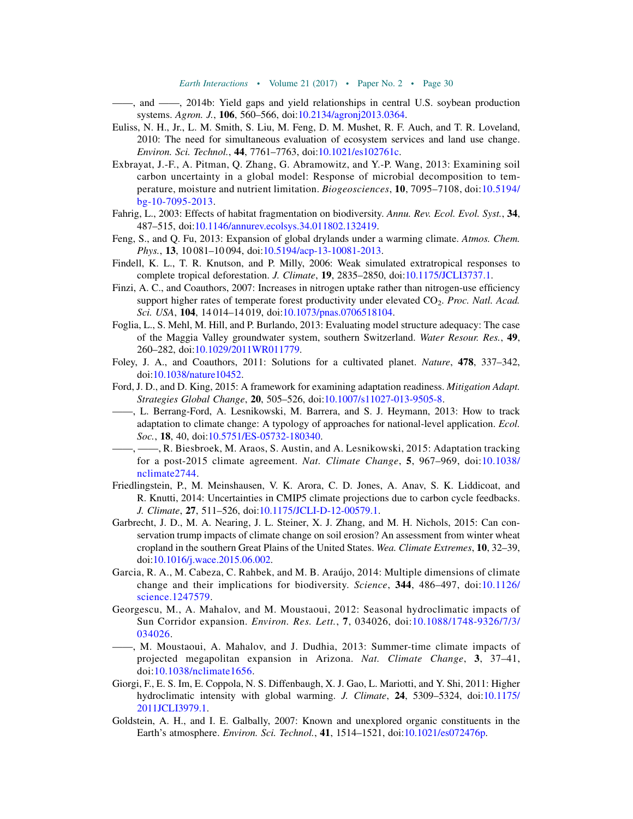- <span id="page-31-9"></span>——, and ——, 2014b: Yield gaps and yield relationships in central U.S. soybean production systems. *Agron. J.*, **106**, 560–566, doi[:10.2134/agronj2013.0364.](http://dx.doi.org/10.2134/agronj2013.0364)
- <span id="page-31-16"></span>Euliss, N. H., Jr., L. M. Smith, S. Liu, M. Feng, D. M. Mushet, R. F. Auch, and T. R. Loveland, 2010: The need for simultaneous evaluation of ecosystem services and land use change. Environ. Sci. Technol., 44, 7761–7763, doi[:10.1021/es102761c](http://dx.doi.org/10.1021/es102761c).
- <span id="page-31-4"></span>Exbrayat, J.-F., A. Pitman, Q. Zhang, G. Abramowitz, and Y.-P. Wang, 2013: Examining soil carbon uncertainty in a global model: Response of microbial decomposition to temperature, moisture and nutrient limitation. Biogeosciences, 10, 7095–7108, doi:[10.5194/](http://dx.doi.org/10.5194/bg-10-7095-2013) [bg-10-7095-2013](http://dx.doi.org/10.5194/bg-10-7095-2013).
- <span id="page-31-12"></span>Fahrig, L., 2003: Effects of habitat fragmentation on biodiversity. Annu. Rev. Ecol. Evol. Syst., 34, 487–515, doi:[10.1146/annurev.ecolsys.34.011802.132419.](http://dx.doi.org/10.1146/annurev.ecolsys.34.011802.132419)
- <span id="page-31-7"></span>Feng, S., and Q. Fu, 2013: Expansion of global drylands under a warming climate. Atmos. Chem. Phys., 13, 10 081-10 094, doi:[10.5194/acp-13-10081-2013.](http://dx.doi.org/10.5194/acp-13-10081-2013)
- <span id="page-31-2"></span>Findell, K. L., T. R. Knutson, and P. Milly, 2006: Weak simulated extratropical responses to complete tropical deforestation. J. Climate, 19, 2835–2850, doi[:10.1175/JCLI3737.1.](http://dx.doi.org/10.1175/JCLI3737.1)
- <span id="page-31-11"></span>Finzi, A. C., and Coauthors, 2007: Increases in nitrogen uptake rather than nitrogen-use efficiency support higher rates of temperate forest productivity under elevated  $CO<sub>2</sub>$ . Proc. Natl. Acad. Sci. USA, 104, 14 014-14 019, doi:[10.1073/pnas.0706518104.](http://dx.doi.org/10.1073/pnas.0706518104)
- <span id="page-31-14"></span>Foglia, L., S. Mehl, M. Hill, and P. Burlando, 2013: Evaluating model structure adequacy: The case of the Maggia Valley groundwater system, southern Switzerland. Water Resour. Res., 49, 260–282, doi:[10.1029/2011WR011779.](http://dx.doi.org/10.1029/2011WR011779)
- <span id="page-31-0"></span>Foley, J. A., and Coauthors, 2011: Solutions for a cultivated planet. Nature, 478, 337–342, doi[:10.1038/nature10452](http://dx.doi.org/10.1038/nature10452).
- <span id="page-31-15"></span>Ford, J. D., and D. King, 2015: A framework for examining adaptation readiness. Mitigation Adapt. Strategies Global Change, 20, 505–526, doi:[10.1007/s11027-013-9505-8.](http://dx.doi.org/10.1007/s11027-013-9505-8)
- <span id="page-31-17"></span>——, L. Berrang-Ford, A. Lesnikowski, M. Barrera, and S. J. Heymann, 2013: How to track adaptation to climate change: A typology of approaches for national-level application. Ecol. Soc., **18**, 40, doi:[10.5751/ES-05732-180340.](http://dx.doi.org/10.5751/ES-05732-180340)
- <span id="page-31-18"></span>——, ——, R. Biesbroek, M. Araos, S. Austin, and A. Lesnikowski, 2015: Adaptation tracking for a post-2015 climate agreement. Nat. Climate Change, 5, 967–969, doi:[10.1038/](http://dx.doi.org/10.1038/nclimate2744) [nclimate2744](http://dx.doi.org/10.1038/nclimate2744).
- <span id="page-31-3"></span>Friedlingstein, P., M. Meinshausen, V. K. Arora, C. D. Jones, A. Anav, S. K. Liddicoat, and R. Knutti, 2014: Uncertainties in CMIP5 climate projections due to carbon cycle feedbacks. J. Climate, 27, 511–526, doi[:10.1175/JCLI-D-12-00579.1.](http://dx.doi.org/10.1175/JCLI-D-12-00579.1)
- <span id="page-31-8"></span>Garbrecht, J. D., M. A. Nearing, J. L. Steiner, X. J. Zhang, and M. H. Nichols, 2015: Can conservation trump impacts of climate change on soil erosion? An assessment from winter wheat cropland in the southern Great Plains of the United States. Wea. Climate Extremes, 10, 32–39, doi[:10.1016/j.wace.2015.06.002.](http://dx.doi.org/10.1016/j.wace.2015.06.002)
- <span id="page-31-13"></span>Garcia, R. A., M. Cabeza, C. Rahbek, and M. B. Araújo, 2014: Multiple dimensions of climate change and their implications for biodiversity. Science, 344, 486–497, doi:[10.1126/](http://dx.doi.org/10.1126/science.1247579) [science.1247579](http://dx.doi.org/10.1126/science.1247579).
- <span id="page-31-10"></span>Georgescu, M., A. Mahalov, and M. Moustaoui, 2012: Seasonal hydroclimatic impacts of Sun Corridor expansion. Environ. Res. Lett., 7, 034026, doi:[10.1088/1748-9326/7/3/](http://dx.doi.org/10.1088/1748-9326/7/3/034026) [034026.](http://dx.doi.org/10.1088/1748-9326/7/3/034026)
- <span id="page-31-1"></span>——, M. Moustaoui, A. Mahalov, and J. Dudhia, 2013: Summer-time climate impacts of projected megapolitan expansion in Arizona. Nat. Climate Change, 3, 37–41, doi:[10.1038/nclimate1656](http://dx.doi.org/10.1038/nclimate1656).
- <span id="page-31-6"></span>Giorgi, F., E. S. Im, E. Coppola, N. S. Diffenbaugh, X. J. Gao, L. Mariotti, and Y. Shi, 2011: Higher hydroclimatic intensity with global warming. J. Climate, 24, 5309–5324, doi:[10.1175/](http://dx.doi.org/10.1175/2011JCLI3979.1) [2011JCLI3979.1.](http://dx.doi.org/10.1175/2011JCLI3979.1)
- <span id="page-31-5"></span>Goldstein, A. H., and I. E. Galbally, 2007: Known and unexplored organic constituents in the Earth's atmosphere. Environ. Sci. Technol., 41, 1514–1521, doi[:10.1021/es072476p.](http://dx.doi.org/10.1021/es072476p)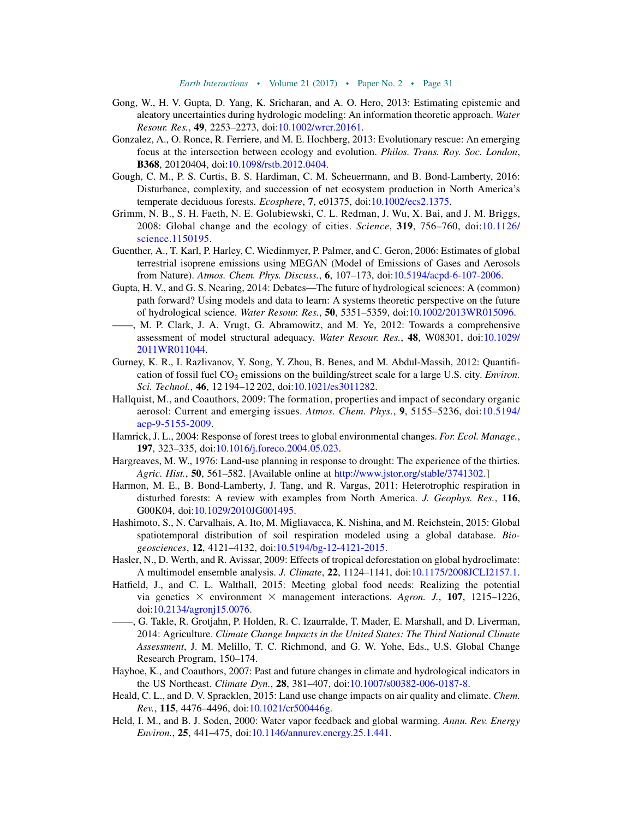- <span id="page-32-17"></span>Gong, W., H. V. Gupta, D. Yang, K. Sricharan, and A. O. Hero, 2013: Estimating epistemic and aleatory uncertainties during hydrologic modeling: An information theoretic approach. Water Resour. Res., 49, 2253–2273, doi[:10.1002/wrcr.20161.](http://dx.doi.org/10.1002/wrcr.20161)
- <span id="page-32-18"></span>Gonzalez, A., O. Ronce, R. Ferriere, and M. E. Hochberg, 2013: Evolutionary rescue: An emerging focus at the intersection between ecology and evolution. Philos. Trans. Roy. Soc. London, B368, 20120404, doi:[10.1098/rstb.2012.0404.](http://dx.doi.org/10.1098/rstb.2012.0404)
- <span id="page-32-4"></span>Gough, C. M., P. S. Curtis, B. S. Hardiman, C. M. Scheuermann, and B. Bond-Lamberty, 2016: Disturbance, complexity, and succession of net ecosystem production in North America's temperate deciduous forests. Ecosphere, 7, e01375, doi[:10.1002/ecs2.1375.](http://dx.doi.org/10.1002/ecs2.1375)
- <span id="page-32-13"></span>Grimm, N. B., S. H. Faeth, N. E. Golubiewski, C. L. Redman, J. Wu, X. Bai, and J. M. Briggs, 2008: Global change and the ecology of cities. Science, 319, 756–760, doi:[10.1126/](http://dx.doi.org/10.1126/science.1150195) [science.1150195.](http://dx.doi.org/10.1126/science.1150195)
- <span id="page-32-6"></span>Guenther, A., T. Karl, P. Harley, C. Wiedinmyer, P. Palmer, and C. Geron, 2006: Estimates of global terrestrial isoprene emissions using MEGAN (Model of Emissions of Gases and Aerosols from Nature). Atmos. Chem. Phys. Discuss., 6, 107–173, doi:[10.5194/acpd-6-107-2006.](http://dx.doi.org/10.5194/acpd-6-107-2006)
- <span id="page-32-1"></span>Gupta, H. V., and G. S. Nearing, 2014: Debates—The future of hydrological sciences: A (common) path forward? Using models and data to learn: A systems theoretic perspective on the future of hydrological science. Water Resour. Res., 50, 5351–5359, doi:[10.1002/2013WR015096](http://dx.doi.org/10.1002/2013WR015096).
- <span id="page-32-16"></span>——, M. P. Clark, J. A. Vrugt, G. Abramowitz, and M. Ye, 2012: Towards a comprehensive assessment of model structural adequacy. Water Resour. Res., 48, W08301, doi:[10.1029/](http://dx.doi.org/10.1029/2011WR011044) [2011WR011044.](http://dx.doi.org/10.1029/2011WR011044)
- <span id="page-32-14"></span>Gurney, K. R., I. Razlivanov, Y. Song, Y. Zhou, B. Benes, and M. Abdul-Massih, 2012: Quantification of fossil fuel  $CO<sub>2</sub>$  emissions on the building/street scale for a large U.S. city. *Environ.* Sci. Technol., 46, 12 194-12 202, doi[:10.1021/es3011282.](http://dx.doi.org/10.1021/es3011282)
- <span id="page-32-7"></span>Hallquist, M., and Coauthors, 2009: The formation, properties and impact of secondary organic aerosol: Current and emerging issues. Atmos. Chem. Phys., 9, 5155–5236, doi:[10.5194/](http://dx.doi.org/10.5194/acp-9-5155-2009) [acp-9-5155-2009](http://dx.doi.org/10.5194/acp-9-5155-2009).
- <span id="page-32-15"></span>Hamrick, J. L., 2004: Response of forest trees to global environmental changes. For. Ecol. Manage., 197, 323–335, doi[:10.1016/j.foreco.2004.05.023.](http://dx.doi.org/10.1016/j.foreco.2004.05.023)
- <span id="page-32-10"></span>Hargreaves, M. W., 1976: Land-use planning in response to drought: The experience of the thirties. Agric. Hist., 50, 561–582. [Available online at [http://www.jstor.org/stable/3741302.](http://www.jstor.org/stable/3741302)]
- <span id="page-32-2"></span>Harmon, M. E., B. Bond-Lamberty, J. Tang, and R. Vargas, 2011: Heterotrophic respiration in disturbed forests: A review with examples from North America. J. Geophys. Res., 116, G00K04, doi:[10.1029/2010JG001495](http://dx.doi.org/10.1029/2010JG001495).
- <span id="page-32-3"></span>Hashimoto, S., N. Carvalhais, A. Ito, M. Migliavacca, K. Nishina, and M. Reichstein, 2015: Global spatiotemporal distribution of soil respiration modeled using a global database. Biogeosciences, 12, 4121–4132, doi[:10.5194/bg-12-4121-2015.](http://dx.doi.org/10.5194/bg-12-4121-2015)
- <span id="page-32-0"></span>Hasler, N., D. Werth, and R. Avissar, 2009: Effects of tropical deforestation on global hydroclimate: A multimodel ensemble analysis. J. Climate, 22, 1124–1141, doi[:10.1175/2008JCLI2157.1.](http://dx.doi.org/10.1175/2008JCLI2157.1)
- <span id="page-32-11"></span>Hatfield, J., and C. L. Walthall, 2015: Meeting global food needs: Realizing the potential via genetics  $\times$  environment  $\times$  management interactions. Agron. J., 107, 1215–1226, doi[:10.2134/agronj15.0076](http://dx.doi.org/10.2134/agronj15.0076).
- <span id="page-32-12"></span>——, G. Takle, R. Grotjahn, P. Holden, R. C. Izaurralde, T. Mader, E. Marshall, and D. Liverman, 2014: Agriculture. Climate Change Impacts in the United States: The Third National Climate Assessment, J. M. Melillo, T. C. Richmond, and G. W. Yohe, Eds., U.S. Global Change Research Program, 150–174.
- <span id="page-32-9"></span>Hayhoe, K., and Coauthors, 2007: Past and future changes in climate and hydrological indicators in the US Northeast. Climate Dyn., 28, 381–407, doi:[10.1007/s00382-006-0187-8.](http://dx.doi.org/10.1007/s00382-006-0187-8)
- <span id="page-32-5"></span>Heald, C. L., and D. V. Spracklen, 2015: Land use change impacts on air quality and climate. *Chem.* Rev., 115, 4476–4496, doi[:10.1021/cr500446g](http://dx.doi.org/10.1021/cr500446g).
- <span id="page-32-8"></span>Held, I. M., and B. J. Soden, 2000: Water vapor feedback and global warming. Annu. Rev. Energy Environ., 25, 441–475, doi:[10.1146/annurev.energy.25.1.441.](http://dx.doi.org/10.1146/annurev.energy.25.1.441)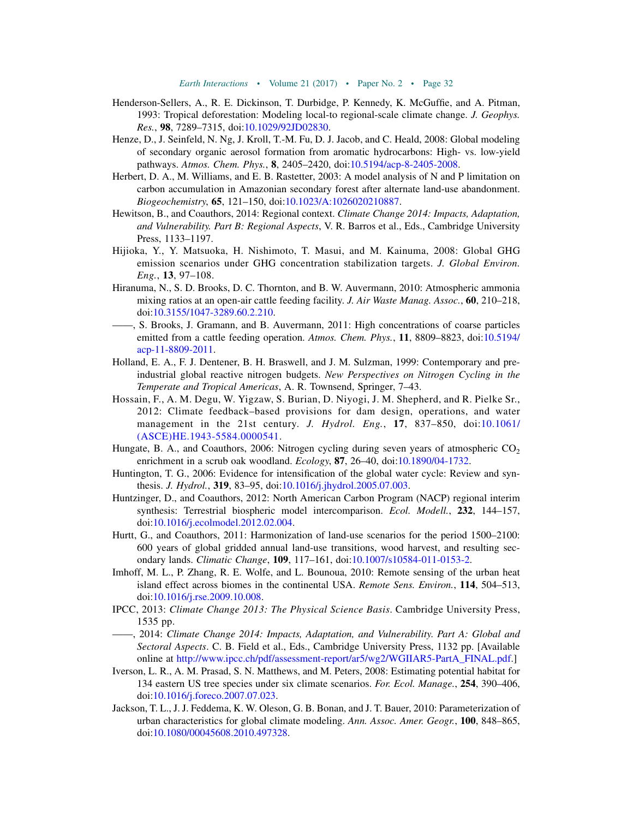- <span id="page-33-2"></span>Henderson-Sellers, A., R. E. Dickinson, T. Durbidge, P. Kennedy, K. McGuffie, and A. Pitman, 1993: Tropical deforestation: Modeling local-to regional-scale climate change. J. Geophys. Res., 98, 7289–7315, doi:[10.1029/92JD02830.](http://dx.doi.org/10.1029/92JD02830)
- <span id="page-33-3"></span>Henze, D., J. Seinfeld, N. Ng, J. Kroll, T.-M. Fu, D. J. Jacob, and C. Heald, 2008: Global modeling of secondary organic aerosol formation from aromatic hydrocarbons: High- vs. low-yield pathways. Atmos. Chem. Phys., 8, 2405-2420, doi:[10.5194/acp-8-2405-2008.](http://dx.doi.org/10.5194/acp-8-2405-2008)
- <span id="page-33-12"></span>Herbert, D. A., M. Williams, and E. B. Rastetter, 2003: A model analysis of N and P limitation on carbon accumulation in Amazonian secondary forest after alternate land-use abandonment. Biogeochemistry, 65, 121–150, doi[:10.1023/A:1026020210887](http://dx.doi.org/10.1023/A:1026020210887).
- <span id="page-33-8"></span>Hewitson, B., and Coauthors, 2014: Regional context. Climate Change 2014: Impacts, Adaptation, and Vulnerability. Part B: Regional Aspects, V. R. Barros et al., Eds., Cambridge University Press, 1133–1197.
- <span id="page-33-14"></span>Hijioka, Y., Y. Matsuoka, H. Nishimoto, T. Masui, and M. Kainuma, 2008: Global GHG emission scenarios under GHG concentration stabilization targets. J. Global Environ.  $Eng., 13, 97-108.$
- <span id="page-33-5"></span>Hiranuma, N., S. D. Brooks, D. C. Thornton, and B. W. Auvermann, 2010: Atmospheric ammonia mixing ratios at an open-air cattle feeding facility. J. Air Waste Manag. Assoc., 60, 210–218, doi[:10.3155/1047-3289.60.2.210](http://dx.doi.org/10.3155/1047-3289.60.2.210).
- <span id="page-33-6"></span>——, S. Brooks, J. Gramann, and B. Auvermann, 2011: High concentrations of coarse particles emitted from a cattle feeding operation. Atmos. Chem. Phys., 11, 8809–8823, doi:[10.5194/](http://dx.doi.org/10.5194/acp-11-8809-2011) [acp-11-8809-2011](http://dx.doi.org/10.5194/acp-11-8809-2011).
- <span id="page-33-4"></span>Holland, E. A., F. J. Dentener, B. H. Braswell, and J. M. Sulzman, 1999: Contemporary and preindustrial global reactive nitrogen budgets. New Perspectives on Nitrogen Cycling in the Temperate and Tropical Americas, A. R. Townsend, Springer, 7–43.
- <span id="page-33-17"></span>Hossain, F., A. M. Degu, W. Yigzaw, S. Burian, D. Niyogi, J. M. Shepherd, and R. Pielke Sr., 2012: Climate feedback–based provisions for dam design, operations, and water management in the 21st century. J. Hydrol. Eng., 17, 837–850, doi:[10.1061/](http://dx.doi.org/10.1061/(ASCE)HE.1943-5584.0000541) [\(ASCE\)HE.1943-5584.0000541](http://dx.doi.org/10.1061/(ASCE)HE.1943-5584.0000541).
- <span id="page-33-11"></span>Hungate, B. A., and Coauthors, 2006: Nitrogen cycling during seven years of atmospheric  $CO<sub>2</sub>$ enrichment in a scrub oak woodland. Ecology, 87, 26-40, doi[:10.1890/04-1732.](http://dx.doi.org/10.1890/04-1732)
- <span id="page-33-7"></span>Huntington, T. G., 2006: Evidence for intensification of the global water cycle: Review and synthesis. J. Hydrol., 319, 83–95, doi:[10.1016/j.jhydrol.2005.07.003.](http://dx.doi.org/10.1016/j.jhydrol.2005.07.003)
- <span id="page-33-15"></span>Huntzinger, D., and Coauthors, 2012: North American Carbon Program (NACP) regional interim synthesis: Terrestrial biospheric model intercomparison. Ecol. Modell., 232, 144-157, doi[:10.1016/j.ecolmodel.2012.02.004.](http://dx.doi.org/10.1016/j.ecolmodel.2012.02.004)
- <span id="page-33-0"></span>Hurtt, G., and Coauthors, 2011: Harmonization of land-use scenarios for the period 1500–2100: 600 years of global gridded annual land-use transitions, wood harvest, and resulting secondary lands. Climatic Change, 109, 117–161, doi[:10.1007/s10584-011-0153-2](http://dx.doi.org/10.1007/s10584-011-0153-2).
- <span id="page-33-9"></span>Imhoff, M. L., P. Zhang, R. E. Wolfe, and L. Bounoua, 2010: Remote sensing of the urban heat island effect across biomes in the continental USA. Remote Sens. Environ., 114, 504–513, doi[:10.1016/j.rse.2009.10.008.](http://dx.doi.org/10.1016/j.rse.2009.10.008)
- <span id="page-33-1"></span>IPCC, 2013: Climate Change 2013: The Physical Science Basis. Cambridge University Press, 1535 pp.
- <span id="page-33-16"></span>——, 2014: Climate Change 2014: Impacts, Adaptation, and Vulnerability. Part A: Global and Sectoral Aspects. C. B. Field et al., Eds., Cambridge University Press, 1132 pp. [Available online at [http://www.ipcc.ch/pdf/assessment-report/ar5/wg2/WGIIAR5-PartA\\_FINAL.pdf](http://www.ipcc.ch/pdf/assessment-report/ar5/wg2/WGIIAR5-PartA_FINAL.pdf).]
- <span id="page-33-13"></span>Iverson, L. R., A. M. Prasad, S. N. Matthews, and M. Peters, 2008: Estimating potential habitat for 134 eastern US tree species under six climate scenarios. For. Ecol. Manage., 254, 390–406, doi[:10.1016/j.foreco.2007.07.023.](http://dx.doi.org/10.1016/j.foreco.2007.07.023)
- <span id="page-33-10"></span>Jackson, T. L., J. J. Feddema, K. W. Oleson, G. B. Bonan, and J. T. Bauer, 2010: Parameterization of urban characteristics for global climate modeling. Ann. Assoc. Amer. Geogr., 100, 848–865, doi[:10.1080/00045608.2010.497328](http://dx.doi.org/10.1080/00045608.2010.497328).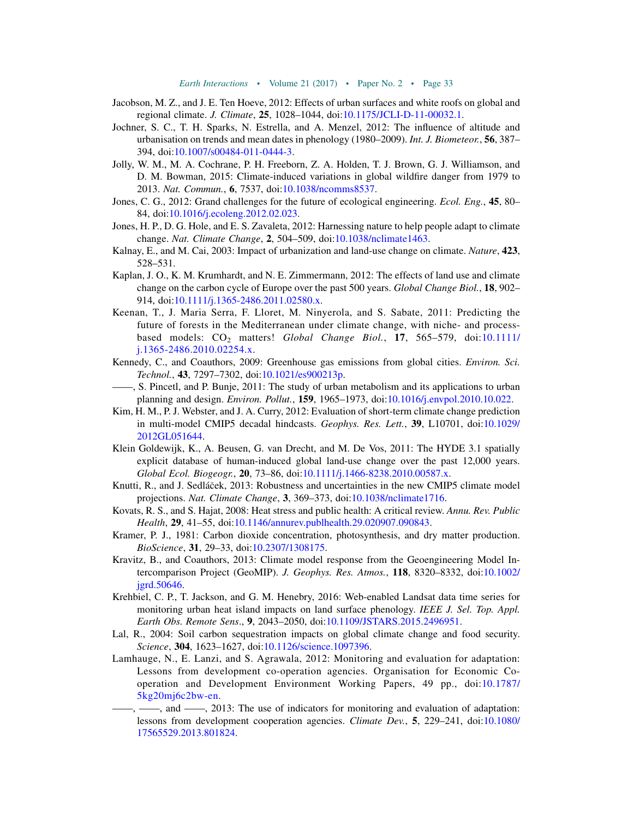- <span id="page-34-1"></span>Jacobson, M. Z., and J. E. Ten Hoeve, 2012: Effects of urban surfaces and white roofs on global and regional climate. J. Climate, 25, 1028-1044, doi:[10.1175/JCLI-D-11-00032.1.](http://dx.doi.org/10.1175/JCLI-D-11-00032.1)
- <span id="page-34-6"></span>Jochner, S. C., T. H. Sparks, N. Estrella, and A. Menzel, 2012: The influence of altitude and urbanisation on trends and mean dates in phenology (1980–2009). Int. J. Biometeor., 56, 387– 394, doi:[10.1007/s00484-011-0444-3.](http://dx.doi.org/10.1007/s00484-011-0444-3)
- <span id="page-34-12"></span>Jolly, W. M., M. A. Cochrane, P. H. Freeborn, Z. A. Holden, T. J. Brown, G. J. Williamson, and D. M. Bowman, 2015: Climate-induced variations in global wildfire danger from 1979 to 2013. Nat. Commun., 6, 7537, doi[:10.1038/ncomms8537.](http://dx.doi.org/10.1038/ncomms8537)
- <span id="page-34-17"></span>Jones, C. G., 2012: Grand challenges for the future of ecological engineering. Ecol. Eng., 45, 80– 84, doi:[10.1016/j.ecoleng.2012.02.023.](http://dx.doi.org/10.1016/j.ecoleng.2012.02.023)
- <span id="page-34-16"></span>Jones, H. P., D. G. Hole, and E. S. Zavaleta, 2012: Harnessing nature to help people adapt to climate change. Nat. Climate Change, 2, 504-509, doi[:10.1038/nclimate1463](http://dx.doi.org/10.1038/nclimate1463).
- <span id="page-34-4"></span>Kalnay, E., and M. Cai, 2003: Impact of urbanization and land-use change on climate. Nature, 423, 528–531.
- <span id="page-34-2"></span>Kaplan, J. O., K. M. Krumhardt, and N. E. Zimmermann, 2012: The effects of land use and climate change on the carbon cycle of Europe over the past 500 years. Global Change Biol., 18, 902– 914, doi:[10.1111/j.1365-2486.2011.02580.x.](http://dx.doi.org/10.1111/j.1365-2486.2011.02580.x)
- <span id="page-34-11"></span>Keenan, T., J. Maria Serra, F. Lloret, M. Ninyerola, and S. Sabate, 2011: Predicting the future of forests in the Mediterranean under climate change, with niche- and processbased models:  $CO<sub>2</sub>$  matters! Global Change Biol., 17, 565-579, doi:[10.1111/](http://dx.doi.org/10.1111/j.1365-2486.2010.02254.x) [j.1365-2486.2010.02254.x.](http://dx.doi.org/10.1111/j.1365-2486.2010.02254.x)
- <span id="page-34-9"></span>Kennedy, C., and Coauthors, 2009: Greenhouse gas emissions from global cities. Environ. Sci. Technol., 43, 7297–7302, doi[:10.1021/es900213p.](http://dx.doi.org/10.1021/es900213p)
- <span id="page-34-8"></span>——, S. Pincetl, and P. Bunje, 2011: The study of urban metabolism and its applications to urban planning and design. Environ. Pollut., 159, 1965–1973, doi:[10.1016/j.envpol.2010.10.022.](http://dx.doi.org/10.1016/j.envpol.2010.10.022)
- <span id="page-34-13"></span>Kim, H. M., P. J. Webster, and J. A. Curry, 2012: Evaluation of short-term climate change prediction in multi-model CMIP5 decadal hindcasts. Geophys. Res. Lett., 39, L10701, doi:[10.1029/](http://dx.doi.org/10.1029/2012GL051644) [2012GL051644.](http://dx.doi.org/10.1029/2012GL051644)
- <span id="page-34-0"></span>Klein Goldewijk, K., A. Beusen, G. van Drecht, and M. De Vos, 2011: The HYDE 3.1 spatially explicit database of human-induced global land-use change over the past 12,000 years. Global Ecol. Biogeogr., 20, 73–86, doi:[10.1111/j.1466-8238.2010.00587.x](http://dx.doi.org/10.1111/j.1466-8238.2010.00587.x).
- <span id="page-34-14"></span>Knutti, R., and J. Sedlácek, 2013: Robustness and uncertainties in the new CMIP5 climate model projections. Nat. Climate Change, 3, 369-373, doi[:10.1038/nclimate1716](http://dx.doi.org/10.1038/nclimate1716).
- <span id="page-34-7"></span>Kovats, R. S., and S. Hajat, 2008: Heat stress and public health: A critical review. Annu. Rev. Public Health, 29, 41–55, doi:[10.1146/annurev.publhealth.29.020907.090843.](http://dx.doi.org/10.1146/annurev.publhealth.29.020907.090843)
- <span id="page-34-10"></span>Kramer, P. J., 1981: Carbon dioxide concentration, photosynthesis, and dry matter production. BioScience, 31, 29–33, doi[:10.2307/1308175](http://dx.doi.org/10.2307/1308175).
- <span id="page-34-15"></span>Kravitz, B., and Coauthors, 2013: Climate model response from the Geoengineering Model Intercomparison Project (GeoMIP). J. Geophys. Res. Atmos., 118, 8320–8332, doi:[10.1002/](http://dx.doi.org/10.1002/jgrd.50646) [jgrd.50646](http://dx.doi.org/10.1002/jgrd.50646).
- <span id="page-34-5"></span>Krehbiel, C. P., T. Jackson, and G. M. Henebry, 2016: Web-enabled Landsat data time series for monitoring urban heat island impacts on land surface phenology. IEEE J. Sel. Top. Appl. Earth Obs. Remote Sens., 9, 2043–2050, doi:[10.1109/JSTARS.2015.2496951.](http://dx.doi.org/10.1109/JSTARS.2015.2496951)
- <span id="page-34-3"></span>Lal, R., 2004: Soil carbon sequestration impacts on global climate change and food security. Science, 304, 1623-1627, doi[:10.1126/science.1097396](http://dx.doi.org/10.1126/science.1097396).
- <span id="page-34-19"></span><span id="page-34-18"></span>Lamhauge, N., E. Lanzi, and S. Agrawala, 2012: Monitoring and evaluation for adaptation: Lessons from development co-operation agencies. Organisation for Economic Cooperation and Development Environment Working Papers, 49 pp., doi:[10.1787/](http://dx.doi.org/10.1787/5kg20mj6c2bw-en) [5kg20mj6c2bw-en](http://dx.doi.org/10.1787/5kg20mj6c2bw-en).
	- -, and  $\frac{1}{2}$ , 2013: The use of indicators for monitoring and evaluation of adaptation: lessons from development cooperation agencies. Climate Dev., 5, 229–241, doi:[10.1080/](http://dx.doi.org/10.1080/17565529.2013.801824) [17565529.2013.801824](http://dx.doi.org/10.1080/17565529.2013.801824).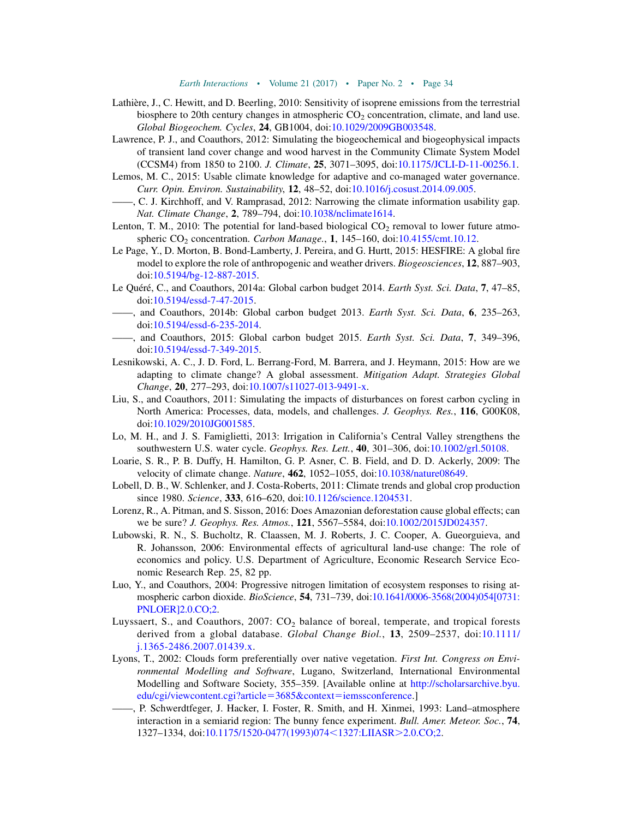- <span id="page-35-10"></span>Lathière, J., C. Hewitt, and D. Beerling, 2010: Sensitivity of isoprene emissions from the terrestrial biosphere to 20th century changes in atmospheric  $CO<sub>2</sub>$  concentration, climate, and land use. Global Biogeochem. Cycles, 24, GB1004, doi:[10.1029/2009GB003548.](http://dx.doi.org/10.1029/2009GB003548)
- <span id="page-35-0"></span>Lawrence, P. J., and Coauthors, 2012: Simulating the biogeochemical and biogeophysical impacts of transient land cover change and wood harvest in the Community Climate System Model (CCSM4) from 1850 to 2100. J. Climate, 25, 3071–3095, doi:[10.1175/JCLI-D-11-00256.1.](http://dx.doi.org/10.1175/JCLI-D-11-00256.1)
- <span id="page-35-18"></span>Lemos, M. C., 2015: Usable climate knowledge for adaptive and co-managed water governance. Curr. Opin. Environ. Sustainability, 12, 48–52, doi[:10.1016/j.cosust.2014.09.005](http://dx.doi.org/10.1016/j.cosust.2014.09.005).
- <span id="page-35-17"></span>——, C. J. Kirchhoff, and V. Ramprasad, 2012: Narrowing the climate information usability gap. Nat. Climate Change, 2, 789–794, doi[:10.1038/nclimate1614](http://dx.doi.org/10.1038/nclimate1614).
- <span id="page-35-5"></span>Lenton, T. M., 2010: The potential for land-based biological  $CO_2$  removal to lower future atmospheric  $CO<sub>2</sub>$  concentration. *Carbon Manage.*, 1, 145-160, doi:[10.4155/cmt.10.12.](http://dx.doi.org/10.4155/cmt.10.12)
- <span id="page-35-6"></span>Le Page, Y., D. Morton, B. Bond-Lamberty, J. Pereira, and G. Hurtt, 2015: HESFIRE: A global fire model to explore the role of anthropogenic and weather drivers. *Biogeosciences*, 12, 887–903, doi[:10.5194/bg-12-887-2015](http://dx.doi.org/10.5194/bg-12-887-2015).
- <span id="page-35-4"></span>Le Quéré, C., and Coauthors, 2014a: Global carbon budget 2014. Earth Syst. Sci. Data, 7, 47–85, doi[:10.5194/essd-7-47-2015.](http://dx.doi.org/10.5194/essd-7-47-2015)
- <span id="page-35-8"></span>——, and Coauthors, 2014b: Global carbon budget 2013. Earth Syst. Sci. Data, 6, 235–263, doi[:10.5194/essd-6-235-2014.](http://dx.doi.org/10.5194/essd-6-235-2014)
- <span id="page-35-1"></span>, and Coauthors, 2015: Global carbon budget 2015. Earth Syst. Sci. Data, 7, 349-396, doi[:10.5194/essd-7-349-2015.](http://dx.doi.org/10.5194/essd-7-349-2015)
- <span id="page-35-19"></span>Lesnikowski, A. C., J. D. Ford, L. Berrang-Ford, M. Barrera, and J. Heymann, 2015: How are we adapting to climate change? A global assessment. Mitigation Adapt. Strategies Global Change, 20, 277–293, doi:[10.1007/s11027-013-9491-x.](http://dx.doi.org/10.1007/s11027-013-9491-x)
- <span id="page-35-7"></span>Liu, S., and Coauthors, 2011: Simulating the impacts of disturbances on forest carbon cycling in North America: Processes, data, models, and challenges. J. Geophys. Res., 116, G00K08, doi[:10.1029/2010JG001585](http://dx.doi.org/10.1029/2010JG001585).
- <span id="page-35-11"></span>Lo, M. H., and J. S. Famiglietti, 2013: Irrigation in California's Central Valley strengthens the southwestern U.S. water cycle. Geophys. Res. Lett., 40, 301-306, doi[:10.1002/grl.50108](http://dx.doi.org/10.1002/grl.50108).
- <span id="page-35-15"></span>Loarie, S. R., P. B. Duffy, H. Hamilton, G. P. Asner, C. B. Field, and D. D. Ackerly, 2009: The velocity of climate change. Nature, 462, 1052-1055, doi:[10.1038/nature08649](http://dx.doi.org/10.1038/nature08649).
- <span id="page-35-13"></span>Lobell, D. B., W. Schlenker, and J. Costa-Roberts, 2011: Climate trends and global crop production since 1980. Science, 333, 616–620, doi[:10.1126/science.1204531](http://dx.doi.org/10.1126/science.1204531).
- <span id="page-35-3"></span>Lorenz, R., A. Pitman, and S. Sisson, 2016: Does Amazonian deforestation cause global effects; can we be sure? J. Geophys. Res. Atmos., 121, 5567-5584, doi[:10.1002/2015JD024357](http://dx.doi.org/10.1002/2015JD024357).
- <span id="page-35-16"></span>Lubowski, R. N., S. Bucholtz, R. Claassen, M. J. Roberts, J. C. Cooper, A. Gueorguieva, and R. Johansson, 2006: Environmental effects of agricultural land-use change: The role of economics and policy. U.S. Department of Agriculture, Economic Research Service Economic Research Rep. 25, 82 pp.
- <span id="page-35-14"></span>Luo, Y., and Coauthors, 2004: Progressive nitrogen limitation of ecosystem responses to rising atmospheric carbon dioxide. *BioScience*, **54**, 731–739, doi[:10.1641/0006-3568\(2004\)054\[0731:](http://dx.doi.org/10.1641/0006-3568(2004)054[0731:PNLOER]2.0.CO;2) [PNLOER\]2.0.CO;2.](http://dx.doi.org/10.1641/0006-3568(2004)054[0731:PNLOER]2.0.CO;2)
- <span id="page-35-9"></span>Luyssaert, S., and Coauthors,  $2007$ :  $CO<sub>2</sub>$  balance of boreal, temperate, and tropical forests derived from a global database. Global Change Biol., 13, 2509–2537, doi:[10.1111/](http://dx.doi.org/10.1111/j.1365-2486.2007.01439.x) [j.1365-2486.2007.01439.x.](http://dx.doi.org/10.1111/j.1365-2486.2007.01439.x)
- <span id="page-35-12"></span>Lyons, T., 2002: Clouds form preferentially over native vegetation. First Int. Congress on Environmental Modelling and Software, Lugano, Switzerland, International Environmental Modelling and Software Society, 355–359. [Available online at [http://scholarsarchive.byu.](http://scholarsarchive.byu.edu/cgi/viewcontent.cgi?article=3685&context=iemssconference) [edu/cgi/viewcontent.cgi?article](http://scholarsarchive.byu.edu/cgi/viewcontent.cgi?article=3685&context=iemssconference)=3685&context=iemssconference.]
- <span id="page-35-2"></span>——, P. Schwerdtfeger, J. Hacker, I. Foster, R. Smith, and H. Xinmei, 1993: Land–atmosphere interaction in a semiarid region: The bunny fence experiment. Bull. Amer. Meteor. Soc., **74**, 1327–1334, doi:[10.1175/1520-0477\(1993\)074](http://dx.doi.org/10.1175/1520-0477(1993)074<1327:LIIASR>2.0.CO;2)<1327:LIIASR>2.0.CO;2.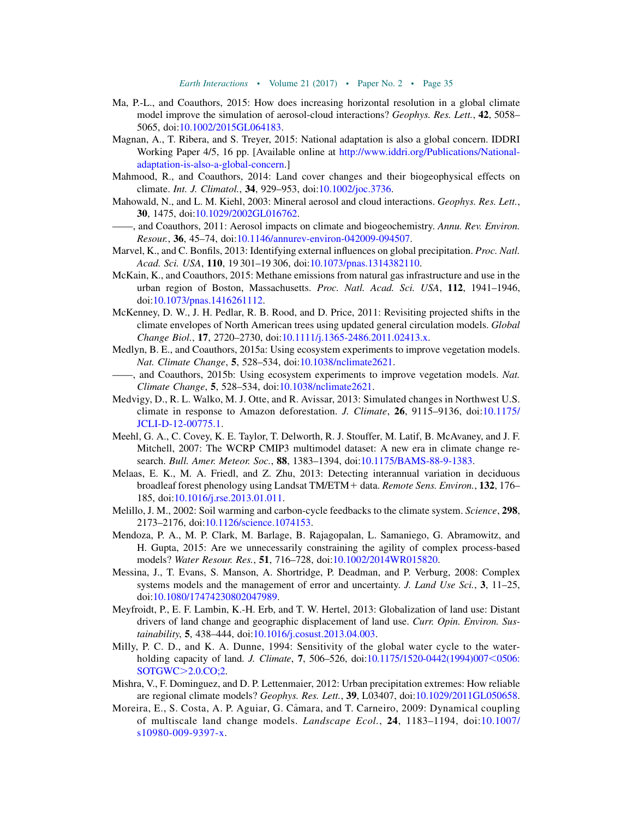- <span id="page-36-17"></span>Ma, P.-L., and Coauthors, 2015: How does increasing horizontal resolution in a global climate model improve the simulation of aerosol-cloud interactions? Geophys. Res. Lett., 42, 5058– 5065, doi:[10.1002/2015GL064183](http://dx.doi.org/10.1002/2015GL064183).
- <span id="page-36-19"></span>Magnan, A., T. Ribera, and S. Treyer, 2015: National adaptation is also a global concern. IDDRI Working Paper 4/5, 16 pp. [Available online at [http://www.iddri.org/Publications/National](http://www.iddri.org/Publications/National-adaptation-is-also-a-global-concern)[adaptation-is-also-a-global-concern](http://www.iddri.org/Publications/National-adaptation-is-also-a-global-concern).]
- <span id="page-36-1"></span>Mahmood, R., and Coauthors, 2014: Land cover changes and their biogeophysical effects on climate. Int. J. Climatol., 34, 929–953, doi:[10.1002/joc.3736.](http://dx.doi.org/10.1002/joc.3736)
- <span id="page-36-3"></span>Mahowald, N., and L. M. Kiehl, 2003: Mineral aerosol and cloud interactions. Geophys. Res. Lett., 30, 1475, doi[:10.1029/2002GL016762.](http://dx.doi.org/10.1029/2002GL016762)
- <span id="page-36-2"></span>——, and Coauthors, 2011: Aerosol impacts on climate and biogeochemistry. Annu. Rev. Environ. Resour., 36, 45–74, doi[:10.1146/annurev-environ-042009-094507.](http://dx.doi.org/10.1146/annurev-environ-042009-094507)
- <span id="page-36-5"></span>Marvel, K., and C. Bonfils, 2013: Identifying external influences on global precipitation. Proc. Natl. Acad. Sci. USA, 110, 19 301–19 306, doi:[10.1073/pnas.1314382110.](http://dx.doi.org/10.1073/pnas.1314382110)
- <span id="page-36-8"></span>McKain, K., and Coauthors, 2015: Methane emissions from natural gas infrastructure and use in the urban region of Boston, Massachusetts. Proc. Natl. Acad. Sci. USA, 112, 1941-1946, doi[:10.1073/pnas.1416261112](http://dx.doi.org/10.1073/pnas.1416261112).
- <span id="page-36-11"></span>McKenney, D. W., J. H. Pedlar, R. B. Rood, and D. Price, 2011: Revisiting projected shifts in the climate envelopes of North American trees using updated general circulation models. Global Change Biol., 17, 2720–2730, doi:[10.1111/j.1365-2486.2011.02413.x](http://dx.doi.org/10.1111/j.1365-2486.2011.02413.x).
- <span id="page-36-16"></span>Medlyn, B. E., and Coauthors, 2015a: Using ecosystem experiments to improve vegetation models. Nat. Climate Change, 5, 528–534, doi[:10.1038/nclimate2621](http://dx.doi.org/10.1038/nclimate2621).
- <span id="page-36-10"></span>——, and Coauthors, 2015b: Using ecosystem experiments to improve vegetation models. Nat. Climate Change, 5, 528–534, doi[:10.1038/nclimate2621](http://dx.doi.org/10.1038/nclimate2621).
- <span id="page-36-0"></span>Medvigy, D., R. L. Walko, M. J. Otte, and R. Avissar, 2013: Simulated changes in Northwest U.S. climate in response to Amazon deforestation. J. Climate,  $26$ , 9115–9136, doi[:10.1175/](http://dx.doi.org/10.1175/JCLI-D-12-00775.1) [JCLI-D-12-00775.1.](http://dx.doi.org/10.1175/JCLI-D-12-00775.1)
- <span id="page-36-12"></span>Meehl, G. A., C. Covey, K. E. Taylor, T. Delworth, R. J. Stouffer, M. Latif, B. McAvaney, and J. F. Mitchell, 2007: The WCRP CMIP3 multimodel dataset: A new era in climate change re-search. Bull. Amer. Meteor. Soc., 88, 1383-1394, doi[:10.1175/BAMS-88-9-1383](http://dx.doi.org/10.1175/BAMS-88-9-1383).
- <span id="page-36-6"></span>Melaas, E. K., M. A. Friedl, and Z. Zhu, 2013: Detecting interannual variation in deciduous broadleaf forest phenology using Landsat TM/ETM + data. Remote Sens. Environ., 132, 176– 185, doi:[10.1016/j.rse.2013.01.011](http://dx.doi.org/10.1016/j.rse.2013.01.011).
- <span id="page-36-9"></span>Melillo, J. M., 2002: Soil warming and carbon-cycle feedbacks to the climate system. Science, 298, 2173–2176, doi:[10.1126/science.1074153.](http://dx.doi.org/10.1126/science.1074153)
- <span id="page-36-18"></span>Mendoza, P. A., M. P. Clark, M. Barlage, B. Rajagopalan, L. Samaniego, G. Abramowitz, and H. Gupta, 2015: Are we unnecessarily constraining the agility of complex process-based models? Water Resour. Res., 51, 716–728, doi[:10.1002/2014WR015820](http://dx.doi.org/10.1002/2014WR015820).
- <span id="page-36-15"></span>Messina, J., T. Evans, S. Manson, A. Shortridge, P. Deadman, and P. Verburg, 2008: Complex systems models and the management of error and uncertainty. J. Land Use Sci., 3, 11-25, doi[:10.1080/17474230802047989](http://dx.doi.org/10.1080/17474230802047989).
- <span id="page-36-13"></span>Meyfroidt, P., E. F. Lambin, K.-H. Erb, and T. W. Hertel, 2013: Globalization of land use: Distant drivers of land change and geographic displacement of land use. Curr. Opin. Environ. Sustainability, 5, 438–444, doi[:10.1016/j.cosust.2013.04.003](http://dx.doi.org/10.1016/j.cosust.2013.04.003).
- <span id="page-36-4"></span>Milly, P. C. D., and K. A. Dunne, 1994: Sensitivity of the global water cycle to the water-holding capacity of land. J. Climate, 7, 506-526, doi[:10.1175/1520-0442\(1994\)007](http://dx.doi.org/10.1175/1520-0442(1994)007<0506:SOTGWC>2.0.CO;2)<0506: [SOTGWC](http://dx.doi.org/10.1175/1520-0442(1994)007<0506:SOTGWC>2.0.CO;2)>2.0.CO;2.
- <span id="page-36-7"></span>Mishra, V., F. Dominguez, and D. P. Lettenmaier, 2012: Urban precipitation extremes: How reliable are regional climate models? Geophys. Res. Lett., 39, L03407, doi[:10.1029/2011GL050658.](http://dx.doi.org/10.1029/2011GL050658)
- <span id="page-36-14"></span>Moreira, E., S. Costa, A. P. Aguiar, G. C^amara, and T. Carneiro, 2009: Dynamical coupling of multiscale land change models. Landscape Ecol., 24, 1183–1194, doi:[10.1007/](http://dx.doi.org/10.1007/s10980-009-9397-x) [s10980-009-9397-x](http://dx.doi.org/10.1007/s10980-009-9397-x).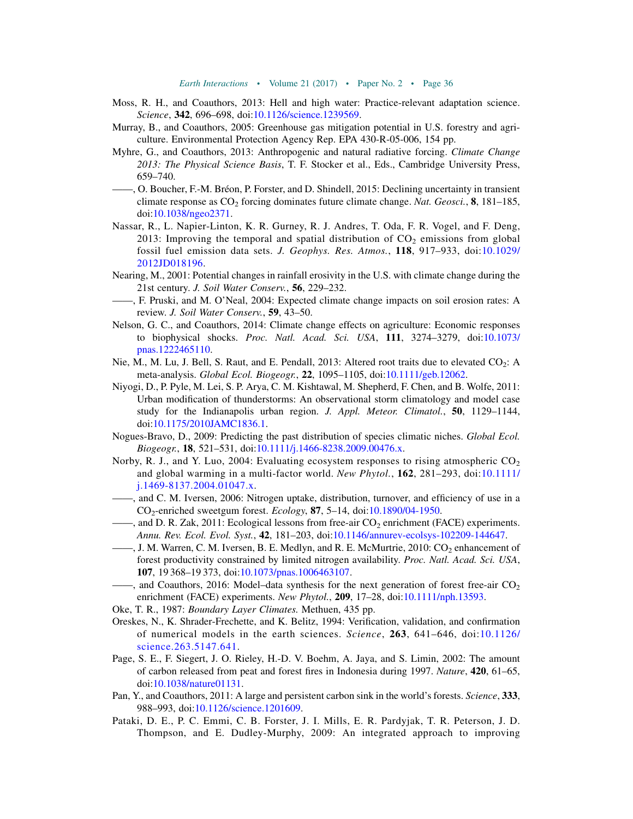- <span id="page-37-20"></span>Moss, R. H., and Coauthors, 2013: Hell and high water: Practice-relevant adaptation science. Science, 342, 696-698, doi[:10.1126/science.1239569](http://dx.doi.org/10.1126/science.1239569).
- <span id="page-37-17"></span>Murray, B., and Coauthors, 2005: Greenhouse gas mitigation potential in U.S. forestry and agriculture. Environmental Protection Agency Rep. EPA 430-R-05-006, 154 pp.
- <span id="page-37-3"></span>Myhre, G., and Coauthors, 2013: Anthropogenic and natural radiative forcing. Climate Change 2013: The Physical Science Basis, T. F. Stocker et al., Eds., Cambridge University Press, 659–740.
- <span id="page-37-0"></span>——, O. Boucher, F.-M. Bréon, P. Forster, and D. Shindell, 2015: Declining uncertainty in transient climate response as  $CO<sub>2</sub>$  forcing dominates future climate change. Nat. Geosci., **8**, 181–185, doi[:10.1038/ngeo2371.](http://dx.doi.org/10.1038/ngeo2371)
- <span id="page-37-9"></span>Nassar, R., L. Napier-Linton, K. R. Gurney, R. J. Andres, T. Oda, F. R. Vogel, and F. Deng, 2013: Improving the temporal and spatial distribution of  $CO<sub>2</sub>$  emissions from global fossil fuel emission data sets. J. Geophys. Res. Atmos., 118, 917–933, doi:[10.1029/](http://dx.doi.org/10.1029/2012JD018196) [2012JD018196](http://dx.doi.org/10.1029/2012JD018196).
- <span id="page-37-5"></span>Nearing, M., 2001: Potential changes in rainfall erosivity in the U.S. with climate change during the 21st century. J. Soil Water Conserv., 56, 229-232.
- <span id="page-37-6"></span>——, F. Pruski, and M. O'Neal, 2004: Expected climate change impacts on soil erosion rates: A review. J. Soil Water Conserv., 59, 43–50.
- <span id="page-37-19"></span>Nelson, G. C., and Coauthors, 2014: Climate change effects on agriculture: Economic responses to biophysical shocks. Proc. Natl. Acad. Sci. USA, 111, 3274-3279, doi:[10.1073/](http://dx.doi.org/10.1073/pnas.1222465110) [pnas.1222465110](http://dx.doi.org/10.1073/pnas.1222465110).
- <span id="page-37-14"></span>Nie, M., M. Lu, J. Bell, S. Raut, and E. Pendall, 2013: Altered root traits due to elevated CO<sub>2</sub>: A meta-analysis. Global Ecol. Biogeogr., 22, 1095-1105, doi[:10.1111/geb.12062](http://dx.doi.org/10.1111/geb.12062).
- <span id="page-37-4"></span>Niyogi, D., P. Pyle, M. Lei, S. P. Arya, C. M. Kishtawal, M. Shepherd, F. Chen, and B. Wolfe, 2011: Urban modification of thunderstorms: An observational storm climatology and model case study for the Indianapolis urban region. J. Appl. Meteor. Climatol.,  $50$ , 1129–1144, doi[:10.1175/2010JAMC1836.1.](http://dx.doi.org/10.1175/2010JAMC1836.1)
- <span id="page-37-16"></span>Nogues-Bravo, D., 2009: Predicting the past distribution of species climatic niches. Global Ecol. Biogeogr., 18, 521–531, doi[:10.1111/j.1466-8238.2009.00476.x](http://dx.doi.org/10.1111/j.1466-8238.2009.00476.x).
- <span id="page-37-10"></span>Norby, R. J., and Y. Luo, 2004: Evaluating ecosystem responses to rising atmospheric  $CO<sub>2</sub>$ and global warming in a multi-factor world. New Phytol., 162, 281–293, doi:[10.1111/](http://dx.doi.org/10.1111/j.1469-8137.2004.01047.x) [j.1469-8137.2004.01047.x.](http://dx.doi.org/10.1111/j.1469-8137.2004.01047.x)
- <span id="page-37-11"></span>——, and C. M. Iversen, 2006: Nitrogen uptake, distribution, turnover, and efficiency of use in a CO2-enriched sweetgum forest. Ecology, 87, 5–14, doi[:10.1890/04-1950.](http://dx.doi.org/10.1890/04-1950)
- <span id="page-37-13"></span>, and D. R. Zak, 2011: Ecological lessons from free-air  $CO_2$  enrichment (FACE) experiments. Annu. Rev. Ecol. Evol. Syst., 42, 181–203, doi[:10.1146/annurev-ecolsys-102209-144647.](http://dx.doi.org/10.1146/annurev-ecolsys-102209-144647)
- <span id="page-37-12"></span> $\ldots$ , J. M. Warren, C. M. Iversen, B. E. Medlyn, and R. E. McMurtrie, 2010: CO<sub>2</sub> enhancement of forest productivity constrained by limited nitrogen availability. Proc. Natl. Acad. Sci. USA, 107, 19 368–19 373, doi[:10.1073/pnas.1006463107](http://dx.doi.org/10.1073/pnas.1006463107).
- <span id="page-37-15"></span> $-$ , and Coauthors, 2016: Model–data synthesis for the next generation of forest free-air  $CO<sub>2</sub>$ enrichment (FACE) experiments. New Phytol., 209, 17-28, doi:[10.1111/nph.13593](http://dx.doi.org/10.1111/nph.13593).
- <span id="page-37-7"></span>Oke, T. R., 1987: Boundary Layer Climates. Methuen, 435 pp.
- <span id="page-37-18"></span>Oreskes, N., K. Shrader-Frechette, and K. Belitz, 1994: Verification, validation, and confirmation of numerical models in the earth sciences. Science, 263, 641–646, doi:[10.1126/](http://dx.doi.org/10.1126/science.263.5147.641) [science.263.5147.641](http://dx.doi.org/10.1126/science.263.5147.641).
- <span id="page-37-2"></span>Page, S. E., F. Siegert, J. O. Rieley, H.-D. V. Boehm, A. Jaya, and S. Limin, 2002: The amount of carbon released from peat and forest fires in Indonesia during 1997. Nature, 420, 61–65, doi[:10.1038/nature01131](http://dx.doi.org/10.1038/nature01131).
- <span id="page-37-1"></span>Pan, Y., and Coauthors, 2011: A large and persistent carbon sink in the world's forests. Science, 333, 988–993, doi:[10.1126/science.1201609.](http://dx.doi.org/10.1126/science.1201609)
- <span id="page-37-8"></span>Pataki, D. E., P. C. Emmi, C. B. Forster, J. I. Mills, E. R. Pardyjak, T. R. Peterson, J. D. Thompson, and E. Dudley-Murphy, 2009: An integrated approach to improving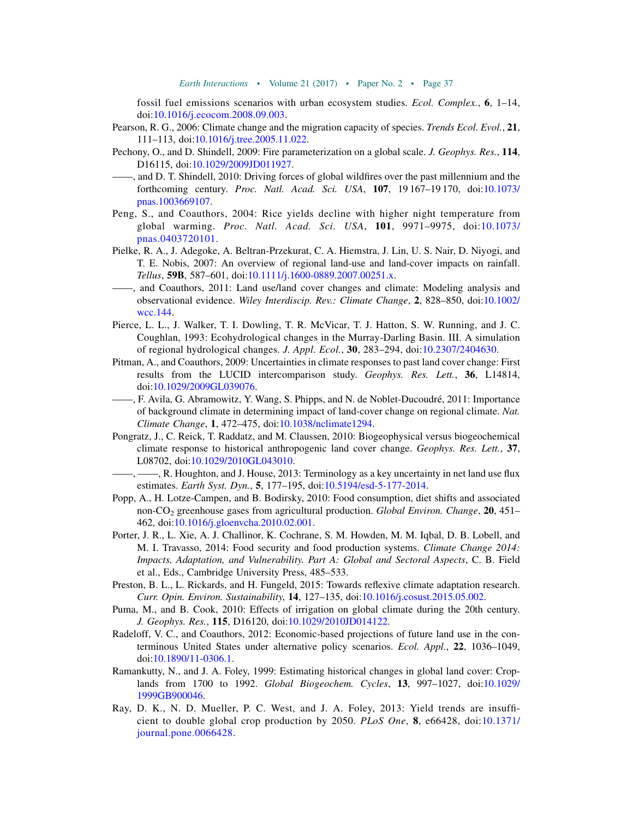fossil fuel emissions scenarios with urban ecosystem studies. Ecol. Complex.,  $6$ , 1–14, doi:[10.1016/j.ecocom.2008.09.003.](http://dx.doi.org/10.1016/j.ecocom.2008.09.003)

- <span id="page-38-11"></span>Pearson, R. G., 2006: Climate change and the migration capacity of species. *Trends Ecol. Evol.*, 21, 111–113, doi:[10.1016/j.tree.2005.11.022.](http://dx.doi.org/10.1016/j.tree.2005.11.022)
- <span id="page-38-7"></span>Pechony, O., and D. Shindell, 2009: Fire parameterization on a global scale. J. Geophys. Res., 114, D16115, doi:[10.1029/2009JD011927.](http://dx.doi.org/10.1029/2009JD011927)
- <span id="page-38-6"></span>——, and D. T. Shindell, 2010: Driving forces of global wildfires over the past millennium and the forthcoming century. Proc. Natl. Acad. Sci. USA, 107, 19 167–19 170, doi:[10.1073/](http://dx.doi.org/10.1073/pnas.1003669107) [pnas.1003669107](http://dx.doi.org/10.1073/pnas.1003669107).
- <span id="page-38-13"></span>Peng, S., and Coauthors, 2004: Rice yields decline with higher night temperature from global warming. Proc. Natl. Acad. Sci. USA, 101, 9971–9975, doi[:10.1073/](http://dx.doi.org/10.1073/pnas.0403720101) [pnas.0403720101.](http://dx.doi.org/10.1073/pnas.0403720101)
- <span id="page-38-10"></span>Pielke, R. A., J. Adegoke, A. Beltran-Przekurat, C. A. Hiemstra, J. Lin, U. S. Nair, D. Niyogi, and T. E. Nobis, 2007: An overview of regional land-use and land-cover impacts on rainfall. Tellus, 59B, 587–601, doi:[10.1111/j.1600-0889.2007.00251.x](http://dx.doi.org/10.1111/j.1600-0889.2007.00251.x).
- <span id="page-38-3"></span>——, and Coauthors, 2011: Land use/land cover changes and climate: Modeling analysis and observational evidence. Wiley Interdiscip. Rev.: Climate Change, 2, 828-850, doi:[10.1002/](http://dx.doi.org/10.1002/wcc.144) [wcc.144](http://dx.doi.org/10.1002/wcc.144).
- <span id="page-38-9"></span>Pierce, L. L., J. Walker, T. I. Dowling, T. R. McVicar, T. J. Hatton, S. W. Running, and J. C. Coughlan, 1993: Ecohydrological changes in the Murray-Darling Basin. III. A simulation of regional hydrological changes. J. Appl. Ecol., 30, 283–294, doi:[10.2307/2404630](http://dx.doi.org/10.2307/2404630).
- <span id="page-38-1"></span>Pitman, A., and Coauthors, 2009: Uncertainties in climate responses to past land cover change: First results from the LUCID intercomparison study. Geophys. Res. Lett., 36, L14814, doi[:10.1029/2009GL039076.](http://dx.doi.org/10.1029/2009GL039076)
- <span id="page-38-5"></span>——, F. Avila, G. Abramowitz, Y. Wang, S. Phipps, and N. de Noblet-Ducoudré, 2011: Importance of background climate in determining impact of land-cover change on regional climate. Nat. Climate Change, 1, 472–475, doi[:10.1038/nclimate1294](http://dx.doi.org/10.1038/nclimate1294).
- <span id="page-38-2"></span>Pongratz, J., C. Reick, T. Raddatz, and M. Claussen, 2010: Biogeophysical versus biogeochemical climate response to historical anthropogenic land cover change. Geophys. Res. Lett., 37, L08702, doi:[10.1029/2010GL043010](http://dx.doi.org/10.1029/2010GL043010).
	- ——, ——, R. Houghton, and J. House, 2013: Terminology as a key uncertainty in net land use flux estimates. Earth Syst. Dyn., 5, 177–195, doi:[10.5194/esd-5-177-2014](http://dx.doi.org/10.5194/esd-5-177-2014).
- <span id="page-38-15"></span><span id="page-38-4"></span>Popp, A., H. Lotze-Campen, and B. Bodirsky, 2010: Food consumption, diet shifts and associated non-CO<sub>2</sub> greenhouse gases from agricultural production. Global Environ. Change,  $20, 451$ – 462, doi:[10.1016/j.gloenvcha.2010.02.001](http://dx.doi.org/10.1016/j.gloenvcha.2010.02.001).
- <span id="page-38-14"></span>Porter, J. R., L. Xie, A. J. Challinor, K. Cochrane, S. M. Howden, M. M. Iqbal, D. B. Lobell, and M. I. Travasso, 2014: Food security and food production systems. Climate Change 2014: Impacts, Adaptation, and Vulnerability. Part A: Global and Sectoral Aspects, C. B. Field et al., Eds., Cambridge University Press, 485–533.
- <span id="page-38-17"></span>Preston, B. L., L. Rickards, and H. Fungeld, 2015: Towards reflexive climate adaptation research. Curr. Opin. Environ. Sustainability, 14, 127–135, doi[:10.1016/j.cosust.2015.05.002](http://dx.doi.org/10.1016/j.cosust.2015.05.002).
- <span id="page-38-8"></span>Puma, M., and B. Cook, 2010: Effects of irrigation on global climate during the 20th century. J. Geophys. Res., 115, D16120, doi:[10.1029/2010JD014122](http://dx.doi.org/10.1029/2010JD014122).
- <span id="page-38-16"></span>Radeloff, V. C., and Coauthors, 2012: Economic-based projections of future land use in the conterminous United States under alternative policy scenarios. Ecol. Appl., 22, 1036–1049, doi[:10.1890/11-0306.1](http://dx.doi.org/10.1890/11-0306.1).
- <span id="page-38-0"></span>Ramankutty, N., and J. A. Foley, 1999: Estimating historical changes in global land cover: Croplands from 1700 to 1992. Global Biogeochem. Cycles, 13, 997–1027, doi:[10.1029/](http://dx.doi.org/10.1029/1999GB900046) [1999GB900046](http://dx.doi.org/10.1029/1999GB900046).
- <span id="page-38-12"></span>Ray, D. K., N. D. Mueller, P. C. West, and J. A. Foley, 2013: Yield trends are insufficient to double global crop production by 2050. PLoS One,  $\bf{8}$ , e66428, doi:[10.1371/](http://dx.doi.org/10.1371/journal.pone.0066428) [journal.pone.0066428](http://dx.doi.org/10.1371/journal.pone.0066428).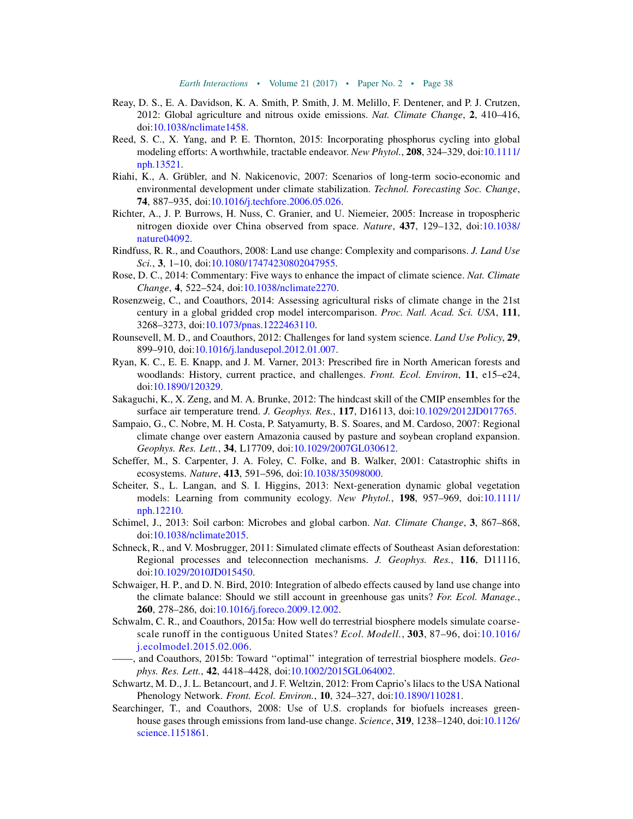- <span id="page-39-5"></span>Reay, D. S., E. A. Davidson, K. A. Smith, P. Smith, J. M. Melillo, F. Dentener, and P. J. Crutzen, 2012: Global agriculture and nitrous oxide emissions. Nat. Climate Change, 2, 410–416, doi[:10.1038/nclimate1458](http://dx.doi.org/10.1038/nclimate1458).
- <span id="page-39-9"></span>Reed, S. C., X. Yang, and P. E. Thornton, 2015: Incorporating phosphorus cycling into global modeling efforts: A worthwhile, tractable endeavor. New Phytol., 208, 324–329, doi:[10.1111/](http://dx.doi.org/10.1111/nph.13521) [nph.13521](http://dx.doi.org/10.1111/nph.13521).
- <span id="page-39-14"></span>Riahi, K., A. Grübler, and N. Nakicenovic, 2007: Scenarios of long-term socio-economic and environmental development under climate stabilization. Technol. Forecasting Soc. Change, 74, 887–935, doi[:10.1016/j.techfore.2006.05.026.](http://dx.doi.org/10.1016/j.techfore.2006.05.026)
- <span id="page-39-8"></span>Richter, A., J. P. Burrows, H. Nuss, C. Granier, and U. Niemeier, 2005: Increase in tropospheric nitrogen dioxide over China observed from space. *Nature*, 437, 129–132, doi[:10.1038/](http://dx.doi.org/10.1038/nature04092) [nature04092.](http://dx.doi.org/10.1038/nature04092)
- <span id="page-39-13"></span>Rindfuss, R. R., and Coauthors, 2008: Land use change: Complexity and comparisons. J. Land Use Sci., 3, 1-10, doi[:10.1080/17474230802047955](http://dx.doi.org/10.1080/17474230802047955).
- <span id="page-39-19"></span>Rose, D. C., 2014: Commentary: Five ways to enhance the impact of climate science. Nat. Climate Change, 4, 522–524, doi:[10.1038/nclimate2270.](http://dx.doi.org/10.1038/nclimate2270)
- <span id="page-39-6"></span>Rosenzweig, C., and Coauthors, 2014: Assessing agricultural risks of climate change in the 21st century in a global gridded crop model intercomparison. Proc. Natl. Acad. Sci. USA, 111, 3268–3273, doi:[10.1073/pnas.1222463110.](http://dx.doi.org/10.1073/pnas.1222463110)
- <span id="page-39-12"></span>Rounsevell, M. D., and Coauthors, 2012: Challenges for land system science. Land Use Policy, 29, 899–910, doi:[10.1016/j.landusepol.2012.01.007.](http://dx.doi.org/10.1016/j.landusepol.2012.01.007)
- <span id="page-39-0"></span>Ryan, K. C., E. E. Knapp, and J. M. Varner, 2013: Prescribed fire in North American forests and woodlands: History, current practice, and challenges. Front. Ecol. Environ, 11, e15-e24, doi[:10.1890/120329](http://dx.doi.org/10.1890/120329).
- <span id="page-39-17"></span>Sakaguchi, K., X. Zeng, and M. A. Brunke, 2012: The hindcast skill of the CMIP ensembles for the surface air temperature trend. J. Geophys. Res., 117, D16113, doi[:10.1029/2012JD017765.](http://dx.doi.org/10.1029/2012JD017765)
- <span id="page-39-2"></span>Sampaio, G., C. Nobre, M. H. Costa, P. Satyamurty, B. S. Soares, and M. Cardoso, 2007: Regional climate change over eastern Amazonia caused by pasture and soybean cropland expansion. Geophys. Res. Lett., 34, L17709, doi[:10.1029/2007GL030612.](http://dx.doi.org/10.1029/2007GL030612)
- <span id="page-39-11"></span>Scheffer, M., S. Carpenter, J. A. Foley, C. Folke, and B. Walker, 2001: Catastrophic shifts in ecosystems. Nature, 413, 591-596, doi[:10.1038/35098000](http://dx.doi.org/10.1038/35098000).
- <span id="page-39-10"></span>Scheiter, S., L. Langan, and S. I. Higgins, 2013: Next-generation dynamic global vegetation models: Learning from community ecology. New Phytol., 198, 957-969, doi:[10.1111/](http://dx.doi.org/10.1111/nph.12210) [nph.12210](http://dx.doi.org/10.1111/nph.12210).
- <span id="page-39-1"></span>Schimel, J., 2013: Soil carbon: Microbes and global carbon. Nat. Climate Change, 3, 867–868, doi[:10.1038/nclimate2015](http://dx.doi.org/10.1038/nclimate2015).
- <span id="page-39-3"></span>Schneck, R., and V. Mosbrugger, 2011: Simulated climate effects of Southeast Asian deforestation: Regional processes and teleconnection mechanisms. J. Geophys. Res., 116, D11116, doi[:10.1029/2010JD015450](http://dx.doi.org/10.1029/2010JD015450).
- <span id="page-39-18"></span>Schwaiger, H. P., and D. N. Bird, 2010: Integration of albedo effects caused by land use change into the climate balance: Should we still account in greenhouse gas units? For. Ecol. Manage., 260, 278–286, doi[:10.1016/j.foreco.2009.12.002.](http://dx.doi.org/10.1016/j.foreco.2009.12.002)
- <span id="page-39-16"></span>Schwalm, C. R., and Coauthors, 2015a: How well do terrestrial biosphere models simulate coarsescale runoff in the contiguous United States? Ecol. Modell., 303, 87–96, doi:[10.1016/](http://dx.doi.org/10.1016/j.ecolmodel.2015.02.006) [j.ecolmodel.2015.02.006](http://dx.doi.org/10.1016/j.ecolmodel.2015.02.006).
- <span id="page-39-15"></span>——, and Coauthors, 2015b: Toward ''optimal'' integration of terrestrial biosphere models. Geophys. Res. Lett., 42, 4418–4428, doi[:10.1002/2015GL064002.](http://dx.doi.org/10.1002/2015GL064002)
- <span id="page-39-7"></span>Schwartz, M. D., J. L. Betancourt, and J. F. Weltzin, 2012: From Caprio's lilacs to the USA National Phenology Network. Front. Ecol. Environ., 10, 324–327, doi:[10.1890/110281](http://dx.doi.org/10.1890/110281).
- <span id="page-39-4"></span>Searchinger, T., and Coauthors, 2008: Use of U.S. croplands for biofuels increases green-house gases through emissions from land-use change. Science, 319, 1238-1240, doi:[10.1126/](http://dx.doi.org/10.1126/science.1151861) [science.1151861.](http://dx.doi.org/10.1126/science.1151861)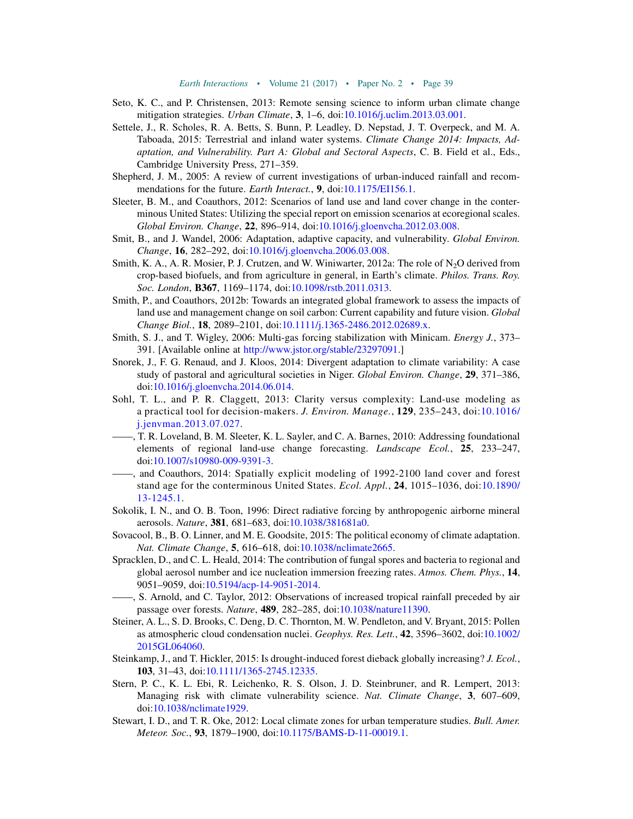- <span id="page-40-9"></span>Seto, K. C., and P. Christensen, 2013: Remote sensing science to inform urban climate change mitigation strategies. *Urban Climate*, 3, 1–6, doi:[10.1016/j.uclim.2013.03.001.](http://dx.doi.org/10.1016/j.uclim.2013.03.001)
- <span id="page-40-6"></span>Settele, J., R. Scholes, R. A. Betts, S. Bunn, P. Leadley, D. Nepstad, J. T. Overpeck, and M. A. Taboada, 2015: Terrestrial and inland water systems. Climate Change 2014: Impacts, Adaptation, and Vulnerability. Part A: Global and Sectoral Aspects, C. B. Field et al., Eds., Cambridge University Press, 271–359.
- <span id="page-40-4"></span>Shepherd, J. M., 2005: A review of current investigations of urban-induced rainfall and recommendations for the future. *Earth Interact*., 9, doi[:10.1175/EI156.1.](http://dx.doi.org/10.1175/EI156.1)
- <span id="page-40-13"></span>Sleeter, B. M., and Coauthors, 2012: Scenarios of land use and land cover change in the conterminous United States: Utilizing the special report on emission scenarios at ecoregional scales. Global Environ. Change, 22, 896–914, doi[:10.1016/j.gloenvcha.2012.03.008](http://dx.doi.org/10.1016/j.gloenvcha.2012.03.008).
- <span id="page-40-16"></span>Smit, B., and J. Wandel, 2006: Adaptation, adaptive capacity, and vulnerability. Global Environ. Change, 16, 282–292, doi:[10.1016/j.gloenvcha.2006.03.008](http://dx.doi.org/10.1016/j.gloenvcha.2006.03.008).
- <span id="page-40-7"></span>Smith, K. A., A. R. Mosier, P. J. Crutzen, and W. Winiwarter, 2012a: The role of  $N<sub>2</sub>O$  derived from crop-based biofuels, and from agriculture in general, in Earth's climate. *Philos. Trans. Roy.* Soc. London, B367, 1169-1174, doi:[10.1098/rstb.2011.0313](http://dx.doi.org/10.1098/rstb.2011.0313).
- <span id="page-40-15"></span>Smith, P., and Coauthors, 2012b: Towards an integrated global framework to assess the impacts of land use and management change on soil carbon: Current capability and future vision. Global Change Biol., 18, 2089–2101, doi:[10.1111/j.1365-2486.2012.02689.x](http://dx.doi.org/10.1111/j.1365-2486.2012.02689.x).
- <span id="page-40-11"></span>Smith, S. J., and T. Wigley, 2006: Multi-gas forcing stabilization with Minicam. Energy J., 373– 391. [Available online at <http://www.jstor.org/stable/23297091>.]
- <span id="page-40-18"></span>Snorek, J., F. G. Renaud, and J. Kloos, 2014: Divergent adaptation to climate variability: A case study of pastoral and agricultural societies in Niger. Global Environ. Change, 29, 371–386, doi[:10.1016/j.gloenvcha.2014.06.014](http://dx.doi.org/10.1016/j.gloenvcha.2014.06.014).
- <span id="page-40-12"></span>Sohl, T. L., and P. R. Claggett, 2013: Clarity versus complexity: Land-use modeling as a practical tool for decision-makers. J. Environ. Manage., 129, 235–243, doi:[10.1016/](http://dx.doi.org/10.1016/j.jenvman.2013.07.027) [j.jenvman.2013.07.027](http://dx.doi.org/10.1016/j.jenvman.2013.07.027).
- <span id="page-40-10"></span>——, T. R. Loveland, B. M. Sleeter, K. L. Sayler, and C. A. Barnes, 2010: Addressing foundational elements of regional land-use change forecasting. Landscape Ecol., 25, 233–247, doi[:10.1007/s10980-009-9391-3](http://dx.doi.org/10.1007/s10980-009-9391-3).
- <span id="page-40-14"></span>——, and Coauthors, 2014: Spatially explicit modeling of 1992-2100 land cover and forest stand age for the conterminous United States. Ecol. Appl., 24, 1015–1036, doi:[10.1890/](http://dx.doi.org/10.1890/13-1245.1) [13-1245.1.](http://dx.doi.org/10.1890/13-1245.1)
- <span id="page-40-1"></span>Sokolik, I. N., and O. B. Toon, 1996: Direct radiative forcing by anthropogenic airborne mineral aerosols. Nature, 381, 681–683, doi[:10.1038/381681a0.](http://dx.doi.org/10.1038/381681a0)
- <span id="page-40-19"></span>Sovacool, B., B. O. Linner, and M. E. Goodsite, 2015: The political economy of climate adaptation. Nat. Climate Change, 5, 616–618, doi[:10.1038/nclimate2665](http://dx.doi.org/10.1038/nclimate2665).
- <span id="page-40-2"></span>Spracklen, D., and C. L. Heald, 2014: The contribution of fungal spores and bacteria to regional and global aerosol number and ice nucleation immersion freezing rates. Atmos. Chem. Phys., 14, 9051–9059, doi:[10.5194/acp-14-9051-2014.](http://dx.doi.org/10.5194/acp-14-9051-2014)
- <span id="page-40-0"></span>——, S. Arnold, and C. Taylor, 2012: Observations of increased tropical rainfall preceded by air passage over forests. Nature, 489, 282–285, doi:[10.1038/nature11390](http://dx.doi.org/10.1038/nature11390).
- <span id="page-40-3"></span>Steiner, A. L., S. D. Brooks, C. Deng, D. C. Thornton, M. W. Pendleton, and V. Bryant, 2015: Pollen as atmospheric cloud condensation nuclei. Geophys. Res. Lett., 42, 3596–3602, doi:[10.1002/](http://dx.doi.org/10.1002/2015GL064060) [2015GL064060.](http://dx.doi.org/10.1002/2015GL064060)
- <span id="page-40-5"></span>Steinkamp, J., and T. Hickler, 2015: Is drought-induced forest dieback globally increasing? J. Ecol., 103, 31–43, doi[:10.1111/1365-2745.12335](http://dx.doi.org/10.1111/1365-2745.12335).
- <span id="page-40-17"></span>Stern, P. C., K. L. Ebi, R. Leichenko, R. S. Olson, J. D. Steinbruner, and R. Lempert, 2013: Managing risk with climate vulnerability science. Nat. Climate Change, 3, 607–609, doi[:10.1038/nclimate1929](http://dx.doi.org/10.1038/nclimate1929).
- <span id="page-40-8"></span>Stewart, I. D., and T. R. Oke, 2012: Local climate zones for urban temperature studies. Bull. Amer. Meteor. Soc., 93, 1879–1900, doi:[10.1175/BAMS-D-11-00019.1.](http://dx.doi.org/10.1175/BAMS-D-11-00019.1)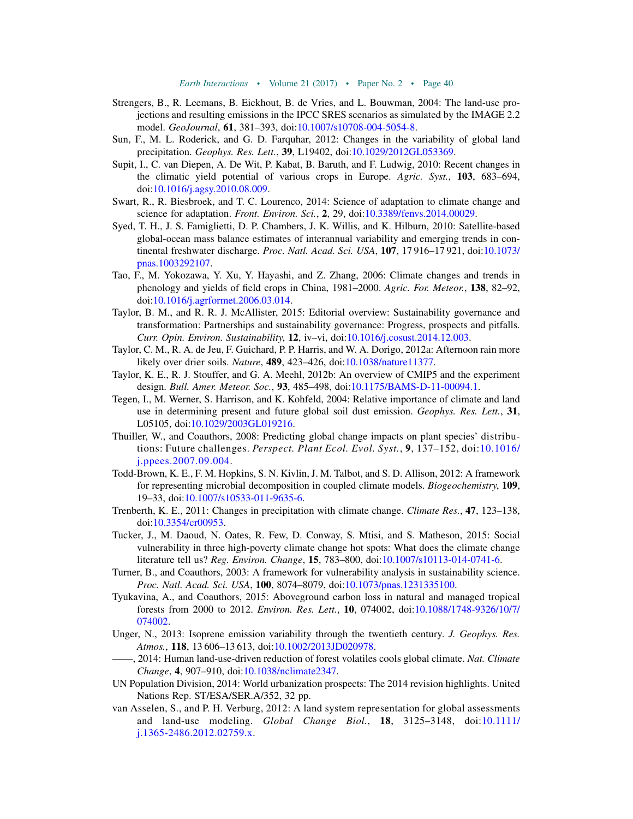- <span id="page-41-12"></span>Strengers, B., R. Leemans, B. Eickhout, B. de Vries, and L. Bouwman, 2004: The land-use projections and resulting emissions in the IPCC SRES scenarios as simulated by the IMAGE 2.2 model. GeoJournal, 61, 381–393, doi:[10.1007/s10708-004-5054-8.](http://dx.doi.org/10.1007/s10708-004-5054-8)
- <span id="page-41-7"></span>Sun, F., M. L. Roderick, and G. D. Farquhar, 2012: Changes in the variability of global land precipitation. Geophys. Res. Lett., 39, L19402, doi[:10.1029/2012GL053369.](http://dx.doi.org/10.1029/2012GL053369)
- <span id="page-41-9"></span>Supit, I., C. van Diepen, A. De Wit, P. Kabat, B. Baruth, and F. Ludwig, 2010: Recent changes in the climatic yield potential of various crops in Europe. Agric. Syst., 103, 683–694, doi[:10.1016/j.agsy.2010.08.009.](http://dx.doi.org/10.1016/j.agsy.2010.08.009)
- <span id="page-41-19"></span>Swart, R., R. Biesbroek, and T. C. Lourenco, 2014: Science of adaptation to climate change and science for adaptation. Front. Environ. Sci., 2, 29, doi[:10.3389/fenvs.2014.00029.](http://dx.doi.org/10.3389/fenvs.2014.00029)
- <span id="page-41-5"></span>Syed, T. H., J. S. Famiglietti, D. P. Chambers, J. K. Willis, and K. Hilburn, 2010: Satellite-based global-ocean mass balance estimates of interannual variability and emerging trends in continental freshwater discharge. Proc. Natl. Acad. Sci. USA, 107, 17 916–17 921, doi:[10.1073/](http://dx.doi.org/10.1073/pnas.1003292107) [pnas.1003292107](http://dx.doi.org/10.1073/pnas.1003292107).
- <span id="page-41-8"></span>Tao, F., M. Yokozawa, Y. Xu, Y. Hayashi, and Z. Zhang, 2006: Climate changes and trends in phenology and yields of field crops in China, 1981–2000. Agric. For. Meteor., 138, 82–92, doi[:10.1016/j.agrformet.2006.03.014.](http://dx.doi.org/10.1016/j.agrformet.2006.03.014)
- <span id="page-41-18"></span>Taylor, B. M., and R. R. J. McAllister, 2015: Editorial overview: Sustainability governance and transformation: Partnerships and sustainability governance: Progress, prospects and pitfalls. Curr. Opin. Environ. Sustainability, 12, iv–vi, doi:[10.1016/j.cosust.2014.12.003.](http://dx.doi.org/10.1016/j.cosust.2014.12.003)
- <span id="page-41-15"></span>Taylor, C. M., R. A. de Jeu, F. Guichard, P. P. Harris, and W. A. Dorigo, 2012a: Afternoon rain more likely over drier soils. Nature, 489, 423–426, doi[:10.1038/nature11377](http://dx.doi.org/10.1038/nature11377).
- <span id="page-41-14"></span>Taylor, K. E., R. J. Stouffer, and G. A. Meehl, 2012b: An overview of CMIP5 and the experiment design. Bull. Amer. Meteor. Soc., 93, 485-498, doi:[10.1175/BAMS-D-11-00094.1](http://dx.doi.org/10.1175/BAMS-D-11-00094.1).
- <span id="page-41-3"></span>Tegen, I., M. Werner, S. Harrison, and K. Kohfeld, 2004: Relative importance of climate and land use in determining present and future global soil dust emission. Geophys. Res. Lett., 31, L05105, doi:[10.1029/2003GL019216](http://dx.doi.org/10.1029/2003GL019216).
- <span id="page-41-11"></span>Thuiller, W., and Coauthors, 2008: Predicting global change impacts on plant species' distribu-tions: Future challenges. Perspect. Plant Ecol. Evol. Syst., 9, 137-152, doi:[10.1016/](http://dx.doi.org/10.1016/j.ppees.2007.09.004) [j.ppees.2007.09.004.](http://dx.doi.org/10.1016/j.ppees.2007.09.004)
- <span id="page-41-1"></span>Todd-Brown, K. E., F. M. Hopkins, S. N. Kivlin, J. M. Talbot, and S. D. Allison, 2012: A framework for representing microbial decomposition in coupled climate models. *Biogeochemistry*, 109, 19–33, doi:[10.1007/s10533-011-9635-6.](http://dx.doi.org/10.1007/s10533-011-9635-6)
- <span id="page-41-6"></span>Trenberth, K. E., 2011: Changes in precipitation with climate change. Climate Res., 47, 123–138, doi[:10.3354/cr00953](http://dx.doi.org/10.3354/cr00953).
- <span id="page-41-17"></span>Tucker, J., M. Daoud, N. Oates, R. Few, D. Conway, S. Mtisi, and S. Matheson, 2015: Social vulnerability in three high-poverty climate change hot spots: What does the climate change literature tell us? Reg. Environ. Change, 15, 783–800, doi:[10.1007/s10113-014-0741-6.](http://dx.doi.org/10.1007/s10113-014-0741-6)
- <span id="page-41-16"></span>Turner, B., and Coauthors, 2003: A framework for vulnerability analysis in sustainability science. Proc. Natl. Acad. Sci. USA, 100, 8074-8079, doi:[10.1073/pnas.1231335100.](http://dx.doi.org/10.1073/pnas.1231335100)
- <span id="page-41-0"></span>Tyukavina, A., and Coauthors, 2015: Aboveground carbon loss in natural and managed tropical forests from 2000 to 2012. Environ. Res. Lett., 10, 074002, doi[:10.1088/1748-9326/10/7/](http://dx.doi.org/10.1088/1748-9326/10/7/074002) [074002.](http://dx.doi.org/10.1088/1748-9326/10/7/074002)
- <span id="page-41-4"></span>Unger, N., 2013: Isoprene emission variability through the twentieth century. J. Geophys. Res. Atmos., 118, 13 606–13 613, doi[:10.1002/2013JD020978](http://dx.doi.org/10.1002/2013JD020978).
- <span id="page-41-2"></span>---, 2014: Human land-use-driven reduction of forest volatiles cools global climate. Nat. Climate Change, 4, 907–910, doi:[10.1038/nclimate2347.](http://dx.doi.org/10.1038/nclimate2347)
- <span id="page-41-10"></span>UN Population Division, 2014: World urbanization prospects: The 2014 revision highlights. United Nations Rep. ST/ESA/SER.A/352, 32 pp.
- <span id="page-41-13"></span>van Asselen, S., and P. H. Verburg, 2012: A land system representation for global assessments and land-use modeling. Global Change Biol., 18, 3125-3148, doi:[10.1111/](http://dx.doi.org/10.1111/j.1365-2486.2012.02759.x) [j.1365-2486.2012.02759.x.](http://dx.doi.org/10.1111/j.1365-2486.2012.02759.x)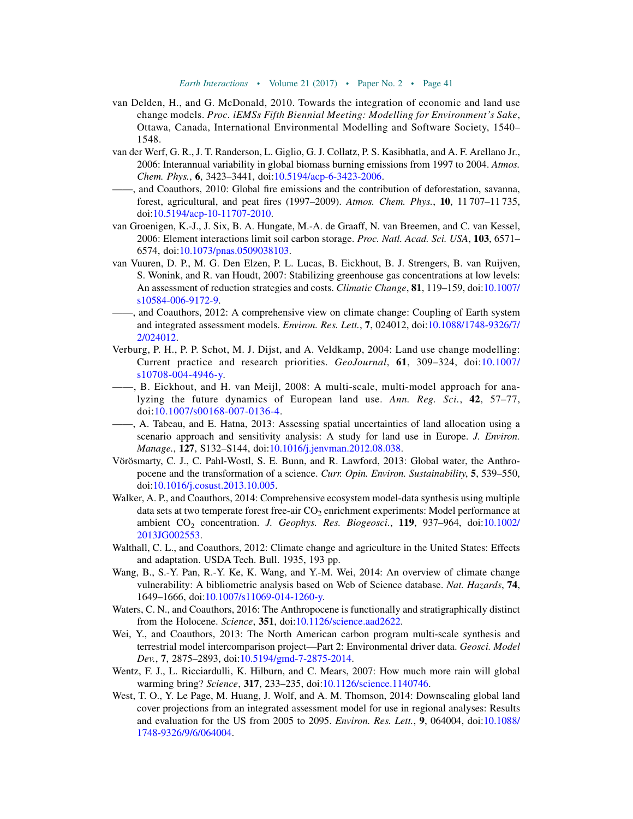- <span id="page-42-11"></span>van Delden, H., and G. McDonald, 2010. Towards the integration of economic and land use change models. Proc. iEMSs Fifth Biennial Meeting: Modelling for Environment's Sake, Ottawa, Canada, International Environmental Modelling and Software Society, 1540– 1548.
- <span id="page-42-2"></span>van der Werf, G. R., J. T. Randerson, L. Giglio, G. J. Collatz, P. S. Kasibhatla, and A. F. Arellano Jr., 2006: Interannual variability in global biomass burning emissions from 1997 to 2004. Atmos. Chem. Phys., 6, 3423–3441, doi[:10.5194/acp-6-3423-2006](http://dx.doi.org/10.5194/acp-6-3423-2006).
- <span id="page-42-1"></span>——, and Coauthors, 2010: Global fire emissions and the contribution of deforestation, savanna, forest, agricultural, and peat fires (1997–2009). Atmos. Chem. Phys., 10, 11 707–11 735, doi[:10.5194/acp-10-11707-2010](http://dx.doi.org/10.5194/acp-10-11707-2010).
- <span id="page-42-6"></span>van Groenigen, K.-J., J. Six, B. A. Hungate, M.-A. de Graaff, N. van Breemen, and C. van Kessel, 2006: Element interactions limit soil carbon storage. Proc. Natl. Acad. Sci. USA, 103, 6571-6574, doi:[10.1073/pnas.0509038103.](http://dx.doi.org/10.1073/pnas.0509038103)
- <span id="page-42-8"></span>van Vuuren, D. P., M. G. Den Elzen, P. L. Lucas, B. Eickhout, B. J. Strengers, B. van Ruijven, S. Wonink, and R. van Houdt, 2007: Stabilizing greenhouse gas concentrations at low levels: An assessment of reduction strategies and costs. Climatic Change, 81, 119–159, doi:[10.1007/](http://dx.doi.org/10.1007/s10584-006-9172-9) [s10584-006-9172-9](http://dx.doi.org/10.1007/s10584-006-9172-9).
- <span id="page-42-14"></span>——, and Coauthors, 2012: A comprehensive view on climate change: Coupling of Earth system and integrated assessment models. Environ. Res. Lett., 7, 024012, doi[:10.1088/1748-9326/7/](http://dx.doi.org/10.1088/1748-9326/7/2/024012) [2/024012](http://dx.doi.org/10.1088/1748-9326/7/2/024012).
- <span id="page-42-7"></span>Verburg, P. H., P. P. Schot, M. J. Dijst, and A. Veldkamp, 2004: Land use change modelling: Current practice and research priorities. GeoJournal, 61, 309–324, doi:[10.1007/](http://dx.doi.org/10.1007/s10708-004-4946-y) [s10708-004-4946-y.](http://dx.doi.org/10.1007/s10708-004-4946-y)
- <span id="page-42-9"></span>——, B. Eickhout, and H. van Meijl, 2008: A multi-scale, multi-model approach for analyzing the future dynamics of European land use. Ann. Reg. Sci., 42, 57–77, doi[:10.1007/s00168-007-0136-4.](http://dx.doi.org/10.1007/s00168-007-0136-4)
- <span id="page-42-12"></span>——, A. Tabeau, and E. Hatna, 2013: Assessing spatial uncertainties of land allocation using a scenario approach and sensitivity analysis: A study for land use in Europe. J. Environ. Manage., 127, S132–S144, doi:[10.1016/j.jenvman.2012.08.038.](http://dx.doi.org/10.1016/j.jenvman.2012.08.038)
- <span id="page-42-3"></span>Vörösmarty, C. J., C. Pahl-Wostl, S. E. Bunn, and R. Lawford, 2013: Global water, the Anthropocene and the transformation of a science. Curr. Opin. Environ. Sustainability, 5, 539–550, doi[:10.1016/j.cosust.2013.10.005](http://dx.doi.org/10.1016/j.cosust.2013.10.005).
- <span id="page-42-13"></span>Walker, A. P., and Coauthors, 2014: Comprehensive ecosystem model-data synthesis using multiple data sets at two temperate forest free-air  $CO<sub>2</sub>$  enrichment experiments: Model performance at ambient  $CO<sub>2</sub>$  concentration. J. Geophys. Res. Biogeosci., 119, 937-964, doi:[10.1002/](http://dx.doi.org/10.1002/2013JG002553) [2013JG002553.](http://dx.doi.org/10.1002/2013JG002553)
- <span id="page-42-5"></span>Walthall, C. L., and Coauthors, 2012: Climate change and agriculture in the United States: Effects and adaptation. USDA Tech. Bull. 1935, 193 pp.
- <span id="page-42-16"></span>Wang, B., S.-Y. Pan, R.-Y. Ke, K. Wang, and Y.-M. Wei, 2014: An overview of climate change vulnerability: A bibliometric analysis based on Web of Science database. Nat. Hazards, 74, 1649–1666, doi:[10.1007/s11069-014-1260-y.](http://dx.doi.org/10.1007/s11069-014-1260-y)
- <span id="page-42-0"></span>Waters, C. N., and Coauthors, 2016: The Anthropocene is functionally and stratigraphically distinct from the Holocene. Science, 351, doi[:10.1126/science.aad2622.](http://dx.doi.org/10.1126/science.aad2622)
- <span id="page-42-15"></span>Wei, Y., and Coauthors, 2013: The North American carbon program multi-scale synthesis and terrestrial model intercomparison project—Part 2: Environmental driver data. Geosci. Model Dev., 7, 2875–2893, doi[:10.5194/gmd-7-2875-2014](http://dx.doi.org/10.5194/gmd-7-2875-2014).
- <span id="page-42-4"></span>Wentz, F. J., L. Ricciardulli, K. Hilburn, and C. Mears, 2007: How much more rain will global warming bring? Science, 317, 233–235, doi[:10.1126/science.1140746.](http://dx.doi.org/10.1126/science.1140746)
- <span id="page-42-10"></span>West, T. O., Y. Le Page, M. Huang, J. Wolf, and A. M. Thomson, 2014: Downscaling global land cover projections from an integrated assessment model for use in regional analyses: Results and evaluation for the US from 2005 to 2095. Environ. Res. Lett., 9, 064004, doi:[10.1088/](http://dx.doi.org/10.1088/1748-9326/9/6/064004) [1748-9326/9/6/064004](http://dx.doi.org/10.1088/1748-9326/9/6/064004).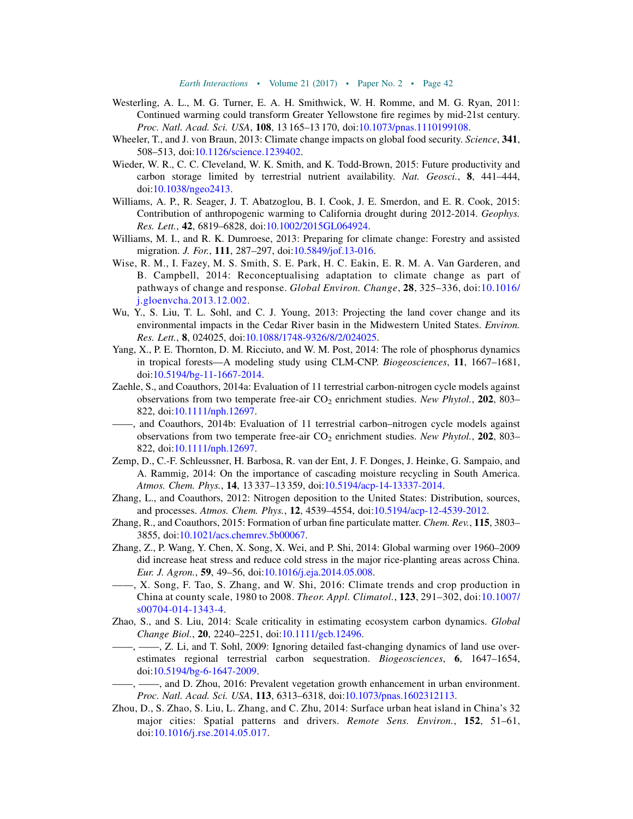- <span id="page-43-12"></span>Westerling, A. L., M. G. Turner, E. A. H. Smithwick, W. H. Romme, and M. G. Ryan, 2011: Continued warming could transform Greater Yellowstone fire regimes by mid-21st century. Proc. Natl. Acad. Sci. USA, 108, 13 165-13 170, doi[:10.1073/pnas.1110199108](http://dx.doi.org/10.1073/pnas.1110199108).
- <span id="page-43-4"></span>Wheeler, T., and J. von Braun, 2013: Climate change impacts on global food security. Science, 341, 508–513, doi:[10.1126/science.1239402.](http://dx.doi.org/10.1126/science.1239402)
- <span id="page-43-11"></span>Wieder, W. R., C. C. Cleveland, W. K. Smith, and K. Todd-Brown, 2015: Future productivity and carbon storage limited by terrestrial nutrient availability. Nat. Geosci., 8, 441-444, doi[:10.1038/ngeo2413.](http://dx.doi.org/10.1038/ngeo2413)
- <span id="page-43-3"></span>Williams, A. P., R. Seager, J. T. Abatzoglou, B. I. Cook, J. E. Smerdon, and E. R. Cook, 2015: Contribution of anthropogenic warming to California drought during 2012-2014. Geophys. Res. Lett., 42, 6819–6828, doi:[10.1002/2015GL064924](http://dx.doi.org/10.1002/2015GL064924).
- <span id="page-43-16"></span>Williams, M. I., and R. K. Dumroese, 2013: Preparing for climate change: Forestry and assisted migration. J. For., 111, 287–297, doi[:10.5849/jof.13-016](http://dx.doi.org/10.5849/jof.13-016).
- <span id="page-43-18"></span>Wise, R. M., I. Fazey, M. S. Smith, S. E. Park, H. C. Eakin, E. R. M. A. Van Garderen, and B. Campbell, 2014: Reconceptualising adaptation to climate change as part of pathways of change and response. Global Environ. Change, 28, 325–336, doi:[10.1016/](http://dx.doi.org/10.1016/j.gloenvcha.2013.12.002) [j.gloenvcha.2013.12.002](http://dx.doi.org/10.1016/j.gloenvcha.2013.12.002).
- <span id="page-43-17"></span>Wu, Y., S. Liu, T. L. Sohl, and C. J. Young, 2013: Projecting the land cover change and its environmental impacts in the Cedar River basin in the Midwestern United States. Environ. Res. Lett., 8, 024025, doi:[10.1088/1748-9326/8/2/024025](http://dx.doi.org/10.1088/1748-9326/8/2/024025).
- <span id="page-43-10"></span>Yang, X., P. E. Thornton, D. M. Ricciuto, and W. M. Post, 2014: The role of phosphorus dynamics in tropical forests—A modeling study using CLM-CNP. Biogeosciences, 11, 1667–1681, doi[:10.5194/bg-11-1667-2014](http://dx.doi.org/10.5194/bg-11-1667-2014).
- <span id="page-43-9"></span>Zaehle, S., and Coauthors, 2014a: Evaluation of 11 terrestrial carbon-nitrogen cycle models against observations from two temperate free-air  $CO<sub>2</sub>$  enrichment studies. New Phytol., 202, 803– 822, doi:[10.1111/nph.12697](http://dx.doi.org/10.1111/nph.12697).
- <span id="page-43-13"></span>——, and Coauthors, 2014b: Evaluation of 11 terrestrial carbon–nitrogen cycle models against observations from two temperate free-air  $CO<sub>2</sub>$  enrichment studies. New Phytol., 202, 803– 822, doi:[10.1111/nph.12697](http://dx.doi.org/10.1111/nph.12697).
- <span id="page-43-0"></span>Zemp, D., C.-F. Schleussner, H. Barbosa, R. van der Ent, J. F. Donges, J. Heinke, G. Sampaio, and A. Rammig, 2014: On the importance of cascading moisture recycling in South America. Atmos. Chem. Phys., 14, 13 337–13 359, doi:[10.5194/acp-14-13337-2014](http://dx.doi.org/10.5194/acp-14-13337-2014).
- <span id="page-43-1"></span>Zhang, L., and Coauthors, 2012: Nitrogen deposition to the United States: Distribution, sources, and processes. Atmos. Chem. Phys., 12, 4539–4554, doi:[10.5194/acp-12-4539-2012.](http://dx.doi.org/10.5194/acp-12-4539-2012)
- <span id="page-43-2"></span>Zhang, R., and Coauthors, 2015: Formation of urban fine particulate matter. Chem. Rev., 115, 3803– 3855, doi:[10.1021/acs.chemrev.5b00067](http://dx.doi.org/10.1021/acs.chemrev.5b00067).
- <span id="page-43-6"></span>Zhang, Z., P. Wang, Y. Chen, X. Song, X. Wei, and P. Shi, 2014: Global warming over 1960–2009 did increase heat stress and reduce cold stress in the major rice-planting areas across China. Eur. J. Agron., 59, 49–56, doi:[10.1016/j.eja.2014.05.008.](http://dx.doi.org/10.1016/j.eja.2014.05.008)
- <span id="page-43-5"></span>——, X. Song, F. Tao, S. Zhang, and W. Shi, 2016: Climate trends and crop production in China at county scale, 1980 to 2008. Theor. Appl. Climatol., 123, 291–302, doi:[10.1007/](http://dx.doi.org/10.1007/s00704-014-1343-4) [s00704-014-1343-4](http://dx.doi.org/10.1007/s00704-014-1343-4).
- <span id="page-43-15"></span><span id="page-43-14"></span>Zhao, S., and S. Liu, 2014: Scale criticality in estimating ecosystem carbon dynamics. Global Change Biol., 20, 2240–2251, doi:[10.1111/gcb.12496.](http://dx.doi.org/10.1111/gcb.12496)
	- ——, ——, Z. Li, and T. Sohl, 2009: Ignoring detailed fast-changing dynamics of land use overestimates regional terrestrial carbon sequestration. Biogeosciences, 6, 1647–1654, doi[:10.5194/bg-6-1647-2009](http://dx.doi.org/10.5194/bg-6-1647-2009).
- <span id="page-43-8"></span>——, ——, and D. Zhou, 2016: Prevalent vegetation growth enhancement in urban environment. Proc. Natl. Acad. Sci. USA, 113, 6313–6318, doi:[10.1073/pnas.1602312113.](http://dx.doi.org/10.1073/pnas.1602312113)
- <span id="page-43-7"></span>Zhou, D., S. Zhao, S. Liu, L. Zhang, and C. Zhu, 2014: Surface urban heat island in China's 32 major cities: Spatial patterns and drivers. Remote Sens. Environ., 152, 51-61, doi:[10.1016/j.rse.2014.05.017.](http://dx.doi.org/10.1016/j.rse.2014.05.017)